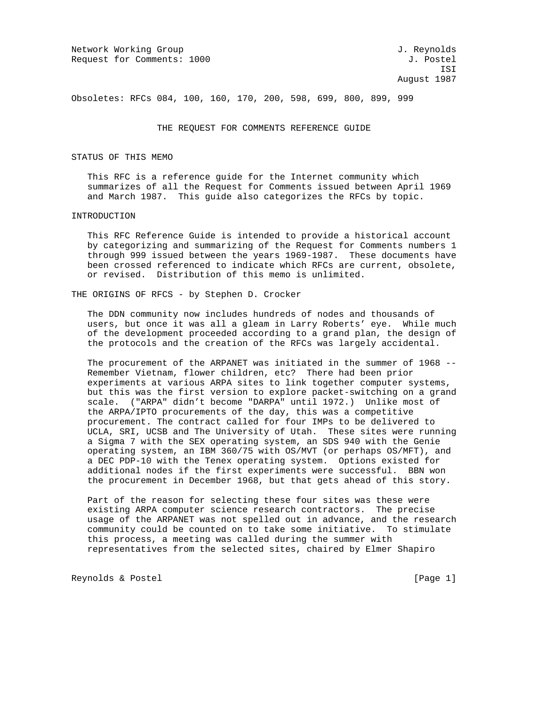Network Working Group and Services and Services and J. Reynolds Request for Comments: 1000 J. Postel

Obsoletes: RFCs 084, 100, 160, 170, 200, 598, 699, 800, 899, 999

THE REQUEST FOR COMMENTS REFERENCE GUIDE

### STATUS OF THIS MEMO

 This RFC is a reference guide for the Internet community which summarizes of all the Request for Comments issued between April 1969 and March 1987. This guide also categorizes the RFCs by topic.

## INTRODUCTION

 This RFC Reference Guide is intended to provide a historical account by categorizing and summarizing of the Request for Comments numbers 1 through 999 issued between the years 1969-1987. These documents have been crossed referenced to indicate which RFCs are current, obsolete, or revised. Distribution of this memo is unlimited.

THE ORIGINS OF RFCS - by Stephen D. Crocker

 The DDN community now includes hundreds of nodes and thousands of users, but once it was all a gleam in Larry Roberts' eye. While much of the development proceeded according to a grand plan, the design of the protocols and the creation of the RFCs was largely accidental.

 The procurement of the ARPANET was initiated in the summer of 1968 -- Remember Vietnam, flower children, etc? There had been prior experiments at various ARPA sites to link together computer systems, but this was the first version to explore packet-switching on a grand scale. ("ARPA" didn't become "DARPA" until 1972.) Unlike most of the ARPA/IPTO procurements of the day, this was a competitive procurement. The contract called for four IMPs to be delivered to UCLA, SRI, UCSB and The University of Utah. These sites were running a Sigma 7 with the SEX operating system, an SDS 940 with the Genie operating system, an IBM 360/75 with OS/MVT (or perhaps OS/MFT), and a DEC PDP-10 with the Tenex operating system. Options existed for additional nodes if the first experiments were successful. BBN won the procurement in December 1968, but that gets ahead of this story.

 Part of the reason for selecting these four sites was these were existing ARPA computer science research contractors. The precise usage of the ARPANET was not spelled out in advance, and the research community could be counted on to take some initiative. To stimulate this process, a meeting was called during the summer with representatives from the selected sites, chaired by Elmer Shapiro

Reynolds & Postel [Page 1]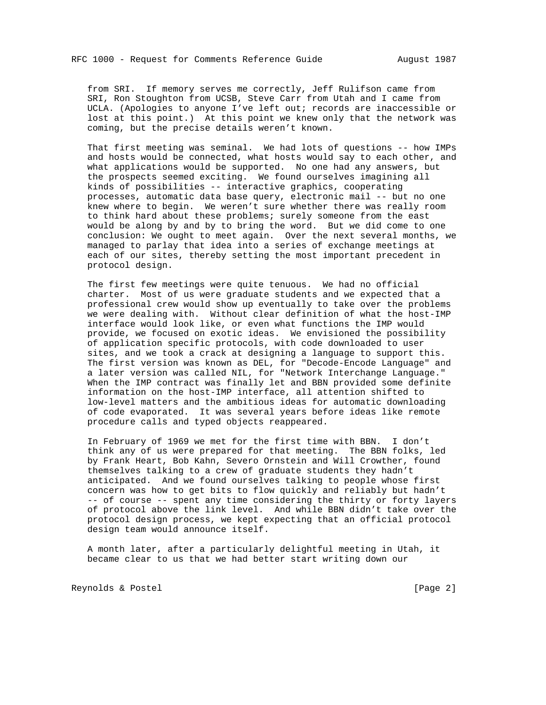from SRI. If memory serves me correctly, Jeff Rulifson came from SRI, Ron Stoughton from UCSB, Steve Carr from Utah and I came from UCLA. (Apologies to anyone I've left out; records are inaccessible or lost at this point.) At this point we knew only that the network was coming, but the precise details weren't known.

 That first meeting was seminal. We had lots of questions -- how IMPs and hosts would be connected, what hosts would say to each other, and what applications would be supported. No one had any answers, but the prospects seemed exciting. We found ourselves imagining all kinds of possibilities -- interactive graphics, cooperating processes, automatic data base query, electronic mail -- but no one knew where to begin. We weren't sure whether there was really room to think hard about these problems; surely someone from the east would be along by and by to bring the word. But we did come to one conclusion: We ought to meet again. Over the next several months, we managed to parlay that idea into a series of exchange meetings at each of our sites, thereby setting the most important precedent in protocol design.

 The first few meetings were quite tenuous. We had no official charter. Most of us were graduate students and we expected that a professional crew would show up eventually to take over the problems we were dealing with. Without clear definition of what the host-IMP interface would look like, or even what functions the IMP would provide, we focused on exotic ideas. We envisioned the possibility of application specific protocols, with code downloaded to user sites, and we took a crack at designing a language to support this. The first version was known as DEL, for "Decode-Encode Language" and a later version was called NIL, for "Network Interchange Language." When the IMP contract was finally let and BBN provided some definite information on the host-IMP interface, all attention shifted to low-level matters and the ambitious ideas for automatic downloading of code evaporated. It was several years before ideas like remote procedure calls and typed objects reappeared.

 In February of 1969 we met for the first time with BBN. I don't think any of us were prepared for that meeting. The BBN folks, led by Frank Heart, Bob Kahn, Severo Ornstein and Will Crowther, found themselves talking to a crew of graduate students they hadn't anticipated. And we found ourselves talking to people whose first concern was how to get bits to flow quickly and reliably but hadn't -- of course -- spent any time considering the thirty or forty layers of protocol above the link level. And while BBN didn't take over the protocol design process, we kept expecting that an official protocol design team would announce itself.

 A month later, after a particularly delightful meeting in Utah, it became clear to us that we had better start writing down our

Reynolds & Postel [Page 2]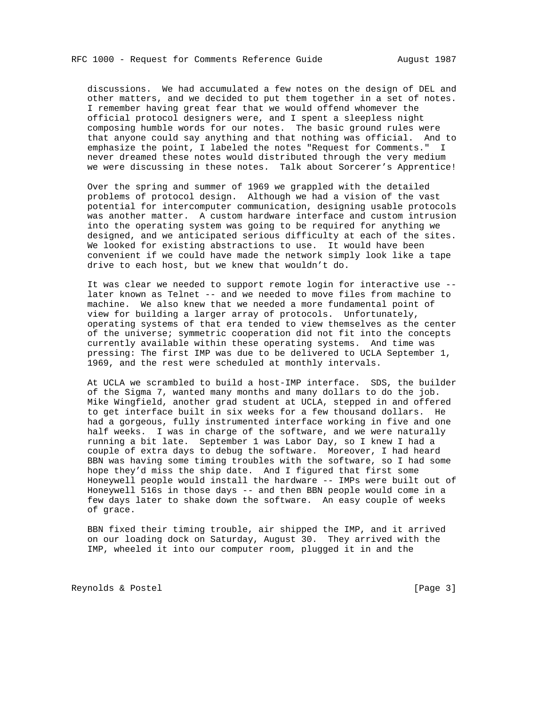discussions. We had accumulated a few notes on the design of DEL and other matters, and we decided to put them together in a set of notes. I remember having great fear that we would offend whomever the official protocol designers were, and I spent a sleepless night composing humble words for our notes. The basic ground rules were that anyone could say anything and that nothing was official. And to emphasize the point, I labeled the notes "Request for Comments." I never dreamed these notes would distributed through the very medium we were discussing in these notes. Talk about Sorcerer's Apprentice!

 Over the spring and summer of 1969 we grappled with the detailed problems of protocol design. Although we had a vision of the vast potential for intercomputer communication, designing usable protocols was another matter. A custom hardware interface and custom intrusion into the operating system was going to be required for anything we designed, and we anticipated serious difficulty at each of the sites. We looked for existing abstractions to use. It would have been convenient if we could have made the network simply look like a tape drive to each host, but we knew that wouldn't do.

 It was clear we needed to support remote login for interactive use - later known as Telnet -- and we needed to move files from machine to machine. We also knew that we needed a more fundamental point of view for building a larger array of protocols. Unfortunately, operating systems of that era tended to view themselves as the center of the universe; symmetric cooperation did not fit into the concepts currently available within these operating systems. And time was pressing: The first IMP was due to be delivered to UCLA September 1, 1969, and the rest were scheduled at monthly intervals.

 At UCLA we scrambled to build a host-IMP interface. SDS, the builder of the Sigma 7, wanted many months and many dollars to do the job. Mike Wingfield, another grad student at UCLA, stepped in and offered to get interface built in six weeks for a few thousand dollars. He had a gorgeous, fully instrumented interface working in five and one half weeks. I was in charge of the software, and we were naturally running a bit late. September 1 was Labor Day, so I knew I had a couple of extra days to debug the software. Moreover, I had heard BBN was having some timing troubles with the software, so I had some hope they'd miss the ship date. And I figured that first some Honeywell people would install the hardware -- IMPs were built out of Honeywell 516s in those days -- and then BBN people would come in a few days later to shake down the software. An easy couple of weeks of grace.

 BBN fixed their timing trouble, air shipped the IMP, and it arrived on our loading dock on Saturday, August 30. They arrived with the IMP, wheeled it into our computer room, plugged it in and the

Reynolds & Postel [Page 3]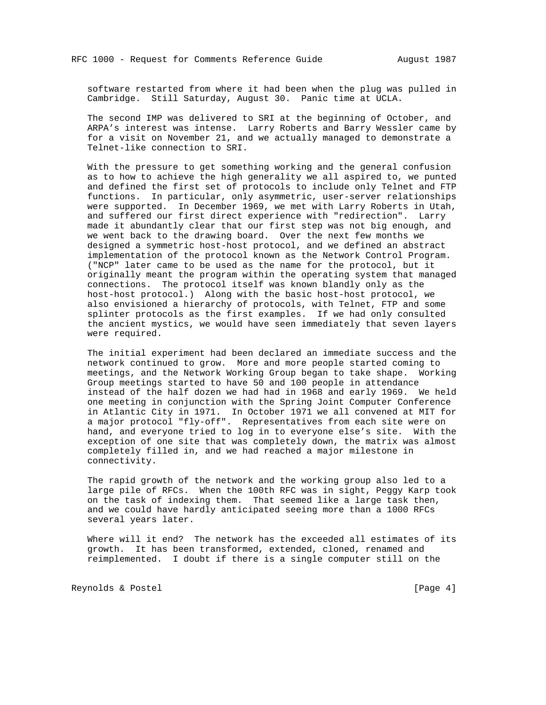software restarted from where it had been when the plug was pulled in Cambridge. Still Saturday, August 30. Panic time at UCLA.

 The second IMP was delivered to SRI at the beginning of October, and ARPA's interest was intense. Larry Roberts and Barry Wessler came by for a visit on November 21, and we actually managed to demonstrate a Telnet-like connection to SRI.

 With the pressure to get something working and the general confusion as to how to achieve the high generality we all aspired to, we punted and defined the first set of protocols to include only Telnet and FTP functions. In particular, only asymmetric, user-server relationships were supported. In December 1969, we met with Larry Roberts in Utah, and suffered our first direct experience with "redirection". Larry made it abundantly clear that our first step was not big enough, and we went back to the drawing board. Over the next few months we designed a symmetric host-host protocol, and we defined an abstract implementation of the protocol known as the Network Control Program. ("NCP" later came to be used as the name for the protocol, but it originally meant the program within the operating system that managed connections. The protocol itself was known blandly only as the host-host protocol.) Along with the basic host-host protocol, we also envisioned a hierarchy of protocols, with Telnet, FTP and some splinter protocols as the first examples. If we had only consulted the ancient mystics, we would have seen immediately that seven layers were required.

 The initial experiment had been declared an immediate success and the network continued to grow. More and more people started coming to meetings, and the Network Working Group began to take shape. Working Group meetings started to have 50 and 100 people in attendance instead of the half dozen we had had in 1968 and early 1969. We held one meeting in conjunction with the Spring Joint Computer Conference in Atlantic City in 1971. In October 1971 we all convened at MIT for a major protocol "fly-off". Representatives from each site were on hand, and everyone tried to log in to everyone else's site. With the exception of one site that was completely down, the matrix was almost completely filled in, and we had reached a major milestone in connectivity.

 The rapid growth of the network and the working group also led to a large pile of RFCs. When the 100th RFC was in sight, Peggy Karp took on the task of indexing them. That seemed like a large task then, and we could have hardly anticipated seeing more than a 1000 RFCs several years later.

 Where will it end? The network has the exceeded all estimates of its growth. It has been transformed, extended, cloned, renamed and reimplemented. I doubt if there is a single computer still on the

Reynolds & Postel [Page 4]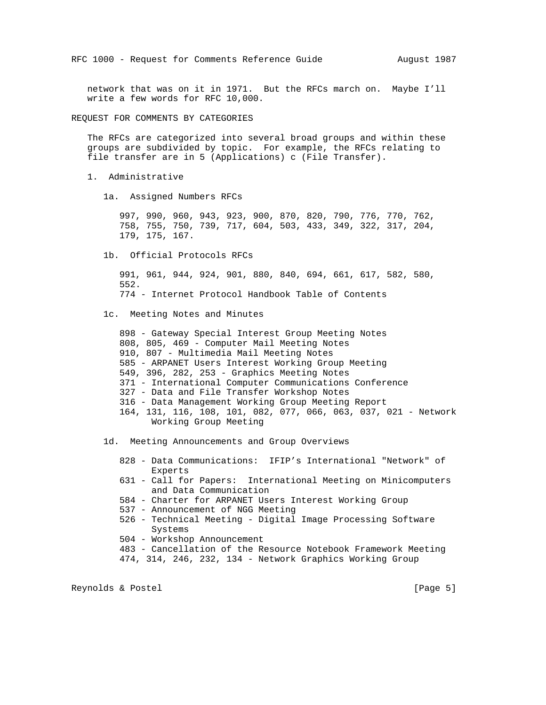network that was on it in 1971. But the RFCs march on. Maybe I'll write a few words for RFC 10,000.

REQUEST FOR COMMENTS BY CATEGORIES

 The RFCs are categorized into several broad groups and within these groups are subdivided by topic. For example, the RFCs relating to file transfer are in 5 (Applications) c (File Transfer).

- 1. Administrative
	- 1a. Assigned Numbers RFCs

 997, 990, 960, 943, 923, 900, 870, 820, 790, 776, 770, 762, 758, 755, 750, 739, 717, 604, 503, 433, 349, 322, 317, 204, 179, 175, 167.

1b. Official Protocols RFCs

 991, 961, 944, 924, 901, 880, 840, 694, 661, 617, 582, 580, 552. 774 - Internet Protocol Handbook Table of Contents

1c. Meeting Notes and Minutes

 898 - Gateway Special Interest Group Meeting Notes 808, 805, 469 - Computer Mail Meeting Notes 910, 807 - Multimedia Mail Meeting Notes 585 - ARPANET Users Interest Working Group Meeting 549, 396, 282, 253 - Graphics Meeting Notes 371 - International Computer Communications Conference 327 - Data and File Transfer Workshop Notes 316 - Data Management Working Group Meeting Report 164, 131, 116, 108, 101, 082, 077, 066, 063, 037, 021 - Network Working Group Meeting

1d. Meeting Announcements and Group Overviews

- 828 Data Communications: IFIP's International "Network" of Experts
- 631 Call for Papers: International Meeting on Minicomputers and Data Communication
- 584 Charter for ARPANET Users Interest Working Group
- 537 Announcement of NGG Meeting
- 526 Technical Meeting Digital Image Processing Software Systems
- 504 Workshop Announcement
- 483 Cancellation of the Resource Notebook Framework Meeting
- 474, 314, 246, 232, 134 Network Graphics Working Group

Reynolds & Postel [Page 5]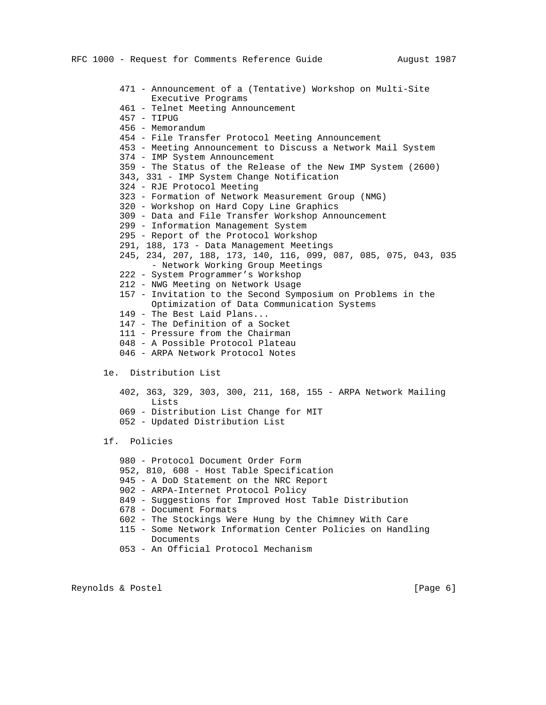```
 471 - Announcement of a (Tentative) Workshop on Multi-Site
         Executive Programs
   461 - Telnet Meeting Announcement
  457 - TIPUG
  456 - Memorandum
  454 - File Transfer Protocol Meeting Announcement
  453 - Meeting Announcement to Discuss a Network Mail System
  374 - IMP System Announcement
  359 - The Status of the Release of the New IMP System (2600)
  343, 331 - IMP System Change Notification
  324 - RJE Protocol Meeting
  323 - Formation of Network Measurement Group (NMG)
  320 - Workshop on Hard Copy Line Graphics
  309 - Data and File Transfer Workshop Announcement
  299 - Information Management System
  295 - Report of the Protocol Workshop
  291, 188, 173 - Data Management Meetings
  245, 234, 207, 188, 173, 140, 116, 099, 087, 085, 075, 043, 035
         - Network Working Group Meetings
  222 - System Programmer's Workshop
  212 - NWG Meeting on Network Usage
  157 - Invitation to the Second Symposium on Problems in the
         Optimization of Data Communication Systems
  149 - The Best Laid Plans...
  147 - The Definition of a Socket
  111 - Pressure from the Chairman
  048 - A Possible Protocol Plateau
  046 - ARPA Network Protocol Notes
1e. Distribution List
   402, 363, 329, 303, 300, 211, 168, 155 - ARPA Network Mailing
        Lists
   069 - Distribution List Change for MIT
  052 - Updated Distribution List
1f. Policies
  980 - Protocol Document Order Form
  952, 810, 608 - Host Table Specification
  945 - A DoD Statement on the NRC Report
  902 - ARPA-Internet Protocol Policy
  849 - Suggestions for Improved Host Table Distribution
  678 - Document Formats
  602 - The Stockings Were Hung by the Chimney With Care
  115 - Some Network Information Center Policies on Handling
         Documents
  053 - An Official Protocol Mechanism
```
Reynolds & Postel [Page 6]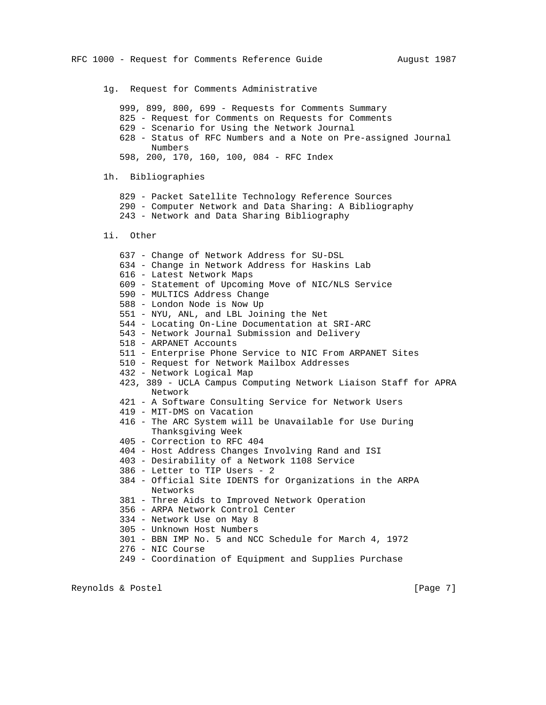```
RFC 1000 - Request for Comments Reference Guide August 1987
      1g. Request for Comments Administrative
         999, 899, 800, 699 - Requests for Comments Summary
         825 - Request for Comments on Requests for Comments
         629 - Scenario for Using the Network Journal
         628 - Status of RFC Numbers and a Note on Pre-assigned Journal
               Numbers
         598, 200, 170, 160, 100, 084 - RFC Index
      1h. Bibliographies
         829 - Packet Satellite Technology Reference Sources
         290 - Computer Network and Data Sharing: A Bibliography
         243 - Network and Data Sharing Bibliography
      1i. Other
         637 - Change of Network Address for SU-DSL
         634 - Change in Network Address for Haskins Lab
         616 - Latest Network Maps
         609 - Statement of Upcoming Move of NIC/NLS Service
         590 - MULTICS Address Change
         588 - London Node is Now Up
         551 - NYU, ANL, and LBL Joining the Net
         544 - Locating On-Line Documentation at SRI-ARC
         543 - Network Journal Submission and Delivery
         518 - ARPANET Accounts
         511 - Enterprise Phone Service to NIC From ARPANET Sites
         510 - Request for Network Mailbox Addresses
         432 - Network Logical Map
         423, 389 - UCLA Campus Computing Network Liaison Staff for APRA
              Network
         421 - A Software Consulting Service for Network Users
         419 - MIT-DMS on Vacation
         416 - The ARC System will be Unavailable for Use During
               Thanksgiving Week
         405 - Correction to RFC 404
         404 - Host Address Changes Involving Rand and ISI
         403 - Desirability of a Network 1108 Service
         386 - Letter to TIP Users - 2
         384 - Official Site IDENTS for Organizations in the ARPA
               Networks
         381 - Three Aids to Improved Network Operation
         356 - ARPA Network Control Center
         334 - Network Use on May 8
         305 - Unknown Host Numbers
         301 - BBN IMP No. 5 and NCC Schedule for March 4, 1972
         276 - NIC Course
         249 - Coordination of Equipment and Supplies Purchase
```
Reynolds & Postel **Example 2** (Page 7)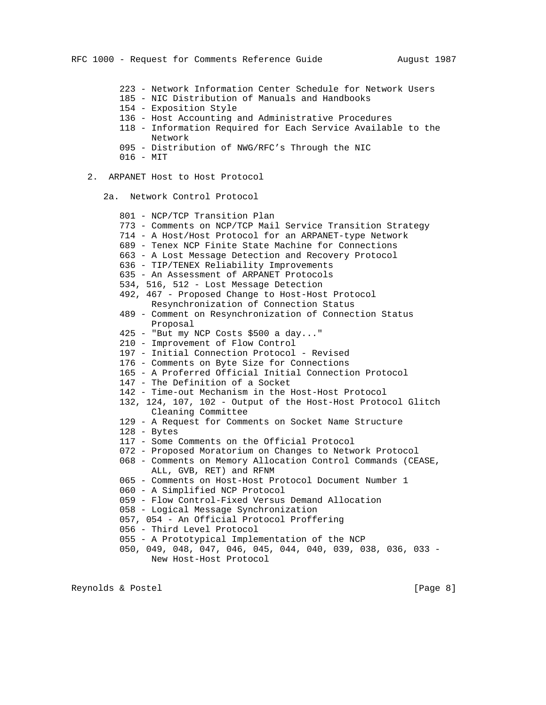223 - Network Information Center Schedule for Network Users 185 - NIC Distribution of Manuals and Handbooks 154 - Exposition Style 136 - Host Accounting and Administrative Procedures 118 - Information Required for Each Service Available to the Network 095 - Distribution of NWG/RFC's Through the NIC 016 - MIT 2. ARPANET Host to Host Protocol 2a. Network Control Protocol 801 - NCP/TCP Transition Plan 773 - Comments on NCP/TCP Mail Service Transition Strategy 714 - A Host/Host Protocol for an ARPANET-type Network 689 - Tenex NCP Finite State Machine for Connections 663 - A Lost Message Detection and Recovery Protocol 636 - TIP/TENEX Reliability Improvements 635 - An Assessment of ARPANET Protocols 534, 516, 512 - Lost Message Detection 492, 467 - Proposed Change to Host-Host Protocol Resynchronization of Connection Status 489 - Comment on Resynchronization of Connection Status Proposal 425 - "But my NCP Costs \$500 a day..." 210 - Improvement of Flow Control 197 - Initial Connection Protocol - Revised 176 - Comments on Byte Size for Connections 165 - A Proferred Official Initial Connection Protocol 147 - The Definition of a Socket 142 - Time-out Mechanism in the Host-Host Protocol 132, 124, 107, 102 - Output of the Host-Host Protocol Glitch Cleaning Committee 129 - A Request for Comments on Socket Name Structure 128 - Bytes 117 - Some Comments on the Official Protocol 072 - Proposed Moratorium on Changes to Network Protocol 068 - Comments on Memory Allocation Control Commands (CEASE, ALL, GVB, RET) and RFNM 065 - Comments on Host-Host Protocol Document Number 1 060 - A Simplified NCP Protocol 059 - Flow Control-Fixed Versus Demand Allocation 058 - Logical Message Synchronization 057, 054 - An Official Protocol Proffering 056 - Third Level Protocol 055 - A Prototypical Implementation of the NCP 050, 049, 048, 047, 046, 045, 044, 040, 039, 038, 036, 033 - New Host-Host Protocol

Reynolds & Postel [Page 8]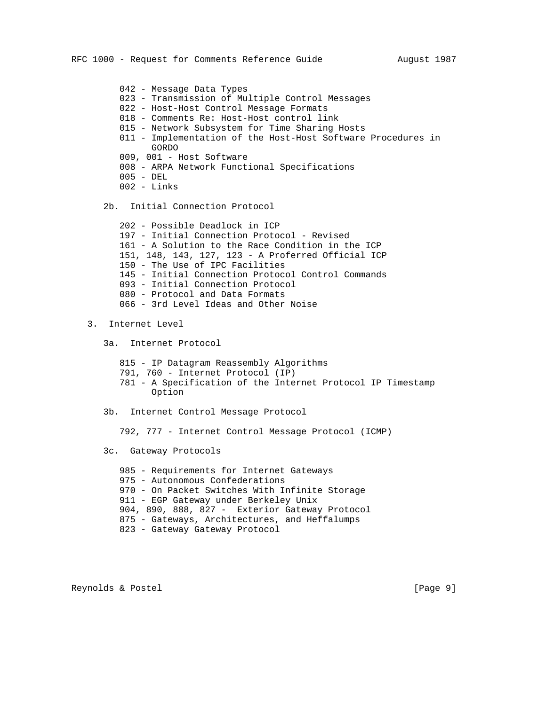042 - Message Data Types 023 - Transmission of Multiple Control Messages 022 - Host-Host Control Message Formats 018 - Comments Re: Host-Host control link 015 - Network Subsystem for Time Sharing Hosts 011 - Implementation of the Host-Host Software Procedures in GORDO 009, 001 - Host Software 008 - ARPA Network Functional Specifications 005 - DEL 002 - Links 2b. Initial Connection Protocol 202 - Possible Deadlock in ICP 197 - Initial Connection Protocol - Revised 161 - A Solution to the Race Condition in the ICP 151, 148, 143, 127, 123 - A Proferred Official ICP 150 - The Use of IPC Facilities 145 - Initial Connection Protocol Control Commands 093 - Initial Connection Protocol 080 - Protocol and Data Formats 066 - 3rd Level Ideas and Other Noise 3. Internet Level 3a. Internet Protocol 815 - IP Datagram Reassembly Algorithms 791, 760 - Internet Protocol (IP) 781 - A Specification of the Internet Protocol IP Timestamp Option 3b. Internet Control Message Protocol 792, 777 - Internet Control Message Protocol (ICMP) 3c. Gateway Protocols 985 - Requirements for Internet Gateways 975 - Autonomous Confederations 970 - On Packet Switches With Infinite Storage 911 - EGP Gateway under Berkeley Unix 904, 890, 888, 827 - Exterior Gateway Protocol 875 - Gateways, Architectures, and Heffalumps 823 - Gateway Gateway Protocol

Reynolds & Postel [Page 9]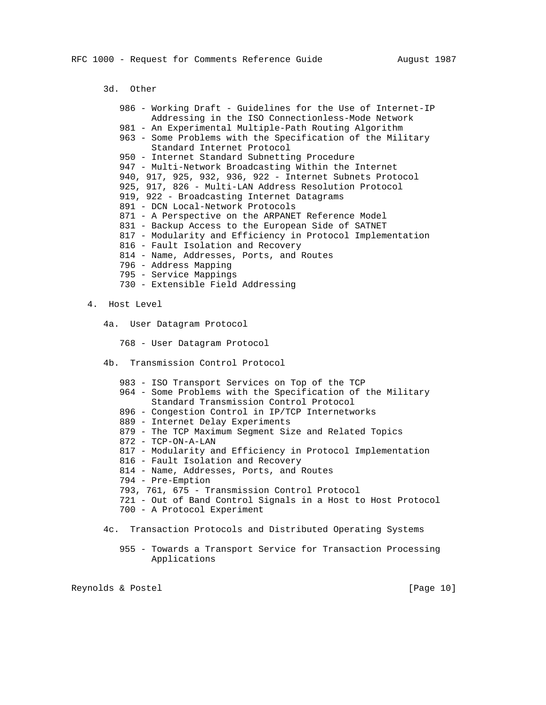3d. Other 986 - Working Draft - Guidelines for the Use of Internet-IP Addressing in the ISO Connectionless-Mode Network 981 - An Experimental Multiple-Path Routing Algorithm 963 - Some Problems with the Specification of the Military Standard Internet Protocol 950 - Internet Standard Subnetting Procedure 947 - Multi-Network Broadcasting Within the Internet 940, 917, 925, 932, 936, 922 - Internet Subnets Protocol 925, 917, 826 - Multi-LAN Address Resolution Protocol 919, 922 - Broadcasting Internet Datagrams 891 - DCN Local-Network Protocols 871 - A Perspective on the ARPANET Reference Model 831 - Backup Access to the European Side of SATNET 817 - Modularity and Efficiency in Protocol Implementation 816 - Fault Isolation and Recovery 814 - Name, Addresses, Ports, and Routes 796 - Address Mapping 795 - Service Mappings 730 - Extensible Field Addressing 4. Host Level 4a. User Datagram Protocol 768 - User Datagram Protocol 4b. Transmission Control Protocol 983 - ISO Transport Services on Top of the TCP 964 - Some Problems with the Specification of the Military Standard Transmission Control Protocol 896 - Congestion Control in IP/TCP Internetworks 889 - Internet Delay Experiments 879 - The TCP Maximum Segment Size and Related Topics 872 - TCP-ON-A-LAN 817 - Modularity and Efficiency in Protocol Implementation 816 - Fault Isolation and Recovery 814 - Name, Addresses, Ports, and Routes 794 - Pre-Emption 793, 761, 675 - Transmission Control Protocol 721 - Out of Band Control Signals in a Host to Host Protocol 700 - A Protocol Experiment 4c. Transaction Protocols and Distributed Operating Systems 955 - Towards a Transport Service for Transaction Processing

Reynolds & Postel [Page 10]

Applications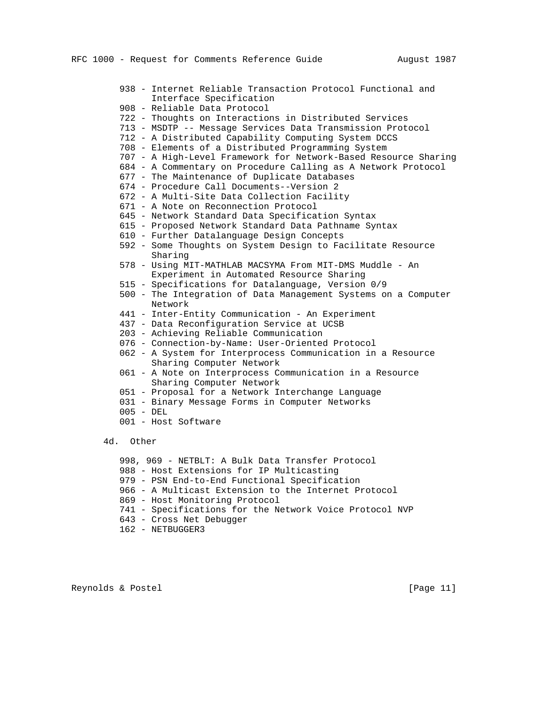938 - Internet Reliable Transaction Protocol Functional and Interface Specification 908 - Reliable Data Protocol 722 - Thoughts on Interactions in Distributed Services 713 - MSDTP -- Message Services Data Transmission Protocol 712 - A Distributed Capability Computing System DCCS 708 - Elements of a Distributed Programming System 707 - A High-Level Framework for Network-Based Resource Sharing 684 - A Commentary on Procedure Calling as A Network Protocol 677 - The Maintenance of Duplicate Databases 674 - Procedure Call Documents--Version 2 672 - A Multi-Site Data Collection Facility 671 - A Note on Reconnection Protocol 645 - Network Standard Data Specification Syntax 615 - Proposed Network Standard Data Pathname Syntax 610 - Further Datalanguage Design Concepts 592 - Some Thoughts on System Design to Facilitate Resource Sharing 578 - Using MIT-MATHLAB MACSYMA From MIT-DMS Muddle - An Experiment in Automated Resource Sharing 515 - Specifications for Datalanguage, Version 0/9 500 - The Integration of Data Management Systems on a Computer Network 441 - Inter-Entity Communication - An Experiment 437 - Data Reconfiguration Service at UCSB 203 - Achieving Reliable Communication 076 - Connection-by-Name: User-Oriented Protocol 062 - A System for Interprocess Communication in a Resource Sharing Computer Network 061 - A Note on Interprocess Communication in a Resource Sharing Computer Network 051 - Proposal for a Network Interchange Language 031 - Binary Message Forms in Computer Networks 005 - DEL 001 - Host Software 4d. Other

 998, 969 - NETBLT: A Bulk Data Transfer Protocol 988 - Host Extensions for IP Multicasting 979 - PSN End-to-End Functional Specification 966 - A Multicast Extension to the Internet Protocol 869 - Host Monitoring Protocol 741 - Specifications for the Network Voice Protocol NVP 643 - Cross Net Debugger

162 - NETBUGGER3

Reynolds & Postel [Page 11]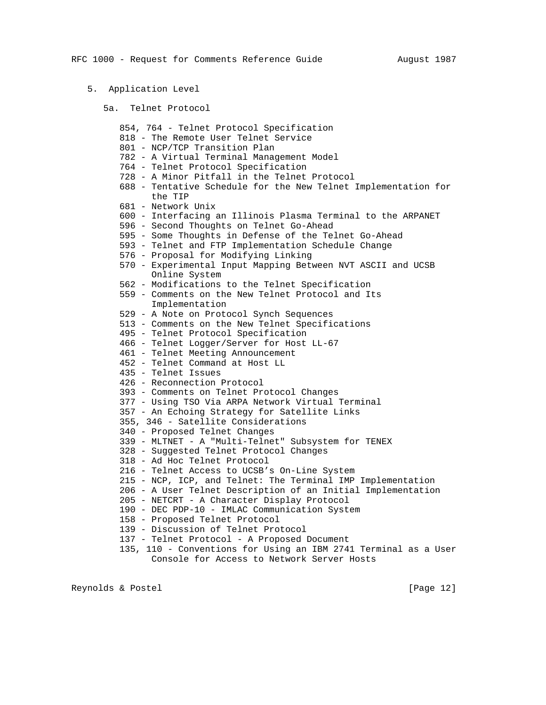5. Application Level

| Telnet Protocol |  |  |  |  |
|-----------------|--|--|--|--|
|-----------------|--|--|--|--|

 854, 764 - Telnet Protocol Specification 818 - The Remote User Telnet Service 801 - NCP/TCP Transition Plan 782 - A Virtual Terminal Management Model 764 - Telnet Protocol Specification 728 - A Minor Pitfall in the Telnet Protocol 688 - Tentative Schedule for the New Telnet Implementation for the TIP 681 - Network Unix 600 - Interfacing an Illinois Plasma Terminal to the ARPANET 596 - Second Thoughts on Telnet Go-Ahead 595 - Some Thoughts in Defense of the Telnet Go-Ahead 593 - Telnet and FTP Implementation Schedule Change 576 - Proposal for Modifying Linking 570 - Experimental Input Mapping Between NVT ASCII and UCSB Online System 562 - Modifications to the Telnet Specification 559 - Comments on the New Telnet Protocol and Its Implementation 529 - A Note on Protocol Synch Sequences 513 - Comments on the New Telnet Specifications 495 - Telnet Protocol Specification 466 - Telnet Logger/Server for Host LL-67 461 - Telnet Meeting Announcement 452 - Telnet Command at Host LL 435 - Telnet Issues 426 - Reconnection Protocol 393 - Comments on Telnet Protocol Changes 377 - Using TSO Via ARPA Network Virtual Terminal 357 - An Echoing Strategy for Satellite Links 355, 346 - Satellite Considerations 340 - Proposed Telnet Changes 339 - MLTNET - A "Multi-Telnet" Subsystem for TENEX 328 - Suggested Telnet Protocol Changes 318 - Ad Hoc Telnet Protocol 216 - Telnet Access to UCSB's On-Line System 215 - NCP, ICP, and Telnet: The Terminal IMP Implementation 206 - A User Telnet Description of an Initial Implementation 205 - NETCRT - A Character Display Protocol 190 - DEC PDP-10 - IMLAC Communication System 158 - Proposed Telnet Protocol 139 - Discussion of Telnet Protocol 137 - Telnet Protocol - A Proposed Document 135, 110 - Conventions for Using an IBM 2741 Terminal as a User Console for Access to Network Server Hosts

Reynolds & Postel [Page 12]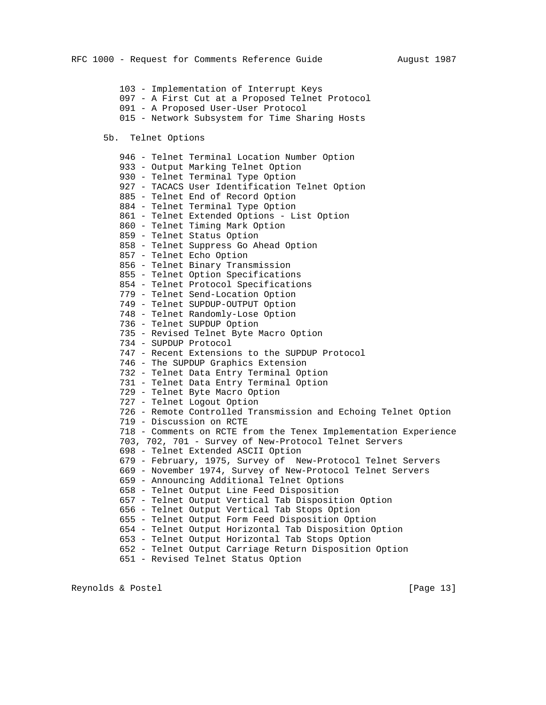103 - Implementation of Interrupt Keys 097 - A First Cut at a Proposed Telnet Protocol 091 - A Proposed User-User Protocol 015 - Network Subsystem for Time Sharing Hosts 5b. Telnet Options 946 - Telnet Terminal Location Number Option 933 - Output Marking Telnet Option 930 - Telnet Terminal Type Option 927 - TACACS User Identification Telnet Option 885 - Telnet End of Record Option 884 - Telnet Terminal Type Option 861 - Telnet Extended Options - List Option 860 - Telnet Timing Mark Option 859 - Telnet Status Option 858 - Telnet Suppress Go Ahead Option 857 - Telnet Echo Option 856 - Telnet Binary Transmission 855 - Telnet Option Specifications 854 - Telnet Protocol Specifications 779 - Telnet Send-Location Option 749 - Telnet SUPDUP-OUTPUT Option 748 - Telnet Randomly-Lose Option 736 - Telnet SUPDUP Option 735 - Revised Telnet Byte Macro Option 734 - SUPDUP Protocol 747 - Recent Extensions to the SUPDUP Protocol 746 - The SUPDUP Graphics Extension 732 - Telnet Data Entry Terminal Option 731 - Telnet Data Entry Terminal Option 729 - Telnet Byte Macro Option 727 - Telnet Logout Option 726 - Remote Controlled Transmission and Echoing Telnet Option 719 - Discussion on RCTE 718 - Comments on RCTE from the Tenex Implementation Experience 703, 702, 701 - Survey of New-Protocol Telnet Servers 698 - Telnet Extended ASCII Option 679 - February, 1975, Survey of New-Protocol Telnet Servers 669 - November 1974, Survey of New-Protocol Telnet Servers 659 - Announcing Additional Telnet Options 658 - Telnet Output Line Feed Disposition 657 - Telnet Output Vertical Tab Disposition Option 656 - Telnet Output Vertical Tab Stops Option 655 - Telnet Output Form Feed Disposition Option 654 - Telnet Output Horizontal Tab Disposition Option 653 - Telnet Output Horizontal Tab Stops Option 652 - Telnet Output Carriage Return Disposition Option 651 - Revised Telnet Status Option

Reynolds & Postel [Page 13]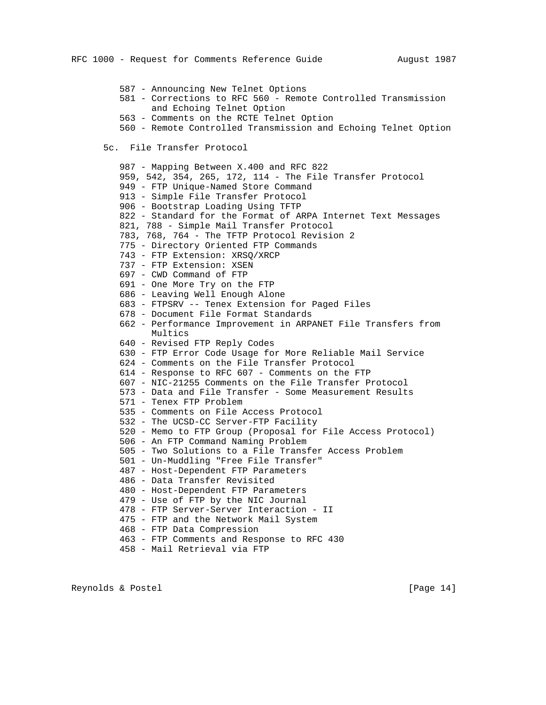587 - Announcing New Telnet Options 581 - Corrections to RFC 560 - Remote Controlled Transmission and Echoing Telnet Option 563 - Comments on the RCTE Telnet Option 560 - Remote Controlled Transmission and Echoing Telnet Option 5c. File Transfer Protocol 987 - Mapping Between X.400 and RFC 822 959, 542, 354, 265, 172, 114 - The File Transfer Protocol 949 - FTP Unique-Named Store Command 913 - Simple File Transfer Protocol 906 - Bootstrap Loading Using TFTP 822 - Standard for the Format of ARPA Internet Text Messages 821, 788 - Simple Mail Transfer Protocol 783, 768, 764 - The TFTP Protocol Revision 2 775 - Directory Oriented FTP Commands 743 - FTP Extension: XRSQ/XRCP 737 - FTP Extension: XSEN 697 - CWD Command of FTP 691 - One More Try on the FTP 686 - Leaving Well Enough Alone 683 - FTPSRV -- Tenex Extension for Paged Files 678 - Document File Format Standards 662 - Performance Improvement in ARPANET File Transfers from Multics 640 - Revised FTP Reply Codes 630 - FTP Error Code Usage for More Reliable Mail Service 624 - Comments on the File Transfer Protocol 614 - Response to RFC 607 - Comments on the FTP 607 - NIC-21255 Comments on the File Transfer Protocol 573 - Data and File Transfer - Some Measurement Results 571 - Tenex FTP Problem 535 - Comments on File Access Protocol 532 - The UCSD-CC Server-FTP Facility 520 - Memo to FTP Group (Proposal for File Access Protocol) 506 - An FTP Command Naming Problem 505 - Two Solutions to a File Transfer Access Problem 501 - Un-Muddling "Free File Transfer" 487 - Host-Dependent FTP Parameters 486 - Data Transfer Revisited 480 - Host-Dependent FTP Parameters 479 - Use of FTP by the NIC Journal 478 - FTP Server-Server Interaction - II 475 - FTP and the Network Mail System 468 - FTP Data Compression 463 - FTP Comments and Response to RFC 430 458 - Mail Retrieval via FTP

Reynolds & Postel [Page 14]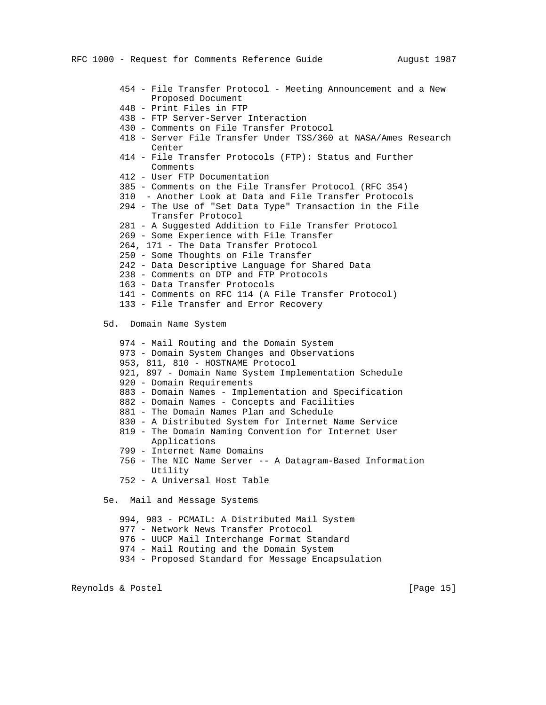454 - File Transfer Protocol - Meeting Announcement and a New Proposed Document 448 - Print Files in FTP 438 - FTP Server-Server Interaction 430 - Comments on File Transfer Protocol 418 - Server File Transfer Under TSS/360 at NASA/Ames Research Center 414 - File Transfer Protocols (FTP): Status and Further Comments 412 - User FTP Documentation 385 - Comments on the File Transfer Protocol (RFC 354) 310 - Another Look at Data and File Transfer Protocols 294 - The Use of "Set Data Type" Transaction in the File Transfer Protocol 281 - A Suggested Addition to File Transfer Protocol 269 - Some Experience with File Transfer 264, 171 - The Data Transfer Protocol 250 - Some Thoughts on File Transfer 242 - Data Descriptive Language for Shared Data 238 - Comments on DTP and FTP Protocols 163 - Data Transfer Protocols 141 - Comments on RFC 114 (A File Transfer Protocol) 133 - File Transfer and Error Recovery 5d. Domain Name System 974 - Mail Routing and the Domain System 973 - Domain System Changes and Observations 953, 811, 810 - HOSTNAME Protocol 921, 897 - Domain Name System Implementation Schedule 920 - Domain Requirements 883 - Domain Names - Implementation and Specification 882 - Domain Names - Concepts and Facilities 881 - The Domain Names Plan and Schedule 830 - A Distributed System for Internet Name Service 819 - The Domain Naming Convention for Internet User Applications 799 - Internet Name Domains 756 - The NIC Name Server -- A Datagram-Based Information Utility 752 - A Universal Host Table 5e. Mail and Message Systems 994, 983 - PCMAIL: A Distributed Mail System 977 - Network News Transfer Protocol 976 - UUCP Mail Interchange Format Standard 974 - Mail Routing and the Domain System 934 - Proposed Standard for Message Encapsulation

Reynolds & Postel [Page 15]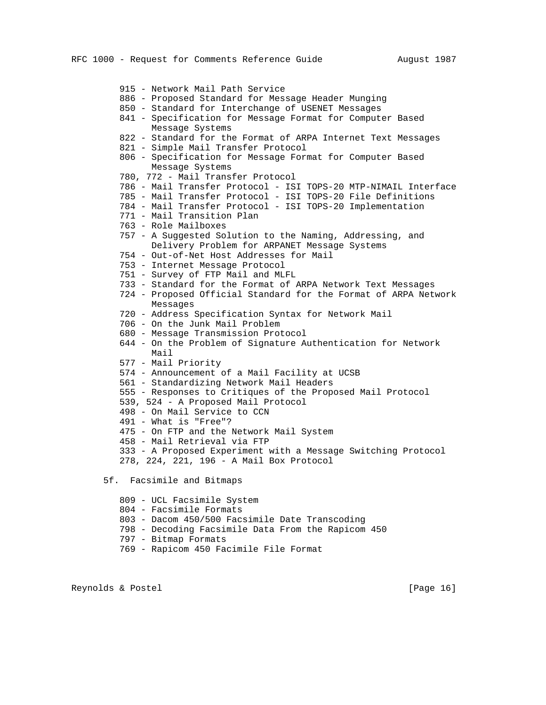915 - Network Mail Path Service 886 - Proposed Standard for Message Header Munging 850 - Standard for Interchange of USENET Messages 841 - Specification for Message Format for Computer Based Message Systems 822 - Standard for the Format of ARPA Internet Text Messages 821 - Simple Mail Transfer Protocol 806 - Specification for Message Format for Computer Based Message Systems 780, 772 - Mail Transfer Protocol 786 - Mail Transfer Protocol - ISI TOPS-20 MTP-NIMAIL Interface 785 - Mail Transfer Protocol - ISI TOPS-20 File Definitions 784 - Mail Transfer Protocol - ISI TOPS-20 Implementation 771 - Mail Transition Plan 763 - Role Mailboxes 757 - A Suggested Solution to the Naming, Addressing, and Delivery Problem for ARPANET Message Systems 754 - Out-of-Net Host Addresses for Mail 753 - Internet Message Protocol 751 - Survey of FTP Mail and MLFL 733 - Standard for the Format of ARPA Network Text Messages 724 - Proposed Official Standard for the Format of ARPA Network Messages 720 - Address Specification Syntax for Network Mail 706 - On the Junk Mail Problem 680 - Message Transmission Protocol 644 - On the Problem of Signature Authentication for Network Mail 577 - Mail Priority 574 - Announcement of a Mail Facility at UCSB 561 - Standardizing Network Mail Headers 555 - Responses to Critiques of the Proposed Mail Protocol 539, 524 - A Proposed Mail Protocol 498 - On Mail Service to CCN 491 - What is "Free"? 475 - On FTP and the Network Mail System 458 - Mail Retrieval via FTP 333 - A Proposed Experiment with a Message Switching Protocol 278, 224, 221, 196 - A Mail Box Protocol 5f. Facsimile and Bitmaps

 809 - UCL Facsimile System 804 - Facsimile Formats 803 - Dacom 450/500 Facsimile Date Transcoding 798 - Decoding Facsimile Data From the Rapicom 450 797 - Bitmap Formats 769 - Rapicom 450 Facimile File Format

Reynolds & Postel [Page 16]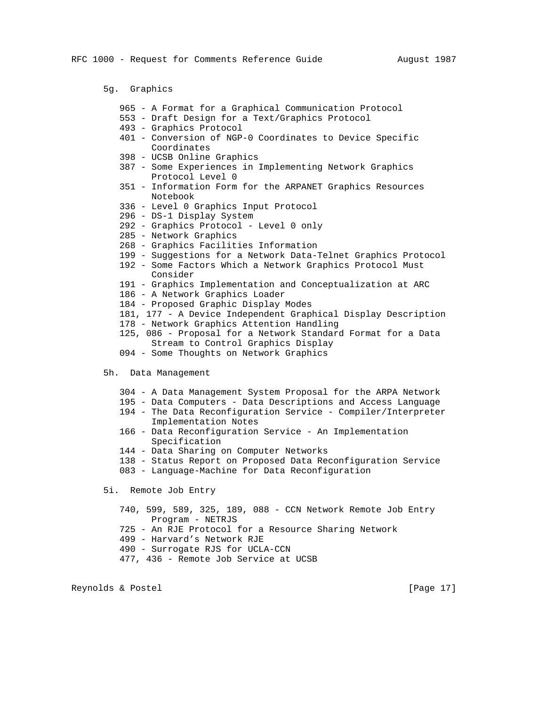5g. Graphics 965 - A Format for a Graphical Communication Protocol 553 - Draft Design for a Text/Graphics Protocol 493 - Graphics Protocol 401 - Conversion of NGP-0 Coordinates to Device Specific Coordinates 398 - UCSB Online Graphics 387 - Some Experiences in Implementing Network Graphics Protocol Level 0 351 - Information Form for the ARPANET Graphics Resources Notebook 336 - Level 0 Graphics Input Protocol 296 - DS-1 Display System 292 - Graphics Protocol - Level 0 only 285 - Network Graphics 268 - Graphics Facilities Information 199 - Suggestions for a Network Data-Telnet Graphics Protocol 192 - Some Factors Which a Network Graphics Protocol Must Consider 191 - Graphics Implementation and Conceptualization at ARC 186 - A Network Graphics Loader

- 184 Proposed Graphic Display Modes
- 181, 177 A Device Independent Graphical Display Description
- 178 Network Graphics Attention Handling
- 125, 086 Proposal for a Network Standard Format for a Data Stream to Control Graphics Display
- 094 Some Thoughts on Network Graphics
- 5h. Data Management
	- 304 A Data Management System Proposal for the ARPA Network
	- 195 Data Computers Data Descriptions and Access Language
	- 194 The Data Reconfiguration Service Compiler/Interpreter Implementation Notes
	- 166 Data Reconfiguration Service An Implementation Specification
	- 144 Data Sharing on Computer Networks
	- 138 Status Report on Proposed Data Reconfiguration Service
	- 083 Language-Machine for Data Reconfiguration

5i. Remote Job Entry

 740, 599, 589, 325, 189, 088 - CCN Network Remote Job Entry Program - NETRJS

- 725 An RJE Protocol for a Resource Sharing Network
- 499 Harvard's Network RJE
- 490 Surrogate RJS for UCLA-CCN
- 477, 436 Remote Job Service at UCSB

Reynolds & Postel [Page 17]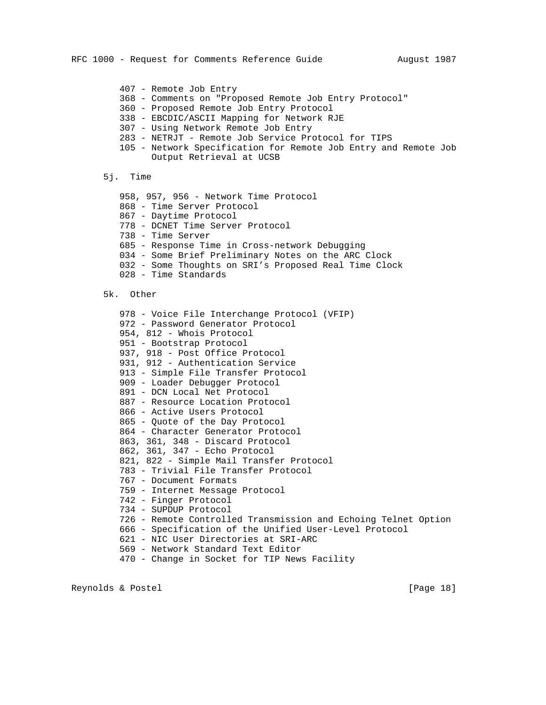- 407 Remote Job Entry
- 368 Comments on "Proposed Remote Job Entry Protocol"
- 360 Proposed Remote Job Entry Protocol
- 338 EBCDIC/ASCII Mapping for Network RJE
- 307 Using Network Remote Job Entry
- 283 NETRJT Remote Job Service Protocol for TIPS
- 105 Network Specification for Remote Job Entry and Remote Job Output Retrieval at UCSB

## 5j. Time

- 958, 957, 956 Network Time Protocol 868 - Time Server Protocol 867 - Daytime Protocol 778 - DCNET Time Server Protocol 738 - Time Server 685 - Response Time in Cross-network Debugging 034 - Some Brief Preliminary Notes on the ARC Clock 032 - Some Thoughts on SRI's Proposed Real Time Clock
- 028 Time Standards

#### 5k. Other

 978 - Voice File Interchange Protocol (VFIP) 972 - Password Generator Protocol 954, 812 - Whois Protocol 951 - Bootstrap Protocol 937, 918 - Post Office Protocol 931, 912 - Authentication Service 913 - Simple File Transfer Protocol 909 - Loader Debugger Protocol 891 - DCN Local Net Protocol 887 - Resource Location Protocol 866 - Active Users Protocol 865 - Quote of the Day Protocol 864 - Character Generator Protocol 863, 361, 348 - Discard Protocol 862, 361, 347 - Echo Protocol 821, 822 - Simple Mail Transfer Protocol 783 - Trivial File Transfer Protocol 767 - Document Formats 759 - Internet Message Protocol 742 - Finger Protocol 734 - SUPDUP Protocol 726 - Remote Controlled Transmission and Echoing Telnet Option 666 - Specification of the Unified User-Level Protocol 621 - NIC User Directories at SRI-ARC 569 - Network Standard Text Editor 470 - Change in Socket for TIP News Facility

Reynolds & Postel [Page 18]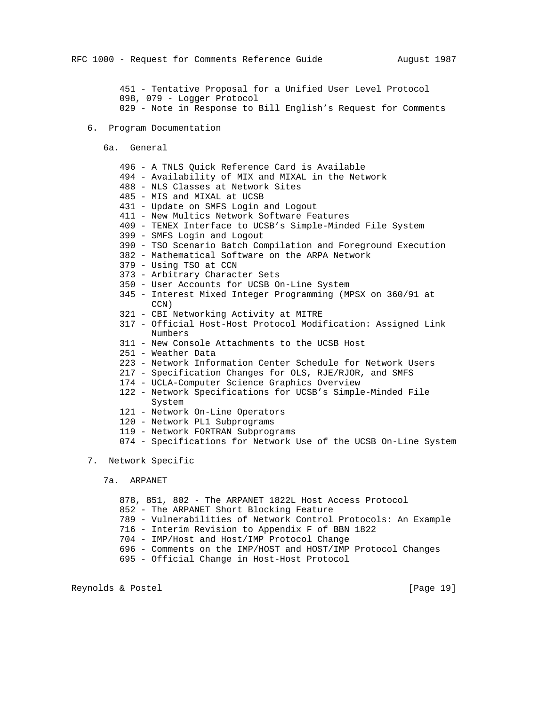451 - Tentative Proposal for a Unified User Level Protocol 098, 079 - Logger Protocol 029 - Note in Response to Bill English's Request for Comments 6. Program Documentation 6a. General 496 - A TNLS Quick Reference Card is Available 494 - Availability of MIX and MIXAL in the Network 488 - NLS Classes at Network Sites 485 - MIS and MIXAL at UCSB 431 - Update on SMFS Login and Logout 411 - New Multics Network Software Features 409 - TENEX Interface to UCSB's Simple-Minded File System 399 - SMFS Login and Logout 390 - TSO Scenario Batch Compilation and Foreground Execution 382 - Mathematical Software on the ARPA Network 379 - Using TSO at CCN 373 - Arbitrary Character Sets 350 - User Accounts for UCSB On-Line System 345 - Interest Mixed Integer Programming (MPSX on 360/91 at CCN) 321 - CBI Networking Activity at MITRE 317 - Official Host-Host Protocol Modification: Assigned Link Numbers 311 - New Console Attachments to the UCSB Host 251 - Weather Data 223 - Network Information Center Schedule for Network Users 217 - Specification Changes for OLS, RJE/RJOR, and SMFS 174 - UCLA-Computer Science Graphics Overview 122 - Network Specifications for UCSB's Simple-Minded File System 121 - Network On-Line Operators 120 - Network PL1 Subprograms 119 - Network FORTRAN Subprograms 074 - Specifications for Network Use of the UCSB On-Line System

## 7. Network Specific

#### 7a. ARPANET

 878, 851, 802 - The ARPANET 1822L Host Access Protocol 852 - The ARPANET Short Blocking Feature 789 - Vulnerabilities of Network Control Protocols: An Example 716 - Interim Revision to Appendix F of BBN 1822 704 - IMP/Host and Host/IMP Protocol Change 696 - Comments on the IMP/HOST and HOST/IMP Protocol Changes 695 - Official Change in Host-Host Protocol

Reynolds & Postel [Page 19]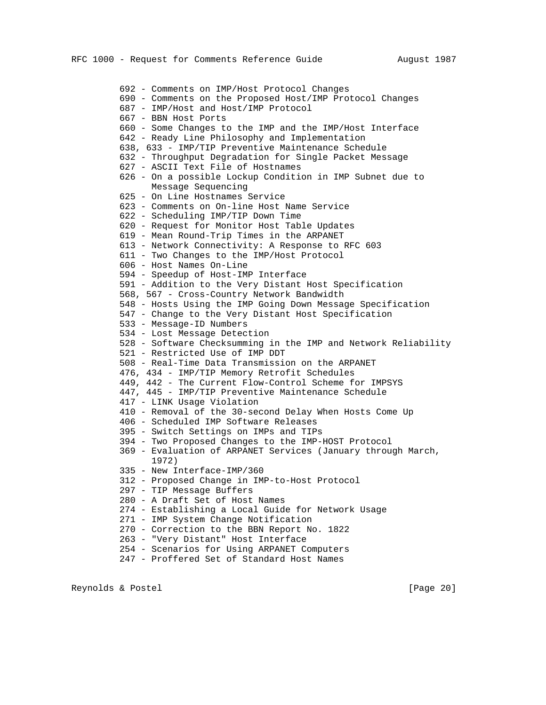692 - Comments on IMP/Host Protocol Changes 690 - Comments on the Proposed Host/IMP Protocol Changes 687 - IMP/Host and Host/IMP Protocol 667 - BBN Host Ports 660 - Some Changes to the IMP and the IMP/Host Interface 642 - Ready Line Philosophy and Implementation 638, 633 - IMP/TIP Preventive Maintenance Schedule 632 - Throughput Degradation for Single Packet Message 627 - ASCII Text File of Hostnames 626 - On a possible Lockup Condition in IMP Subnet due to Message Sequencing 625 - On Line Hostnames Service 623 - Comments on On-line Host Name Service 622 - Scheduling IMP/TIP Down Time 620 - Request for Monitor Host Table Updates 619 - Mean Round-Trip Times in the ARPANET 613 - Network Connectivity: A Response to RFC 603 611 - Two Changes to the IMP/Host Protocol 606 - Host Names On-Line 594 - Speedup of Host-IMP Interface 591 - Addition to the Very Distant Host Specification 568, 567 - Cross-Country Network Bandwidth 548 - Hosts Using the IMP Going Down Message Specification 547 - Change to the Very Distant Host Specification 533 - Message-ID Numbers 534 - Lost Message Detection 528 - Software Checksumming in the IMP and Network Reliability 521 - Restricted Use of IMP DDT 508 - Real-Time Data Transmission on the ARPANET 476, 434 - IMP/TIP Memory Retrofit Schedules 449, 442 - The Current Flow-Control Scheme for IMPSYS 447, 445 - IMP/TIP Preventive Maintenance Schedule 417 - LINK Usage Violation 410 - Removal of the 30-second Delay When Hosts Come Up 406 - Scheduled IMP Software Releases 395 - Switch Settings on IMPs and TIPs 394 - Two Proposed Changes to the IMP-HOST Protocol 369 - Evaluation of ARPANET Services (January through March, 1972) 335 - New Interface-IMP/360 312 - Proposed Change in IMP-to-Host Protocol 297 - TIP Message Buffers 280 - A Draft Set of Host Names 274 - Establishing a Local Guide for Network Usage 271 - IMP System Change Notification 270 - Correction to the BBN Report No. 1822 263 - "Very Distant" Host Interface 254 - Scenarios for Using ARPANET Computers 247 - Proffered Set of Standard Host Names

Reynolds & Postel [Page 20]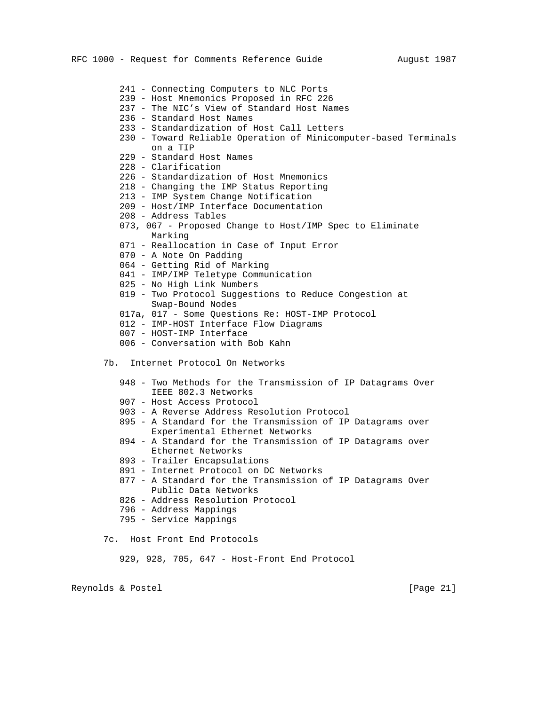241 - Connecting Computers to NLC Ports 239 - Host Mnemonics Proposed in RFC 226 237 - The NIC's View of Standard Host Names 236 - Standard Host Names 233 - Standardization of Host Call Letters 230 - Toward Reliable Operation of Minicomputer-based Terminals on a TIP 229 - Standard Host Names 228 - Clarification 226 - Standardization of Host Mnemonics 218 - Changing the IMP Status Reporting 213 - IMP System Change Notification 209 - Host/IMP Interface Documentation 208 - Address Tables 073, 067 - Proposed Change to Host/IMP Spec to Eliminate Marking 071 - Reallocation in Case of Input Error 070 - A Note On Padding 064 - Getting Rid of Marking 041 - IMP/IMP Teletype Communication 025 - No High Link Numbers 019 - Two Protocol Suggestions to Reduce Congestion at Swap-Bound Nodes 017a, 017 - Some Questions Re: HOST-IMP Protocol 012 - IMP-HOST Interface Flow Diagrams 007 - HOST-IMP Interface 006 - Conversation with Bob Kahn 7b. Internet Protocol On Networks 948 - Two Methods for the Transmission of IP Datagrams Over IEEE 802.3 Networks 907 - Host Access Protocol 903 - A Reverse Address Resolution Protocol 895 - A Standard for the Transmission of IP Datagrams over Experimental Ethernet Networks 894 - A Standard for the Transmission of IP Datagrams over Ethernet Networks 893 - Trailer Encapsulations 891 - Internet Protocol on DC Networks 877 - A Standard for the Transmission of IP Datagrams Over Public Data Networks 826 - Address Resolution Protocol 796 - Address Mappings

- 795 Service Mappings
- 7c. Host Front End Protocols

929, 928, 705, 647 - Host-Front End Protocol

Reynolds & Postel [Page 21]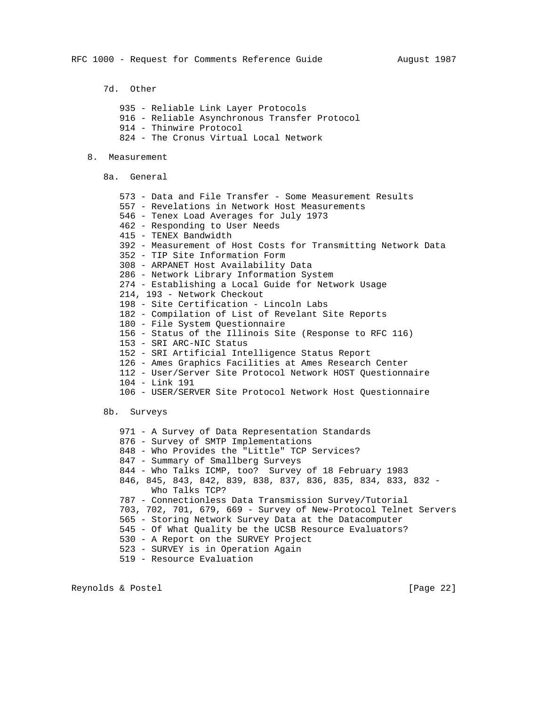7d. Other

 935 - Reliable Link Layer Protocols 916 - Reliable Asynchronous Transfer Protocol 914 - Thinwire Protocol 824 - The Cronus Virtual Local Network

8. Measurement

8a. General

```
 573 - Data and File Transfer - Some Measurement Results
  557 - Revelations in Network Host Measurements
  546 - Tenex Load Averages for July 1973
  462 - Responding to User Needs
  415 - TENEX Bandwidth
  392 - Measurement of Host Costs for Transmitting Network Data
  352 - TIP Site Information Form
  308 - ARPANET Host Availability Data
  286 - Network Library Information System
  274 - Establishing a Local Guide for Network Usage
  214, 193 - Network Checkout
  198 - Site Certification - Lincoln Labs
  182 - Compilation of List of Revelant Site Reports
  180 - File System Questionnaire
  156 - Status of the Illinois Site (Response to RFC 116)
  153 - SRI ARC-NIC Status
  152 - SRI Artificial Intelligence Status Report
  126 - Ames Graphics Facilities at Ames Research Center
  112 - User/Server Site Protocol Network HOST Questionnaire
  104 - Link 191
  106 - USER/SERVER Site Protocol Network Host Questionnaire
8b. Surveys
   971 - A Survey of Data Representation Standards
   876 - Survey of SMTP Implementations
  848 - Who Provides the "Little" TCP Services?
   847 - Summary of Smallberg Surveys
  844 - Who Talks ICMP, too? Survey of 18 February 1983
  846, 845, 843, 842, 839, 838, 837, 836, 835, 834, 833, 832 -
         Who Talks TCP?
  787 - Connectionless Data Transmission Survey/Tutorial
  703, 702, 701, 679, 669 - Survey of New-Protocol Telnet Servers
```
565 - Storing Network Survey Data at the Datacomputer

- 545 Of What Quality be the UCSB Resource Evaluators?
- 530 A Report on the SURVEY Project
- 523 SURVEY is in Operation Again
- 519 Resource Evaluation

Reynolds & Postel **Example 22** (Page 22)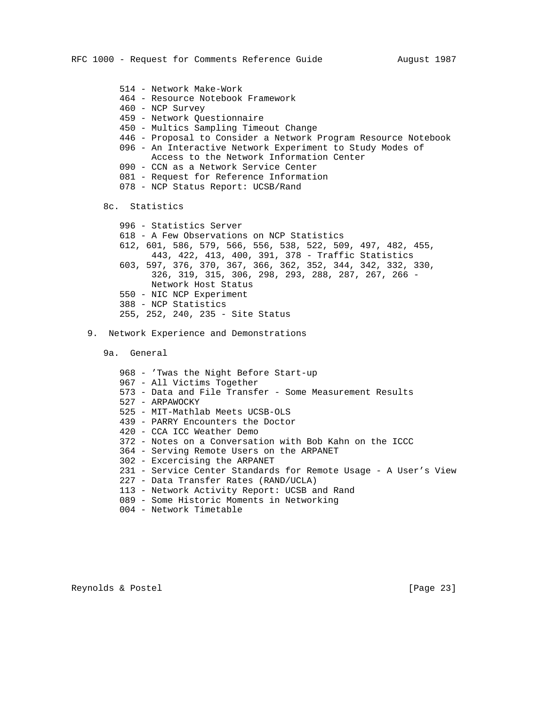514 - Network Make-Work 464 - Resource Notebook Framework 460 - NCP Survey 459 - Network Questionnaire 450 - Multics Sampling Timeout Change 446 - Proposal to Consider a Network Program Resource Notebook 096 - An Interactive Network Experiment to Study Modes of Access to the Network Information Center 090 - CCN as a Network Service Center 081 - Request for Reference Information 078 - NCP Status Report: UCSB/Rand 8c. Statistics 996 - Statistics Server 618 - A Few Observations on NCP Statistics 612, 601, 586, 579, 566, 556, 538, 522, 509, 497, 482, 455, 443, 422, 413, 400, 391, 378 - Traffic Statistics 603, 597, 376, 370, 367, 366, 362, 352, 344, 342, 332, 330, 326, 319, 315, 306, 298, 293, 288, 287, 267, 266 - Network Host Status 550 - NIC NCP Experiment 388 - NCP Statistics 255, 252, 240, 235 - Site Status 9. Network Experience and Demonstrations 9a. General 968 - 'Twas the Night Before Start-up 967 - All Victims Together 573 - Data and File Transfer - Some Measurement Results 527 - ARPAWOCKY 525 - MIT-Mathlab Meets UCSB-OLS 439 - PARRY Encounters the Doctor 420 - CCA ICC Weather Demo 372 - Notes on a Conversation with Bob Kahn on the ICCC 364 - Serving Remote Users on the ARPANET 302 - Excercising the ARPANET 231 - Service Center Standards for Remote Usage - A User's View

- 
- 227 Data Transfer Rates (RAND/UCLA)
- 113 Network Activity Report: UCSB and Rand
- 089 Some Historic Moments in Networking
- 004 Network Timetable

Reynolds & Postel [Page 23]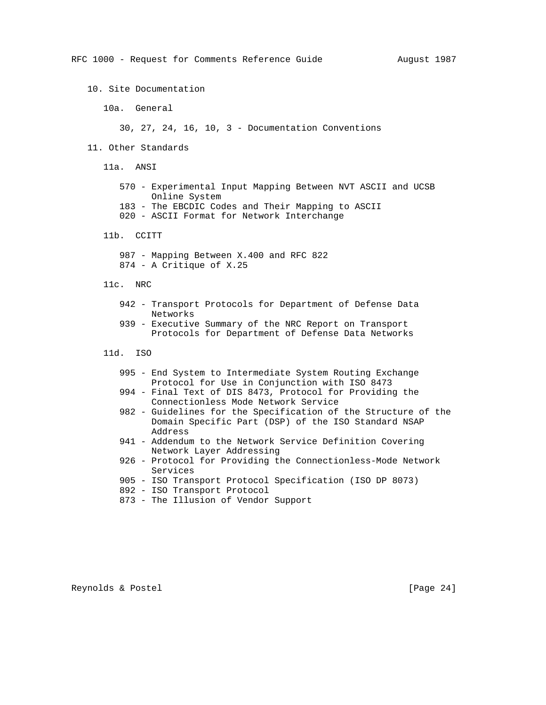10. Site Documentation

10a. General

30, 27, 24, 16, 10, 3 - Documentation Conventions

#### 11. Other Standards

11a. ANSI

 570 - Experimental Input Mapping Between NVT ASCII and UCSB Online System 183 - The EBCDIC Codes and Their Mapping to ASCII

020 - ASCII Format for Network Interchange

## 11b. CCITT

 987 - Mapping Between X.400 and RFC 822 874 - A Critique of X.25

## 11c. NRC

- 942 Transport Protocols for Department of Defense Data Networks
- 939 Executive Summary of the NRC Report on Transport Protocols for Department of Defense Data Networks

#### 11d. ISO

- 995 End System to Intermediate System Routing Exchange Protocol for Use in Conjunction with ISO 8473
- 994 Final Text of DIS 8473, Protocol for Providing the Connectionless Mode Network Service
- 982 Guidelines for the Specification of the Structure of the Domain Specific Part (DSP) of the ISO Standard NSAP Address
- 941 Addendum to the Network Service Definition Covering Network Layer Addressing
- 926 Protocol for Providing the Connectionless-Mode Network Services
- 905 ISO Transport Protocol Specification (ISO DP 8073)
- 892 ISO Transport Protocol
- 873 The Illusion of Vendor Support

Reynolds & Postel [Page 24]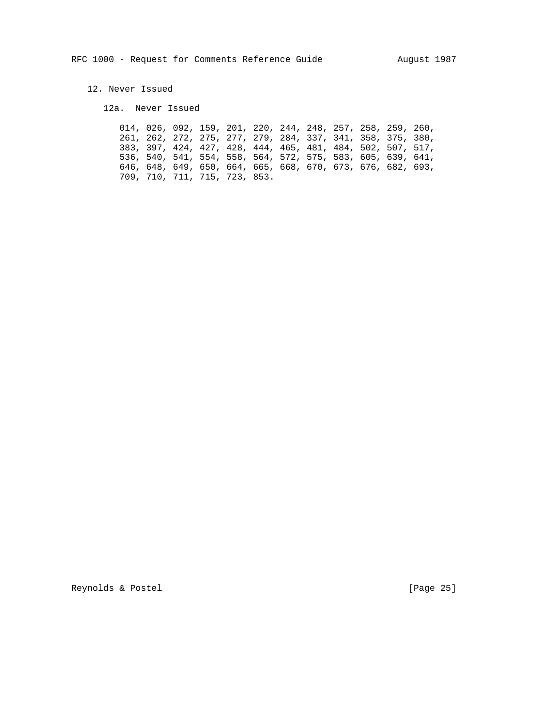12. Never Issued

# 12a. Never Issued

 014, 026, 092, 159, 201, 220, 244, 248, 257, 258, 259, 260, 261, 262, 272, 275, 277, 279, 284, 337, 341, 358, 375, 380, 383, 397, 424, 427, 428, 444, 465, 481, 484, 502, 507, 517, 536, 540, 541, 554, 558, 564, 572, 575, 583, 605, 639, 641, 646, 648, 649, 650, 664, 665, 668, 670, 673, 676, 682, 693, 709, 710, 711, 715, 723, 853.

Reynolds & Postel [Page 25]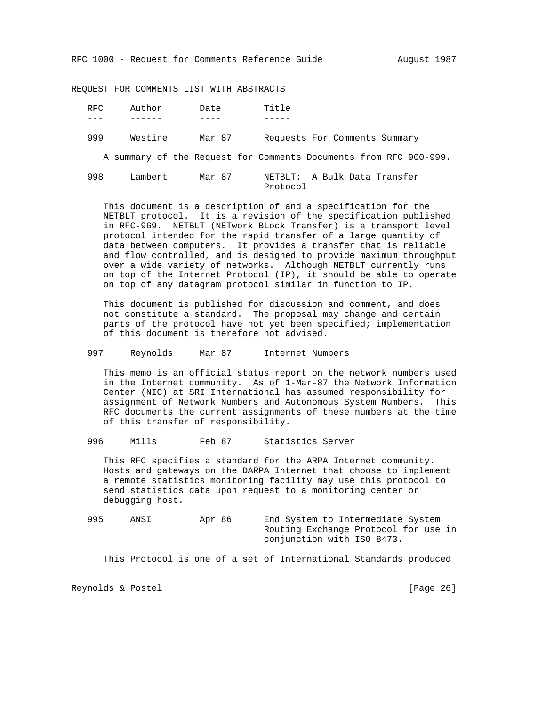REQUEST FOR COMMENTS LIST WITH ABSTRACTS

| RFC. | Author  | Date   | Title                                                             |
|------|---------|--------|-------------------------------------------------------------------|
|      |         |        |                                                                   |
| 999  | Westine | Mar 87 | Requests For Comments Summary                                     |
|      |         |        | A summary of the Request for Comments Documents from RFC 900-999. |
| 998  | Lambert | Mar 87 | NETBLT: A Bulk Data Transfer<br>Protocol                          |

 This document is a description of and a specification for the NETBLT protocol. It is a revision of the specification published in RFC-969. NETBLT (NETwork BLock Transfer) is a transport level protocol intended for the rapid transfer of a large quantity of data between computers. It provides a transfer that is reliable and flow controlled, and is designed to provide maximum throughput over a wide variety of networks. Although NETBLT currently runs on top of the Internet Protocol (IP), it should be able to operate on top of any datagram protocol similar in function to IP.

 This document is published for discussion and comment, and does not constitute a standard. The proposal may change and certain parts of the protocol have not yet been specified; implementation of this document is therefore not advised.

997 Reynolds Mar 87 Internet Numbers

 This memo is an official status report on the network numbers used in the Internet community. As of 1-Mar-87 the Network Information Center (NIC) at SRI International has assumed responsibility for assignment of Network Numbers and Autonomous System Numbers. This RFC documents the current assignments of these numbers at the time of this transfer of responsibility.

996 Mills Feb 87 Statistics Server

 This RFC specifies a standard for the ARPA Internet community. Hosts and gateways on the DARPA Internet that choose to implement a remote statistics monitoring facility may use this protocol to send statistics data upon request to a monitoring center or debugging host.

 995 ANSI Apr 86 End System to Intermediate System Routing Exchange Protocol for use in conjunction with ISO 8473.

This Protocol is one of a set of International Standards produced

Reynolds & Postel [Page 26]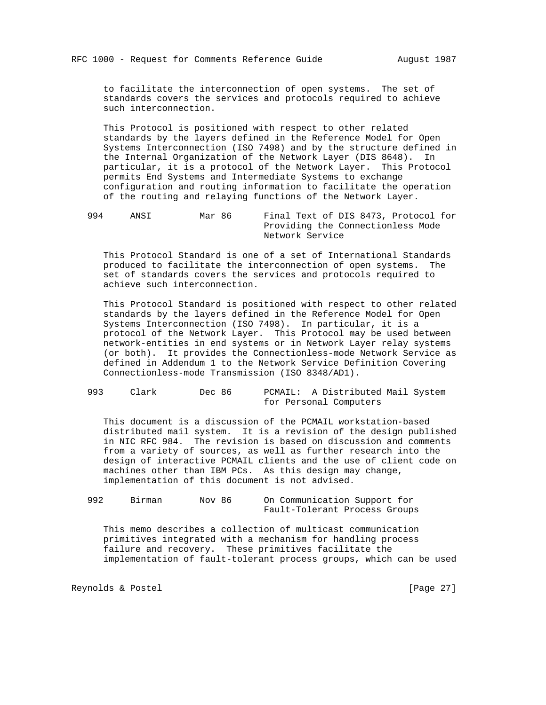to facilitate the interconnection of open systems. The set of standards covers the services and protocols required to achieve such interconnection.

 This Protocol is positioned with respect to other related standards by the layers defined in the Reference Model for Open Systems Interconnection (ISO 7498) and by the structure defined in the Internal Organization of the Network Layer (DIS 8648). In particular, it is a protocol of the Network Layer. This Protocol permits End Systems and Intermediate Systems to exchange configuration and routing information to facilitate the operation of the routing and relaying functions of the Network Layer.

 994 ANSI Mar 86 Final Text of DIS 8473, Protocol for Providing the Connectionless Mode Network Service

 This Protocol Standard is one of a set of International Standards produced to facilitate the interconnection of open systems. The set of standards covers the services and protocols required to achieve such interconnection.

 This Protocol Standard is positioned with respect to other related standards by the layers defined in the Reference Model for Open Systems Interconnection (ISO 7498). In particular, it is a protocol of the Network Layer. This Protocol may be used between network-entities in end systems or in Network Layer relay systems (or both). It provides the Connectionless-mode Network Service as defined in Addendum 1 to the Network Service Definition Covering Connectionless-mode Transmission (ISO 8348/AD1).

 993 Clark Dec 86 PCMAIL: A Distributed Mail System for Personal Computers

 This document is a discussion of the PCMAIL workstation-based distributed mail system. It is a revision of the design published in NIC RFC 984. The revision is based on discussion and comments from a variety of sources, as well as further research into the design of interactive PCMAIL clients and the use of client code on machines other than IBM PCs. As this design may change, implementation of this document is not advised.

 992 Birman Nov 86 On Communication Support for Fault-Tolerant Process Groups

 This memo describes a collection of multicast communication primitives integrated with a mechanism for handling process failure and recovery. These primitives facilitate the implementation of fault-tolerant process groups, which can be used

Reynolds & Postel [Page 27]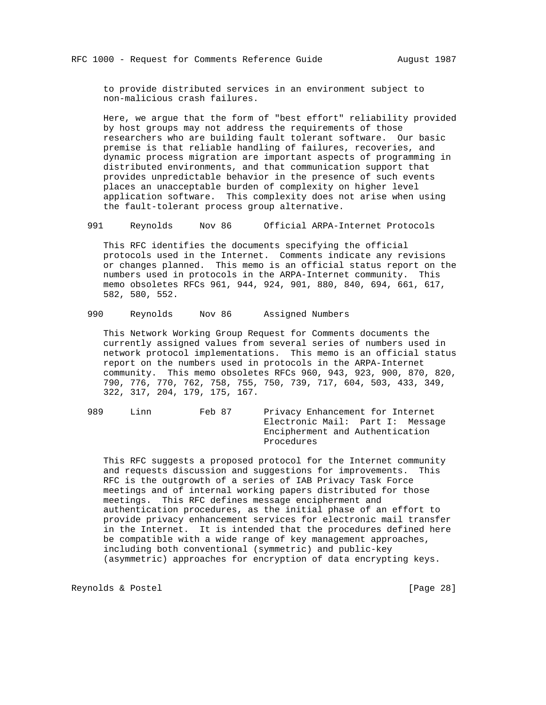to provide distributed services in an environment subject to non-malicious crash failures.

 Here, we argue that the form of "best effort" reliability provided by host groups may not address the requirements of those researchers who are building fault tolerant software. Our basic premise is that reliable handling of failures, recoveries, and dynamic process migration are important aspects of programming in distributed environments, and that communication support that provides unpredictable behavior in the presence of such events places an unacceptable burden of complexity on higher level application software. This complexity does not arise when using the fault-tolerant process group alternative.

991 Reynolds Nov 86 Official ARPA-Internet Protocols

 This RFC identifies the documents specifying the official protocols used in the Internet. Comments indicate any revisions or changes planned. This memo is an official status report on the numbers used in protocols in the ARPA-Internet community. This memo obsoletes RFCs 961, 944, 924, 901, 880, 840, 694, 661, 617, 582, 580, 552.

990 Reynolds Nov 86 Assigned Numbers

 This Network Working Group Request for Comments documents the currently assigned values from several series of numbers used in network protocol implementations. This memo is an official status report on the numbers used in protocols in the ARPA-Internet community. This memo obsoletes RFCs 960, 943, 923, 900, 870, 820, 790, 776, 770, 762, 758, 755, 750, 739, 717, 604, 503, 433, 349, 322, 317, 204, 179, 175, 167.

 989 Linn Feb 87 Privacy Enhancement for Internet Electronic Mail: Part I: Message Encipherment and Authentication Procedures

 This RFC suggests a proposed protocol for the Internet community and requests discussion and suggestions for improvements. This RFC is the outgrowth of a series of IAB Privacy Task Force meetings and of internal working papers distributed for those meetings. This RFC defines message encipherment and authentication procedures, as the initial phase of an effort to provide privacy enhancement services for electronic mail transfer in the Internet. It is intended that the procedures defined here be compatible with a wide range of key management approaches, including both conventional (symmetric) and public-key (asymmetric) approaches for encryption of data encrypting keys.

Reynolds & Postel [Page 28]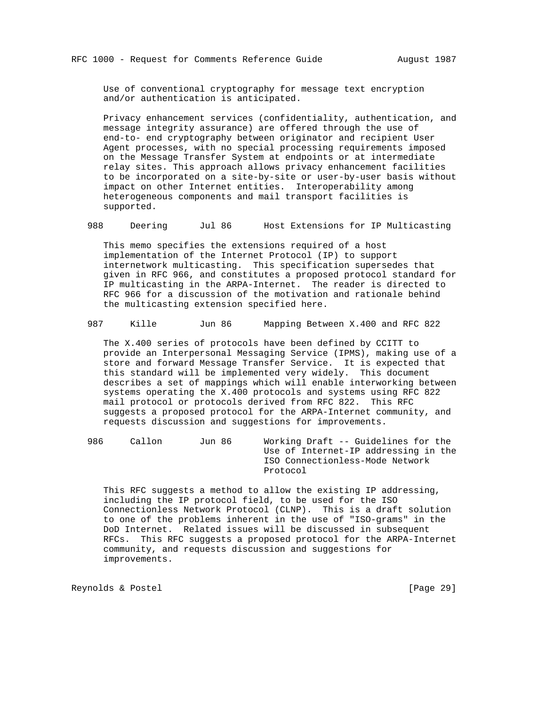Use of conventional cryptography for message text encryption and/or authentication is anticipated.

 Privacy enhancement services (confidentiality, authentication, and message integrity assurance) are offered through the use of end-to- end cryptography between originator and recipient User Agent processes, with no special processing requirements imposed on the Message Transfer System at endpoints or at intermediate relay sites. This approach allows privacy enhancement facilities to be incorporated on a site-by-site or user-by-user basis without impact on other Internet entities. Interoperability among heterogeneous components and mail transport facilities is supported.

988 Deering Jul 86 Host Extensions for IP Multicasting

 This memo specifies the extensions required of a host implementation of the Internet Protocol (IP) to support internetwork multicasting. This specification supersedes that given in RFC 966, and constitutes a proposed protocol standard for IP multicasting in the ARPA-Internet. The reader is directed to RFC 966 for a discussion of the motivation and rationale behind the multicasting extension specified here.

987 Kille Jun 86 Mapping Between X.400 and RFC 822

 The X.400 series of protocols have been defined by CCITT to provide an Interpersonal Messaging Service (IPMS), making use of a store and forward Message Transfer Service. It is expected that this standard will be implemented very widely. This document describes a set of mappings which will enable interworking between systems operating the X.400 protocols and systems using RFC 822 mail protocol or protocols derived from RFC 822. This RFC suggests a proposed protocol for the ARPA-Internet community, and requests discussion and suggestions for improvements.

 986 Callon Jun 86 Working Draft -- Guidelines for the Use of Internet-IP addressing in the ISO Connectionless-Mode Network Protocol

 This RFC suggests a method to allow the existing IP addressing, including the IP protocol field, to be used for the ISO Connectionless Network Protocol (CLNP). This is a draft solution to one of the problems inherent in the use of "ISO-grams" in the DoD Internet. Related issues will be discussed in subsequent RFCs. This RFC suggests a proposed protocol for the ARPA-Internet community, and requests discussion and suggestions for improvements.

Reynolds & Postel [Page 29]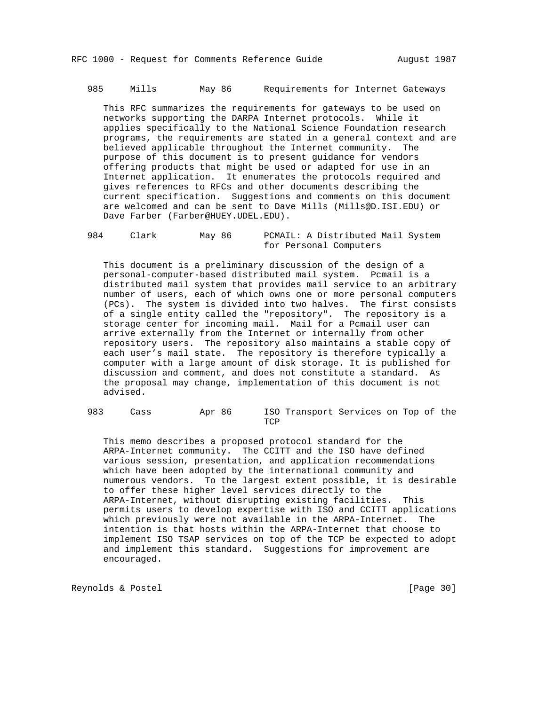## 985 Mills May 86 Requirements for Internet Gateways

 This RFC summarizes the requirements for gateways to be used on networks supporting the DARPA Internet protocols. While it applies specifically to the National Science Foundation research programs, the requirements are stated in a general context and are believed applicable throughout the Internet community. The purpose of this document is to present guidance for vendors offering products that might be used or adapted for use in an Internet application. It enumerates the protocols required and gives references to RFCs and other documents describing the current specification. Suggestions and comments on this document are welcomed and can be sent to Dave Mills (Mills@D.ISI.EDU) or Dave Farber (Farber@HUEY.UDEL.EDU).

# 984 Clark May 86 PCMAIL: A Distributed Mail System for Personal Computers

 This document is a preliminary discussion of the design of a personal-computer-based distributed mail system. Pcmail is a distributed mail system that provides mail service to an arbitrary number of users, each of which owns one or more personal computers (PCs). The system is divided into two halves. The first consists of a single entity called the "repository". The repository is a storage center for incoming mail. Mail for a Pcmail user can arrive externally from the Internet or internally from other repository users. The repository also maintains a stable copy of each user's mail state. The repository is therefore typically a computer with a large amount of disk storage. It is published for discussion and comment, and does not constitute a standard. As the proposal may change, implementation of this document is not advised.

# 983 Cass Apr 86 ISO Transport Services on Top of the **TCP**

 This memo describes a proposed protocol standard for the ARPA-Internet community. The CCITT and the ISO have defined various session, presentation, and application recommendations which have been adopted by the international community and numerous vendors. To the largest extent possible, it is desirable to offer these higher level services directly to the ARPA-Internet, without disrupting existing facilities. This permits users to develop expertise with ISO and CCITT applications which previously were not available in the ARPA-Internet. The intention is that hosts within the ARPA-Internet that choose to implement ISO TSAP services on top of the TCP be expected to adopt and implement this standard. Suggestions for improvement are encouraged.

Reynolds & Postel [Page 30]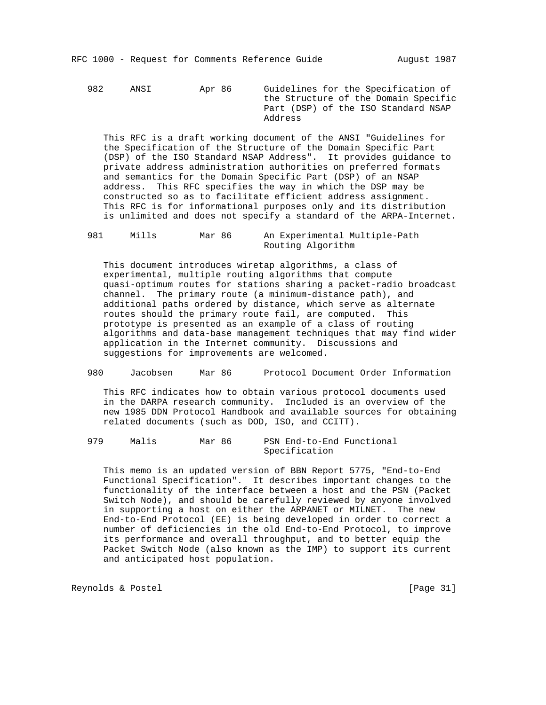982 ANSI Apr 86 Guidelines for the Specification of the Structure of the Domain Specific Part (DSP) of the ISO Standard NSAP Address

 This RFC is a draft working document of the ANSI "Guidelines for the Specification of the Structure of the Domain Specific Part (DSP) of the ISO Standard NSAP Address". It provides guidance to private address administration authorities on preferred formats and semantics for the Domain Specific Part (DSP) of an NSAP address. This RFC specifies the way in which the DSP may be constructed so as to facilitate efficient address assignment. This RFC is for informational purposes only and its distribution is unlimited and does not specify a standard of the ARPA-Internet.

 981 Mills Mar 86 An Experimental Multiple-Path Routing Algorithm

 This document introduces wiretap algorithms, a class of experimental, multiple routing algorithms that compute quasi-optimum routes for stations sharing a packet-radio broadcast channel. The primary route (a minimum-distance path), and additional paths ordered by distance, which serve as alternate routes should the primary route fail, are computed. This prototype is presented as an example of a class of routing algorithms and data-base management techniques that may find wider application in the Internet community. Discussions and suggestions for improvements are welcomed.

980 Jacobsen Mar 86 Protocol Document Order Information

 This RFC indicates how to obtain various protocol documents used in the DARPA research community. Included is an overview of the new 1985 DDN Protocol Handbook and available sources for obtaining related documents (such as DOD, ISO, and CCITT).

 979 Malis Mar 86 PSN End-to-End Functional Specification

 This memo is an updated version of BBN Report 5775, "End-to-End Functional Specification". It describes important changes to the functionality of the interface between a host and the PSN (Packet Switch Node), and should be carefully reviewed by anyone involved in supporting a host on either the ARPANET or MILNET. The new End-to-End Protocol (EE) is being developed in order to correct a number of deficiencies in the old End-to-End Protocol, to improve its performance and overall throughput, and to better equip the Packet Switch Node (also known as the IMP) to support its current and anticipated host population.

Reynolds & Postel [Page 31]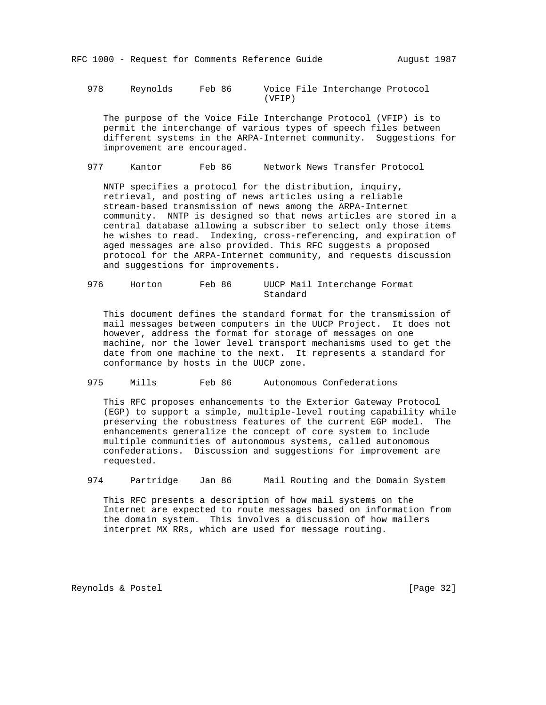978 Reynolds Feb 86 Voice File Interchange Protocol (VFIP)

 The purpose of the Voice File Interchange Protocol (VFIP) is to permit the interchange of various types of speech files between different systems in the ARPA-Internet community. Suggestions for improvement are encouraged.

977 Kantor Feb 86 Network News Transfer Protocol

 NNTP specifies a protocol for the distribution, inquiry, retrieval, and posting of news articles using a reliable stream-based transmission of news among the ARPA-Internet community. NNTP is designed so that news articles are stored in a central database allowing a subscriber to select only those items he wishes to read. Indexing, cross-referencing, and expiration of aged messages are also provided. This RFC suggests a proposed protocol for the ARPA-Internet community, and requests discussion and suggestions for improvements.

## 976 Horton Feb 86 UUCP Mail Interchange Format Standard

 This document defines the standard format for the transmission of mail messages between computers in the UUCP Project. It does not however, address the format for storage of messages on one machine, nor the lower level transport mechanisms used to get the date from one machine to the next. It represents a standard for conformance by hosts in the UUCP zone.

# 975 Mills Feb 86 Autonomous Confederations

 This RFC proposes enhancements to the Exterior Gateway Protocol (EGP) to support a simple, multiple-level routing capability while preserving the robustness features of the current EGP model. The enhancements generalize the concept of core system to include multiple communities of autonomous systems, called autonomous confederations. Discussion and suggestions for improvement are requested.

# 974 Partridge Jan 86 Mail Routing and the Domain System

 This RFC presents a description of how mail systems on the Internet are expected to route messages based on information from the domain system. This involves a discussion of how mailers interpret MX RRs, which are used for message routing.

Reynolds & Postel [Page 32]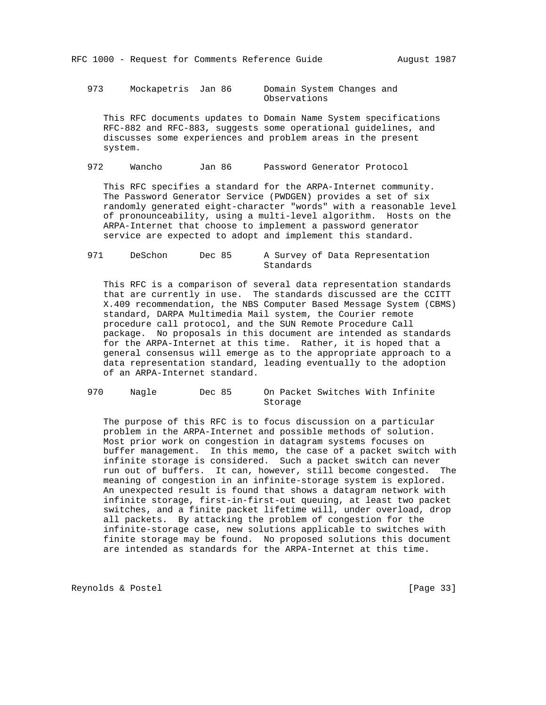973 Mockapetris Jan 86 Domain System Changes and Observations

 This RFC documents updates to Domain Name System specifications RFC-882 and RFC-883, suggests some operational guidelines, and discusses some experiences and problem areas in the present system.

972 Wancho Jan 86 Password Generator Protocol

 This RFC specifies a standard for the ARPA-Internet community. The Password Generator Service (PWDGEN) provides a set of six randomly generated eight-character "words" with a reasonable level of pronounceability, using a multi-level algorithm. Hosts on the ARPA-Internet that choose to implement a password generator service are expected to adopt and implement this standard.

 971 DeSchon Dec 85 A Survey of Data Representation Standards

 This RFC is a comparison of several data representation standards that are currently in use. The standards discussed are the CCITT X.409 recommendation, the NBS Computer Based Message System (CBMS) standard, DARPA Multimedia Mail system, the Courier remote procedure call protocol, and the SUN Remote Procedure Call package. No proposals in this document are intended as standards for the ARPA-Internet at this time. Rather, it is hoped that a general consensus will emerge as to the appropriate approach to a data representation standard, leading eventually to the adoption of an ARPA-Internet standard.

 970 Nagle Dec 85 On Packet Switches With Infinite Storage

 The purpose of this RFC is to focus discussion on a particular problem in the ARPA-Internet and possible methods of solution. Most prior work on congestion in datagram systems focuses on buffer management. In this memo, the case of a packet switch with infinite storage is considered. Such a packet switch can never run out of buffers. It can, however, still become congested. The meaning of congestion in an infinite-storage system is explored. An unexpected result is found that shows a datagram network with infinite storage, first-in-first-out queuing, at least two packet switches, and a finite packet lifetime will, under overload, drop all packets. By attacking the problem of congestion for the infinite-storage case, new solutions applicable to switches with finite storage may be found. No proposed solutions this document are intended as standards for the ARPA-Internet at this time.

Reynolds & Postel [Page 33]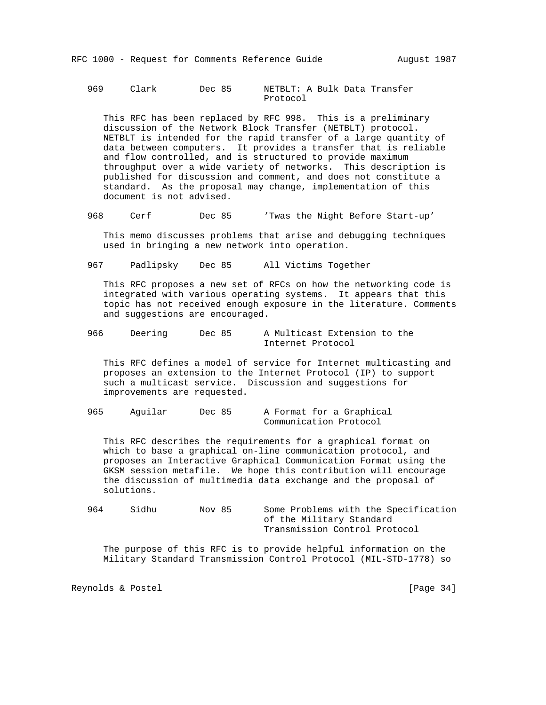969 Clark Dec 85 NETBLT: A Bulk Data Transfer Protocol

 This RFC has been replaced by RFC 998. This is a preliminary discussion of the Network Block Transfer (NETBLT) protocol. NETBLT is intended for the rapid transfer of a large quantity of data between computers. It provides a transfer that is reliable and flow controlled, and is structured to provide maximum throughput over a wide variety of networks. This description is published for discussion and comment, and does not constitute a standard. As the proposal may change, implementation of this document is not advised.

968 Cerf Dec 85 'Twas the Night Before Start-up'

 This memo discusses problems that arise and debugging techniques used in bringing a new network into operation.

967 Padlipsky Dec 85 All Victims Together

 This RFC proposes a new set of RFCs on how the networking code is integrated with various operating systems. It appears that this topic has not received enough exposure in the literature. Comments and suggestions are encouraged.

 966 Deering Dec 85 A Multicast Extension to the Internet Protocol

 This RFC defines a model of service for Internet multicasting and proposes an extension to the Internet Protocol (IP) to support such a multicast service. Discussion and suggestions for improvements are requested.

 965 Aguilar Dec 85 A Format for a Graphical Communication Protocol

 This RFC describes the requirements for a graphical format on which to base a graphical on-line communication protocol, and proposes an Interactive Graphical Communication Format using the GKSM session metafile. We hope this contribution will encourage the discussion of multimedia data exchange and the proposal of solutions.

 964 Sidhu Nov 85 Some Problems with the Specification of the Military Standard Transmission Control Protocol

 The purpose of this RFC is to provide helpful information on the Military Standard Transmission Control Protocol (MIL-STD-1778) so

Reynolds & Postel [Page 34]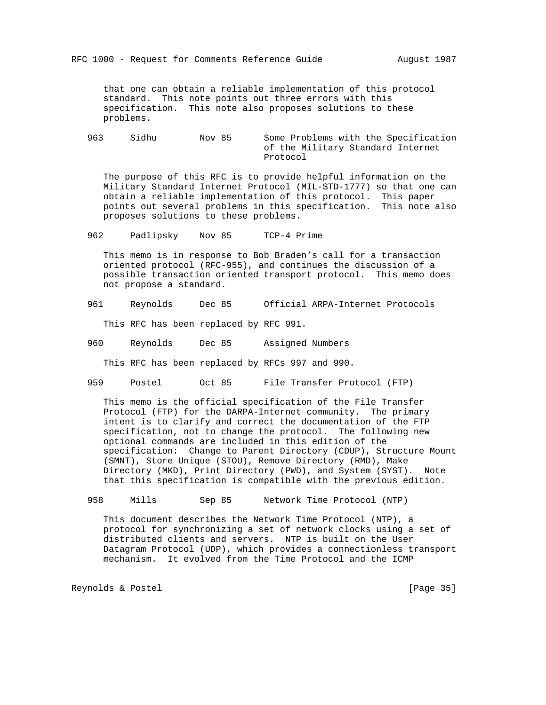that one can obtain a reliable implementation of this protocol standard. This note points out three errors with this specification. This note also proposes solutions to these problems.

 963 Sidhu Nov 85 Some Problems with the Specification of the Military Standard Internet Protocol

 The purpose of this RFC is to provide helpful information on the Military Standard Internet Protocol (MIL-STD-1777) so that one can obtain a reliable implementation of this protocol. This paper points out several problems in this specification. This note also proposes solutions to these problems.

962 Padlipsky Nov 85 TCP-4 Prime

 This memo is in response to Bob Braden's call for a transaction oriented protocol (RFC-955), and continues the discussion of a possible transaction oriented transport protocol. This memo does not propose a standard.

961 Reynolds Dec 85 Official ARPA-Internet Protocols

This RFC has been replaced by RFC 991.

960 Reynolds Dec 85 Assigned Numbers

This RFC has been replaced by RFCs 997 and 990.

959 Postel Oct 85 File Transfer Protocol (FTP)

 This memo is the official specification of the File Transfer Protocol (FTP) for the DARPA-Internet community. The primary intent is to clarify and correct the documentation of the FTP specification, not to change the protocol. The following new optional commands are included in this edition of the specification: Change to Parent Directory (CDUP), Structure Mount (SMNT), Store Unique (STOU), Remove Directory (RMD), Make Directory (MKD), Print Directory (PWD), and System (SYST). Note that this specification is compatible with the previous edition.

958 Mills Sep 85 Network Time Protocol (NTP)

 This document describes the Network Time Protocol (NTP), a protocol for synchronizing a set of network clocks using a set of distributed clients and servers. NTP is built on the User Datagram Protocol (UDP), which provides a connectionless transport mechanism. It evolved from the Time Protocol and the ICMP

Reynolds & Postel [Page 35]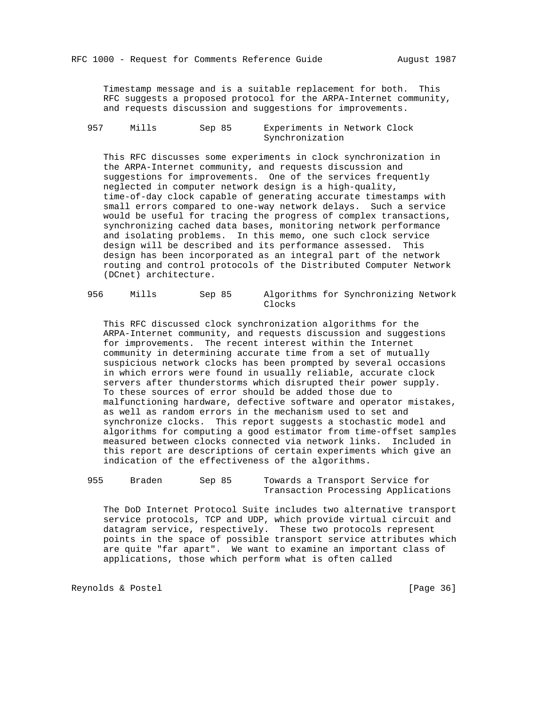Timestamp message and is a suitable replacement for both. This RFC suggests a proposed protocol for the ARPA-Internet community, and requests discussion and suggestions for improvements.

 957 Mills Sep 85 Experiments in Network Clock Synchronization

 This RFC discusses some experiments in clock synchronization in the ARPA-Internet community, and requests discussion and suggestions for improvements. One of the services frequently neglected in computer network design is a high-quality, time-of-day clock capable of generating accurate timestamps with small errors compared to one-way network delays. Such a service would be useful for tracing the progress of complex transactions, synchronizing cached data bases, monitoring network performance and isolating problems. In this memo, one such clock service design will be described and its performance assessed. This design has been incorporated as an integral part of the network routing and control protocols of the Distributed Computer Network (DCnet) architecture.

# 956 Mills Sep 85 Algorithms for Synchronizing Network Clocks

 This RFC discussed clock synchronization algorithms for the ARPA-Internet community, and requests discussion and suggestions for improvements. The recent interest within the Internet community in determining accurate time from a set of mutually suspicious network clocks has been prompted by several occasions in which errors were found in usually reliable, accurate clock servers after thunderstorms which disrupted their power supply. To these sources of error should be added those due to malfunctioning hardware, defective software and operator mistakes, as well as random errors in the mechanism used to set and synchronize clocks. This report suggests a stochastic model and algorithms for computing a good estimator from time-offset samples measured between clocks connected via network links. Included in this report are descriptions of certain experiments which give an indication of the effectiveness of the algorithms.

 955 Braden Sep 85 Towards a Transport Service for Transaction Processing Applications

 The DoD Internet Protocol Suite includes two alternative transport service protocols, TCP and UDP, which provide virtual circuit and datagram service, respectively. These two protocols represent points in the space of possible transport service attributes which are quite "far apart". We want to examine an important class of applications, those which perform what is often called

Reynolds & Postel [Page 36]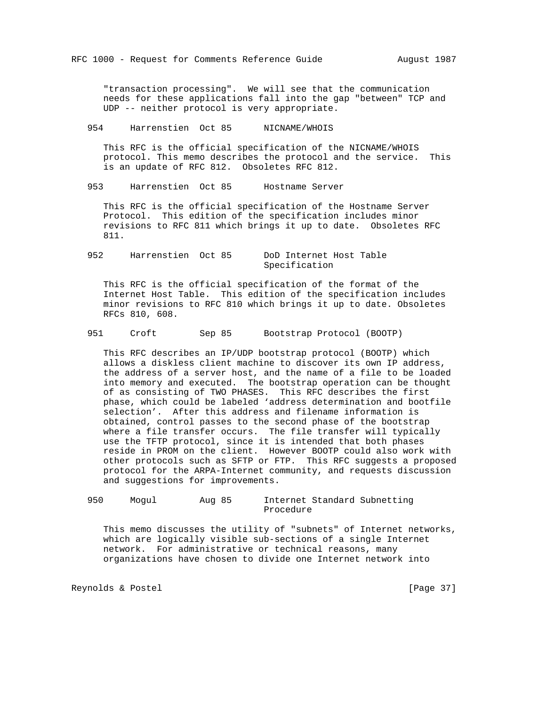"transaction processing". We will see that the communication needs for these applications fall into the gap "between" TCP and UDP -- neither protocol is very appropriate.

954 Harrenstien Oct 85 NICNAME/WHOIS

 This RFC is the official specification of the NICNAME/WHOIS protocol. This memo describes the protocol and the service. This is an update of RFC 812. Obsoletes RFC 812.

953 Harrenstien Oct 85 Hostname Server

 This RFC is the official specification of the Hostname Server Protocol. This edition of the specification includes minor revisions to RFC 811 which brings it up to date. Obsoletes RFC 811.

 952 Harrenstien Oct 85 DoD Internet Host Table Specification

 This RFC is the official specification of the format of the Internet Host Table. This edition of the specification includes minor revisions to RFC 810 which brings it up to date. Obsoletes RFCs 810, 608.

951 Croft Sep 85 Bootstrap Protocol (BOOTP)

 This RFC describes an IP/UDP bootstrap protocol (BOOTP) which allows a diskless client machine to discover its own IP address, the address of a server host, and the name of a file to be loaded into memory and executed. The bootstrap operation can be thought of as consisting of TWO PHASES. This RFC describes the first phase, which could be labeled 'address determination and bootfile selection'. After this address and filename information is obtained, control passes to the second phase of the bootstrap where a file transfer occurs. The file transfer will typically use the TFTP protocol, since it is intended that both phases reside in PROM on the client. However BOOTP could also work with other protocols such as SFTP or FTP. This RFC suggests a proposed protocol for the ARPA-Internet community, and requests discussion and suggestions for improvements.

 950 Mogul Aug 85 Internet Standard Subnetting Procedure

 This memo discusses the utility of "subnets" of Internet networks, which are logically visible sub-sections of a single Internet network. For administrative or technical reasons, many organizations have chosen to divide one Internet network into

Reynolds & Postel [Page 37]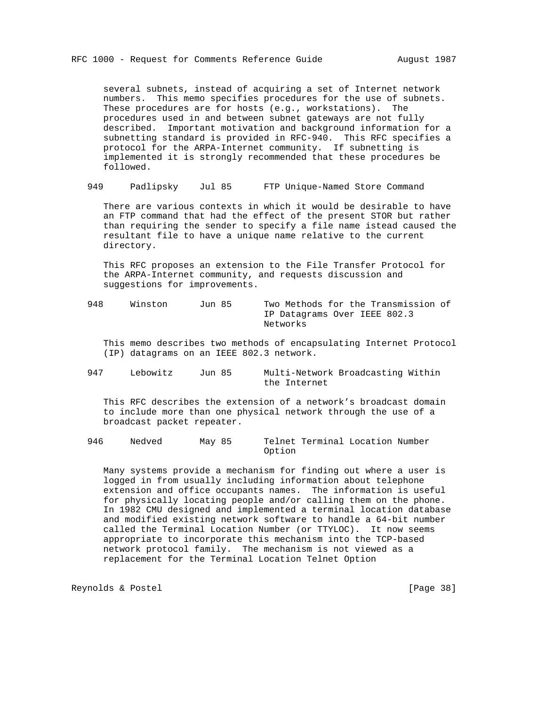several subnets, instead of acquiring a set of Internet network numbers. This memo specifies procedures for the use of subnets. These procedures are for hosts (e.g., workstations). The procedures used in and between subnet gateways are not fully described. Important motivation and background information for a subnetting standard is provided in RFC-940. This RFC specifies a protocol for the ARPA-Internet community. If subnetting is implemented it is strongly recommended that these procedures be followed.

949 Padlipsky Jul 85 FTP Unique-Named Store Command

 There are various contexts in which it would be desirable to have an FTP command that had the effect of the present STOR but rather than requiring the sender to specify a file name istead caused the resultant file to have a unique name relative to the current directory.

 This RFC proposes an extension to the File Transfer Protocol for the ARPA-Internet community, and requests discussion and suggestions for improvements.

 948 Winston Jun 85 Two Methods for the Transmission of IP Datagrams Over IEEE 802.3 Networks

 This memo describes two methods of encapsulating Internet Protocol (IP) datagrams on an IEEE 802.3 network.

| 947 | Lebowitz | Jun 85 | Multi-Network Broadcasting Within |
|-----|----------|--------|-----------------------------------|
|     |          |        | the Internet                      |

 This RFC describes the extension of a network's broadcast domain to include more than one physical network through the use of a broadcast packet repeater.

 946 Nedved May 85 Telnet Terminal Location Number Option

 Many systems provide a mechanism for finding out where a user is logged in from usually including information about telephone extension and office occupants names. The information is useful for physically locating people and/or calling them on the phone. In 1982 CMU designed and implemented a terminal location database and modified existing network software to handle a 64-bit number called the Terminal Location Number (or TTYLOC). It now seems appropriate to incorporate this mechanism into the TCP-based network protocol family. The mechanism is not viewed as a replacement for the Terminal Location Telnet Option

Reynolds & Postel [Page 38]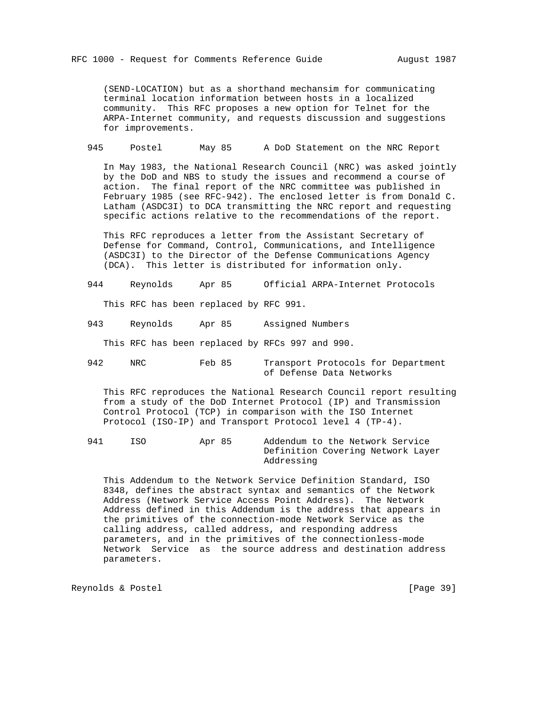(SEND-LOCATION) but as a shorthand mechansim for communicating terminal location information between hosts in a localized community. This RFC proposes a new option for Telnet for the ARPA-Internet community, and requests discussion and suggestions for improvements.

945 Postel May 85 A DoD Statement on the NRC Report

 In May 1983, the National Research Council (NRC) was asked jointly by the DoD and NBS to study the issues and recommend a course of action. The final report of the NRC committee was published in February 1985 (see RFC-942). The enclosed letter is from Donald C. Latham (ASDC3I) to DCA transmitting the NRC report and requesting specific actions relative to the recommendations of the report.

 This RFC reproduces a letter from the Assistant Secretary of Defense for Command, Control, Communications, and Intelligence (ASDC3I) to the Director of the Defense Communications Agency (DCA). This letter is distributed for information only.

944 Reynolds Apr 85 Official ARPA-Internet Protocols

This RFC has been replaced by RFC 991.

943 Reynolds Apr 85 Assigned Numbers

This RFC has been replaced by RFCs 997 and 990.

 942 NRC Feb 85 Transport Protocols for Department of Defense Data Networks

 This RFC reproduces the National Research Council report resulting from a study of the DoD Internet Protocol (IP) and Transmission Control Protocol (TCP) in comparison with the ISO Internet Protocol (ISO-IP) and Transport Protocol level 4 (TP-4).

 941 ISO Apr 85 Addendum to the Network Service Definition Covering Network Layer Addressing

 This Addendum to the Network Service Definition Standard, ISO 8348, defines the abstract syntax and semantics of the Network Address (Network Service Access Point Address). The Network Address defined in this Addendum is the address that appears in the primitives of the connection-mode Network Service as the calling address, called address, and responding address parameters, and in the primitives of the connectionless-mode Network Service as the source address and destination address parameters.

Reynolds & Postel [Page 39]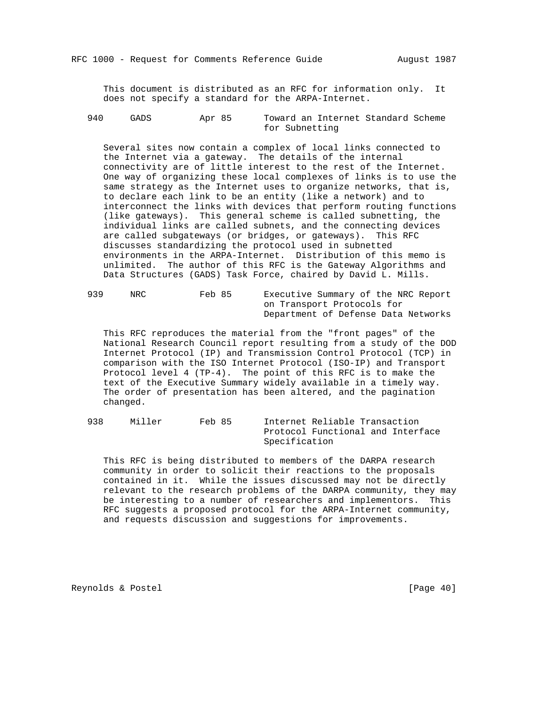This document is distributed as an RFC for information only. It does not specify a standard for the ARPA-Internet.

 940 GADS Apr 85 Toward an Internet Standard Scheme for Subnetting

 Several sites now contain a complex of local links connected to the Internet via a gateway. The details of the internal connectivity are of little interest to the rest of the Internet. One way of organizing these local complexes of links is to use the same strategy as the Internet uses to organize networks, that is, to declare each link to be an entity (like a network) and to interconnect the links with devices that perform routing functions (like gateways). This general scheme is called subnetting, the individual links are called subnets, and the connecting devices are called subgateways (or bridges, or gateways). This RFC discusses standardizing the protocol used in subnetted environments in the ARPA-Internet. Distribution of this memo is unlimited. The author of this RFC is the Gateway Algorithms and Data Structures (GADS) Task Force, chaired by David L. Mills.

 939 NRC Feb 85 Executive Summary of the NRC Report on Transport Protocols for Department of Defense Data Networks

 This RFC reproduces the material from the "front pages" of the National Research Council report resulting from a study of the DOD Internet Protocol (IP) and Transmission Control Protocol (TCP) in comparison with the ISO Internet Protocol (ISO-IP) and Transport Protocol level 4 (TP-4). The point of this RFC is to make the text of the Executive Summary widely available in a timely way. The order of presentation has been altered, and the pagination changed.

 938 Miller Feb 85 Internet Reliable Transaction Protocol Functional and Interface Specification

 This RFC is being distributed to members of the DARPA research community in order to solicit their reactions to the proposals contained in it. While the issues discussed may not be directly relevant to the research problems of the DARPA community, they may be interesting to a number of researchers and implementors. This RFC suggests a proposed protocol for the ARPA-Internet community, and requests discussion and suggestions for improvements.

Reynolds & Postel [Page 40]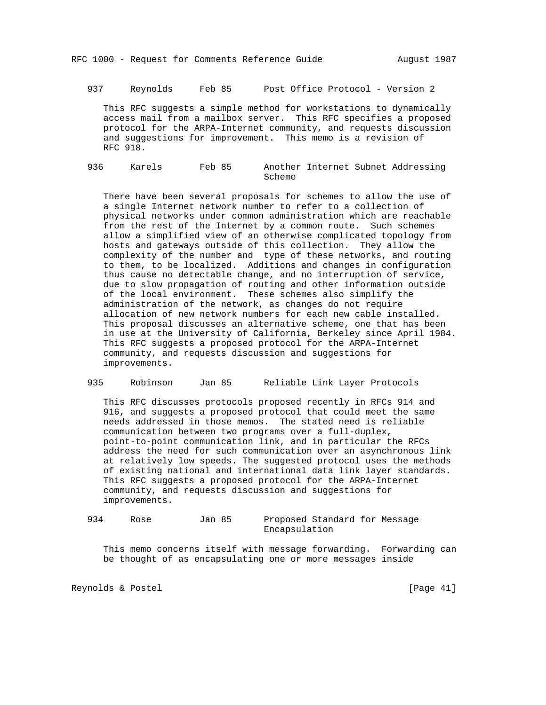937 Reynolds Feb 85 Post Office Protocol - Version 2

 This RFC suggests a simple method for workstations to dynamically access mail from a mailbox server. This RFC specifies a proposed protocol for the ARPA-Internet community, and requests discussion and suggestions for improvement. This memo is a revision of RFC 918.

 936 Karels Feb 85 Another Internet Subnet Addressing Scheme

 There have been several proposals for schemes to allow the use of a single Internet network number to refer to a collection of physical networks under common administration which are reachable from the rest of the Internet by a common route. Such schemes allow a simplified view of an otherwise complicated topology from hosts and gateways outside of this collection. They allow the complexity of the number and type of these networks, and routing to them, to be localized. Additions and changes in configuration thus cause no detectable change, and no interruption of service, due to slow propagation of routing and other information outside of the local environment. These schemes also simplify the administration of the network, as changes do not require allocation of new network numbers for each new cable installed. This proposal discusses an alternative scheme, one that has been in use at the University of California, Berkeley since April 1984. This RFC suggests a proposed protocol for the ARPA-Internet community, and requests discussion and suggestions for improvements.

935 Robinson Jan 85 Reliable Link Layer Protocols

 This RFC discusses protocols proposed recently in RFCs 914 and 916, and suggests a proposed protocol that could meet the same needs addressed in those memos. The stated need is reliable communication between two programs over a full-duplex, point-to-point communication link, and in particular the RFCs address the need for such communication over an asynchronous link at relatively low speeds. The suggested protocol uses the methods of existing national and international data link layer standards. This RFC suggests a proposed protocol for the ARPA-Internet community, and requests discussion and suggestions for improvements.

| 934 | Rose | Jan 85 |               | Proposed Standard for Message |  |
|-----|------|--------|---------------|-------------------------------|--|
|     |      |        | Encapsulation |                               |  |

 This memo concerns itself with message forwarding. Forwarding can be thought of as encapsulating one or more messages inside

Reynolds & Postel [Page 41]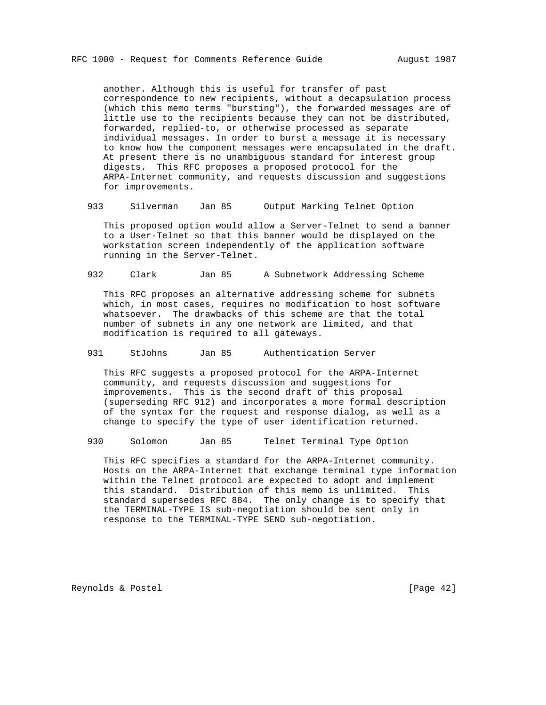another. Although this is useful for transfer of past correspondence to new recipients, without a decapsulation process (which this memo terms "bursting"), the forwarded messages are of little use to the recipients because they can not be distributed, forwarded, replied-to, or otherwise processed as separate individual messages. In order to burst a message it is necessary to know how the component messages were encapsulated in the draft. At present there is no unambiguous standard for interest group digests. This RFC proposes a proposed protocol for the ARPA-Internet community, and requests discussion and suggestions for improvements.

933 Silverman Jan 85 Output Marking Telnet Option

 This proposed option would allow a Server-Telnet to send a banner to a User-Telnet so that this banner would be displayed on the workstation screen independently of the application software running in the Server-Telnet.

932 Clark Jan 85 A Subnetwork Addressing Scheme

 This RFC proposes an alternative addressing scheme for subnets which, in most cases, requires no modification to host software whatsoever. The drawbacks of this scheme are that the total number of subnets in any one network are limited, and that modification is required to all gateways.

931 StJohns Jan 85 Authentication Server

 This RFC suggests a proposed protocol for the ARPA-Internet community, and requests discussion and suggestions for improvements. This is the second draft of this proposal (superseding RFC 912) and incorporates a more formal description of the syntax for the request and response dialog, as well as a change to specify the type of user identification returned.

930 Solomon Jan 85 Telnet Terminal Type Option

 This RFC specifies a standard for the ARPA-Internet community. Hosts on the ARPA-Internet that exchange terminal type information within the Telnet protocol are expected to adopt and implement this standard. Distribution of this memo is unlimited. This standard supersedes RFC 884. The only change is to specify that the TERMINAL-TYPE IS sub-negotiation should be sent only in response to the TERMINAL-TYPE SEND sub-negotiation.

Reynolds & Postel [Page 42]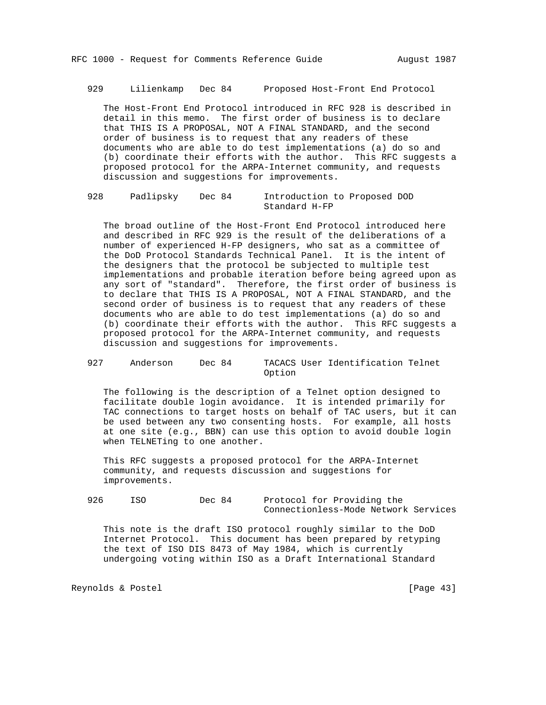929 Lilienkamp Dec 84 Proposed Host-Front End Protocol

 The Host-Front End Protocol introduced in RFC 928 is described in detail in this memo. The first order of business is to declare that THIS IS A PROPOSAL, NOT A FINAL STANDARD, and the second order of business is to request that any readers of these documents who are able to do test implementations (a) do so and (b) coordinate their efforts with the author. This RFC suggests a proposed protocol for the ARPA-Internet community, and requests discussion and suggestions for improvements.

```
 928 Padlipsky Dec 84 Introduction to Proposed DOD
                  Standard H-FP
```
 The broad outline of the Host-Front End Protocol introduced here and described in RFC 929 is the result of the deliberations of a number of experienced H-FP designers, who sat as a committee of the DoD Protocol Standards Technical Panel. It is the intent of the designers that the protocol be subjected to multiple test implementations and probable iteration before being agreed upon as any sort of "standard". Therefore, the first order of business is to declare that THIS IS A PROPOSAL, NOT A FINAL STANDARD, and the second order of business is to request that any readers of these documents who are able to do test implementations (a) do so and (b) coordinate their efforts with the author. This RFC suggests a proposed protocol for the ARPA-Internet community, and requests discussion and suggestions for improvements.

## 927 Anderson Dec 84 TACACS User Identification Telnet Option

 The following is the description of a Telnet option designed to facilitate double login avoidance. It is intended primarily for TAC connections to target hosts on behalf of TAC users, but it can be used between any two consenting hosts. For example, all hosts at one site (e.g., BBN) can use this option to avoid double login when TELNETing to one another.

 This RFC suggests a proposed protocol for the ARPA-Internet community, and requests discussion and suggestions for improvements.

 926 ISO Dec 84 Protocol for Providing the Connectionless-Mode Network Services

 This note is the draft ISO protocol roughly similar to the DoD Internet Protocol. This document has been prepared by retyping the text of ISO DIS 8473 of May 1984, which is currently undergoing voting within ISO as a Draft International Standard

Reynolds & Postel [Page 43]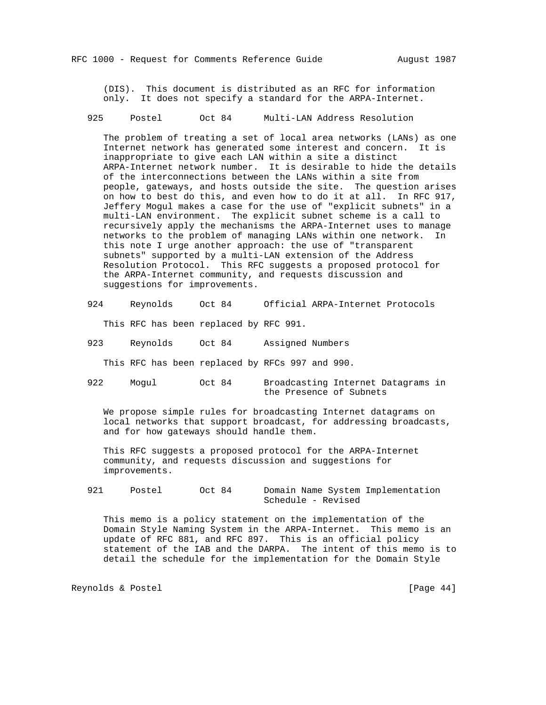(DIS). This document is distributed as an RFC for information only. It does not specify a standard for the ARPA-Internet.

925 Postel Oct 84 Multi-LAN Address Resolution

 The problem of treating a set of local area networks (LANs) as one Internet network has generated some interest and concern. It is inappropriate to give each LAN within a site a distinct ARPA-Internet network number. It is desirable to hide the details of the interconnections between the LANs within a site from people, gateways, and hosts outside the site. The question arises on how to best do this, and even how to do it at all. In RFC 917, Jeffery Mogul makes a case for the use of "explicit subnets" in a multi-LAN environment. The explicit subnet scheme is a call to recursively apply the mechanisms the ARPA-Internet uses to manage networks to the problem of managing LANs within one network. In this note I urge another approach: the use of "transparent subnets" supported by a multi-LAN extension of the Address Resolution Protocol. This RFC suggests a proposed protocol for the ARPA-Internet community, and requests discussion and suggestions for improvements.

924 Reynolds Oct 84 Official ARPA-Internet Protocols

This RFC has been replaced by RFC 991.

923 Reynolds Oct 84 Assigned Numbers

This RFC has been replaced by RFCs 997 and 990.

 922 Mogul Oct 84 Broadcasting Internet Datagrams in the Presence of Subnets

 We propose simple rules for broadcasting Internet datagrams on local networks that support broadcast, for addressing broadcasts, and for how gateways should handle them.

 This RFC suggests a proposed protocol for the ARPA-Internet community, and requests discussion and suggestions for improvements.

 921 Postel Oct 84 Domain Name System Implementation Schedule - Revised

 This memo is a policy statement on the implementation of the Domain Style Naming System in the ARPA-Internet. This memo is an update of RFC 881, and RFC 897. This is an official policy statement of the IAB and the DARPA. The intent of this memo is to detail the schedule for the implementation for the Domain Style

Reynolds & Postel [Page 44]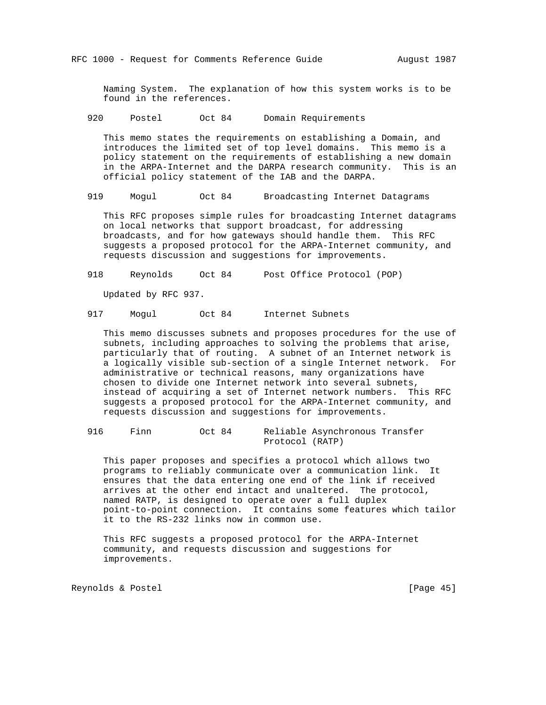Naming System. The explanation of how this system works is to be found in the references.

920 Postel Oct 84 Domain Requirements

 This memo states the requirements on establishing a Domain, and introduces the limited set of top level domains. This memo is a policy statement on the requirements of establishing a new domain in the ARPA-Internet and the DARPA research community. This is an official policy statement of the IAB and the DARPA.

919 Mogul Oct 84 Broadcasting Internet Datagrams

 This RFC proposes simple rules for broadcasting Internet datagrams on local networks that support broadcast, for addressing broadcasts, and for how gateways should handle them. This RFC suggests a proposed protocol for the ARPA-Internet community, and requests discussion and suggestions for improvements.

918 Reynolds Oct 84 Post Office Protocol (POP)

Updated by RFC 937.

917 Mogul Oct 84 Internet Subnets

 This memo discusses subnets and proposes procedures for the use of subnets, including approaches to solving the problems that arise, particularly that of routing. A subnet of an Internet network is a logically visible sub-section of a single Internet network. For administrative or technical reasons, many organizations have chosen to divide one Internet network into several subnets, instead of acquiring a set of Internet network numbers. This RFC suggests a proposed protocol for the ARPA-Internet community, and requests discussion and suggestions for improvements.

 916 Finn Oct 84 Reliable Asynchronous Transfer Protocol (RATP)

 This paper proposes and specifies a protocol which allows two programs to reliably communicate over a communication link. It ensures that the data entering one end of the link if received arrives at the other end intact and unaltered. The protocol, named RATP, is designed to operate over a full duplex point-to-point connection. It contains some features which tailor it to the RS-232 links now in common use.

 This RFC suggests a proposed protocol for the ARPA-Internet community, and requests discussion and suggestions for improvements.

Reynolds & Postel [Page 45]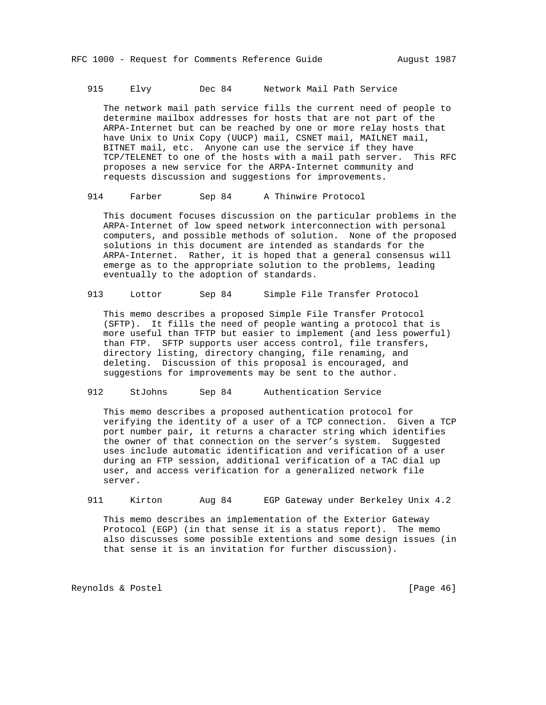## 915 Elvy Dec 84 Network Mail Path Service

 The network mail path service fills the current need of people to determine mailbox addresses for hosts that are not part of the ARPA-Internet but can be reached by one or more relay hosts that have Unix to Unix Copy (UUCP) mail, CSNET mail, MAILNET mail, BITNET mail, etc. Anyone can use the service if they have TCP/TELENET to one of the hosts with a mail path server. This RFC proposes a new service for the ARPA-Internet community and requests discussion and suggestions for improvements.

914 Farber Sep 84 A Thinwire Protocol

 This document focuses discussion on the particular problems in the ARPA-Internet of low speed network interconnection with personal computers, and possible methods of solution. None of the proposed solutions in this document are intended as standards for the ARPA-Internet. Rather, it is hoped that a general consensus will emerge as to the appropriate solution to the problems, leading eventually to the adoption of standards.

913 Lottor Sep 84 Simple File Transfer Protocol

 This memo describes a proposed Simple File Transfer Protocol (SFTP). It fills the need of people wanting a protocol that is more useful than TFTP but easier to implement (and less powerful) than FTP. SFTP supports user access control, file transfers, directory listing, directory changing, file renaming, and deleting. Discussion of this proposal is encouraged, and suggestions for improvements may be sent to the author.

## 912 StJohns Sep 84 Authentication Service

 This memo describes a proposed authentication protocol for verifying the identity of a user of a TCP connection. Given a TCP port number pair, it returns a character string which identifies the owner of that connection on the server's system. Suggested uses include automatic identification and verification of a user during an FTP session, additional verification of a TAC dial up user, and access verification for a generalized network file server.

911 Kirton Aug 84 EGP Gateway under Berkeley Unix 4.2

 This memo describes an implementation of the Exterior Gateway Protocol (EGP) (in that sense it is a status report). The memo also discusses some possible extentions and some design issues (in that sense it is an invitation for further discussion).

Reynolds & Postel [Page 46]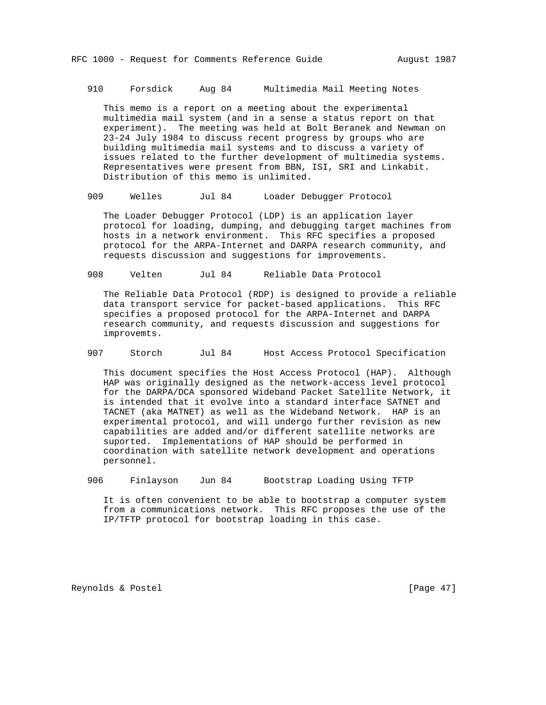910 Forsdick Aug 84 Multimedia Mail Meeting Notes

 This memo is a report on a meeting about the experimental multimedia mail system (and in a sense a status report on that experiment). The meeting was held at Bolt Beranek and Newman on 23-24 July 1984 to discuss recent progress by groups who are building multimedia mail systems and to discuss a variety of issues related to the further development of multimedia systems. Representatives were present from BBN, ISI, SRI and Linkabit. Distribution of this memo is unlimited.

909 Welles Jul 84 Loader Debugger Protocol

 The Loader Debugger Protocol (LDP) is an application layer protocol for loading, dumping, and debugging target machines from hosts in a network environment. This RFC specifies a proposed protocol for the ARPA-Internet and DARPA research community, and requests discussion and suggestions for improvements.

908 Velten Jul 84 Reliable Data Protocol

 The Reliable Data Protocol (RDP) is designed to provide a reliable data transport service for packet-based applications. This RFC specifies a proposed protocol for the ARPA-Internet and DARPA research community, and requests discussion and suggestions for improvemts.

907 Storch Jul 84 Host Access Protocol Specification

 This document specifies the Host Access Protocol (HAP). Although HAP was originally designed as the network-access level protocol for the DARPA/DCA sponsored Wideband Packet Satellite Network, it is intended that it evolve into a standard interface SATNET and TACNET (aka MATNET) as well as the Wideband Network. HAP is an experimental protocol, and will undergo further revision as new capabilities are added and/or different satellite networks are suported. Implementations of HAP should be performed in coordination with satellite network development and operations personnel.

906 Finlayson Jun 84 Bootstrap Loading Using TFTP

 It is often convenient to be able to bootstrap a computer system from a communications network. This RFC proposes the use of the IP/TFTP protocol for bootstrap loading in this case.

Reynolds & Postel [Page 47]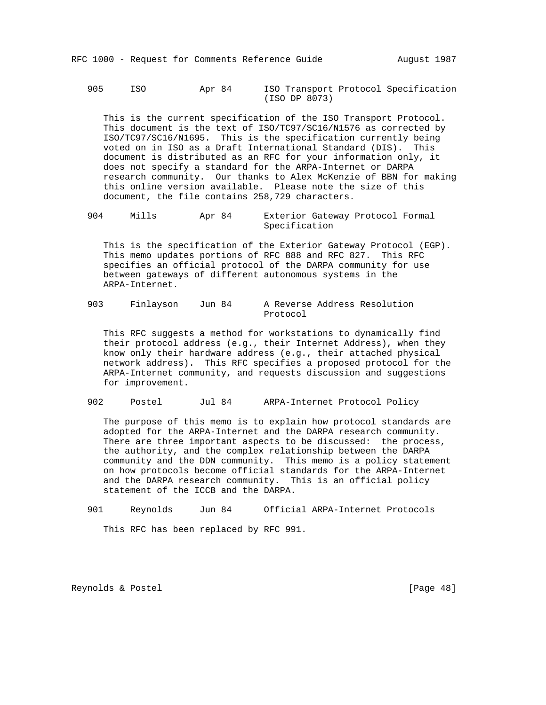905 ISO Apr 84 ISO Transport Protocol Specification (ISO DP 8073)

 This is the current specification of the ISO Transport Protocol. This document is the text of ISO/TC97/SC16/N1576 as corrected by ISO/TC97/SC16/N1695. This is the specification currently being voted on in ISO as a Draft International Standard (DIS). This document is distributed as an RFC for your information only, it does not specify a standard for the ARPA-Internet or DARPA research community. Our thanks to Alex McKenzie of BBN for making this online version available. Please note the size of this document, the file contains 258,729 characters.

 904 Mills Apr 84 Exterior Gateway Protocol Formal Specification

 This is the specification of the Exterior Gateway Protocol (EGP). This memo updates portions of RFC 888 and RFC 827. This RFC specifies an official protocol of the DARPA community for use between gateways of different autonomous systems in the ARPA-Internet.

```
 903 Finlayson Jun 84 A Reverse Address Resolution
                 Protocol
```
 This RFC suggests a method for workstations to dynamically find their protocol address (e.g., their Internet Address), when they know only their hardware address (e.g., their attached physical network address). This RFC specifies a proposed protocol for the ARPA-Internet community, and requests discussion and suggestions for improvement.

902 Postel Jul 84 ARPA-Internet Protocol Policy

 The purpose of this memo is to explain how protocol standards are adopted for the ARPA-Internet and the DARPA research community. There are three important aspects to be discussed: the process, the authority, and the complex relationship between the DARPA community and the DDN community. This memo is a policy statement on how protocols become official standards for the ARPA-Internet and the DARPA research community. This is an official policy statement of the ICCB and the DARPA.

901 Reynolds Jun 84 Official ARPA-Internet Protocols

This RFC has been replaced by RFC 991.

Reynolds & Postel [Page 48]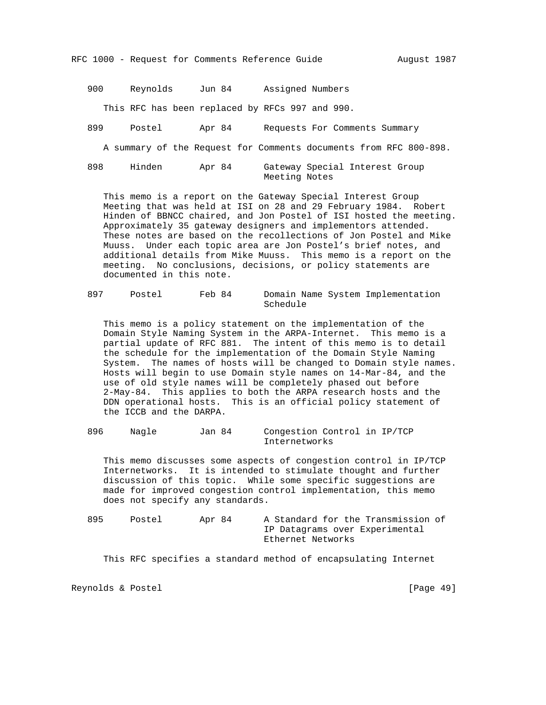900 Reynolds Jun 84 Assigned Numbers

This RFC has been replaced by RFCs 997 and 990.

899 Postel Apr 84 Requests For Comments Summary

A summary of the Request for Comments documents from RFC 800-898.

 898 Hinden Apr 84 Gateway Special Interest Group Meeting Notes

 This memo is a report on the Gateway Special Interest Group Meeting that was held at ISI on 28 and 29 February 1984. Robert Hinden of BBNCC chaired, and Jon Postel of ISI hosted the meeting. Approximately 35 gateway designers and implementors attended. These notes are based on the recollections of Jon Postel and Mike Muuss. Under each topic area are Jon Postel's brief notes, and additional details from Mike Muuss. This memo is a report on the meeting. No conclusions, decisions, or policy statements are documented in this note.

 897 Postel Feb 84 Domain Name System Implementation Schedule

 This memo is a policy statement on the implementation of the Domain Style Naming System in the ARPA-Internet. This memo is a partial update of RFC 881. The intent of this memo is to detail the schedule for the implementation of the Domain Style Naming System. The names of hosts will be changed to Domain style names. Hosts will begin to use Domain style names on 14-Mar-84, and the use of old style names will be completely phased out before 2-May-84. This applies to both the ARPA research hosts and the DDN operational hosts. This is an official policy statement of the ICCB and the DARPA.

 896 Nagle Jan 84 Congestion Control in IP/TCP Internetworks

 This memo discusses some aspects of congestion control in IP/TCP Internetworks. It is intended to stimulate thought and further discussion of this topic. While some specific suggestions are made for improved congestion control implementation, this memo does not specify any standards.

 895 Postel Apr 84 A Standard for the Transmission of IP Datagrams over Experimental Ethernet Networks

This RFC specifies a standard method of encapsulating Internet

Reynolds & Postel **Example 20** (Page 49)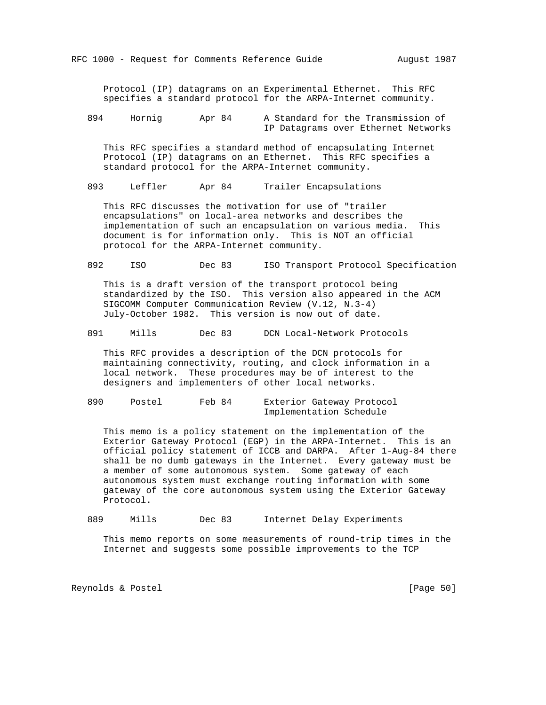Protocol (IP) datagrams on an Experimental Ethernet. This RFC specifies a standard protocol for the ARPA-Internet community.

 894 Hornig Apr 84 A Standard for the Transmission of IP Datagrams over Ethernet Networks

 This RFC specifies a standard method of encapsulating Internet Protocol (IP) datagrams on an Ethernet. This RFC specifies a standard protocol for the ARPA-Internet community.

893 Leffler Apr 84 Trailer Encapsulations

 This RFC discusses the motivation for use of "trailer encapsulations" on local-area networks and describes the implementation of such an encapsulation on various media. This document is for information only. This is NOT an official protocol for the ARPA-Internet community.

892 ISO Dec 83 ISO Transport Protocol Specification

 This is a draft version of the transport protocol being standardized by the ISO. This version also appeared in the ACM SIGCOMM Computer Communication Review (V.12, N.3-4) July-October 1982. This version is now out of date.

891 Mills Dec 83 DCN Local-Network Protocols

 This RFC provides a description of the DCN protocols for maintaining connectivity, routing, and clock information in a local network. These procedures may be of interest to the designers and implementers of other local networks.

 890 Postel Feb 84 Exterior Gateway Protocol Implementation Schedule

 This memo is a policy statement on the implementation of the Exterior Gateway Protocol (EGP) in the ARPA-Internet. This is an official policy statement of ICCB and DARPA. After 1-Aug-84 there shall be no dumb gateways in the Internet. Every gateway must be a member of some autonomous system. Some gateway of each autonomous system must exchange routing information with some gateway of the core autonomous system using the Exterior Gateway Protocol.

889 Mills Dec 83 Internet Delay Experiments

 This memo reports on some measurements of round-trip times in the Internet and suggests some possible improvements to the TCP

Reynolds & Postel [Page 50]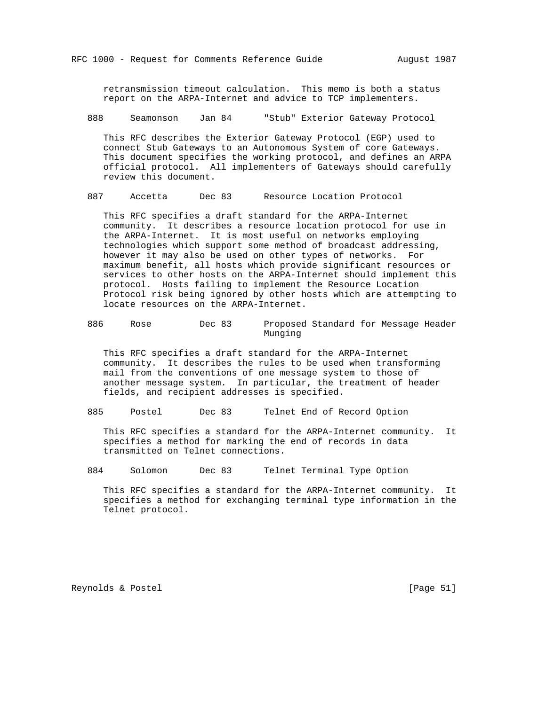retransmission timeout calculation. This memo is both a status report on the ARPA-Internet and advice to TCP implementers.

888 Seamonson Jan 84 "Stub" Exterior Gateway Protocol

 This RFC describes the Exterior Gateway Protocol (EGP) used to connect Stub Gateways to an Autonomous System of core Gateways. This document specifies the working protocol, and defines an ARPA official protocol. All implementers of Gateways should carefully review this document.

887 Accetta Dec 83 Resource Location Protocol

 This RFC specifies a draft standard for the ARPA-Internet community. It describes a resource location protocol for use in the ARPA-Internet. It is most useful on networks employing technologies which support some method of broadcast addressing, however it may also be used on other types of networks. For maximum benefit, all hosts which provide significant resources or services to other hosts on the ARPA-Internet should implement this protocol. Hosts failing to implement the Resource Location Protocol risk being ignored by other hosts which are attempting to locate resources on the ARPA-Internet.

 886 Rose Dec 83 Proposed Standard for Message Header Munging

 This RFC specifies a draft standard for the ARPA-Internet community. It describes the rules to be used when transforming mail from the conventions of one message system to those of another message system. In particular, the treatment of header fields, and recipient addresses is specified.

885 Postel Dec 83 Telnet End of Record Option

 This RFC specifies a standard for the ARPA-Internet community. It specifies a method for marking the end of records in data transmitted on Telnet connections.

884 Solomon Dec 83 Telnet Terminal Type Option

 This RFC specifies a standard for the ARPA-Internet community. It specifies a method for exchanging terminal type information in the Telnet protocol.

Reynolds & Postel [Page 51]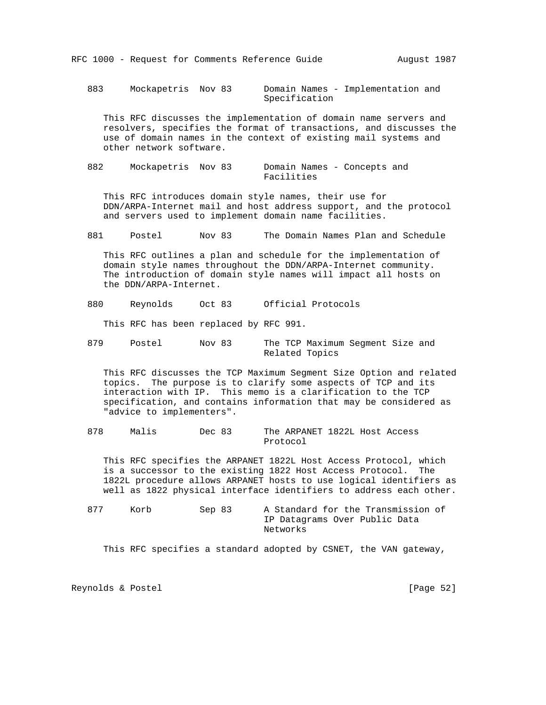883 Mockapetris Nov 83 Domain Names - Implementation and Specification

 This RFC discusses the implementation of domain name servers and resolvers, specifies the format of transactions, and discusses the use of domain names in the context of existing mail systems and other network software.

 882 Mockapetris Nov 83 Domain Names - Concepts and Facilities

 This RFC introduces domain style names, their use for DDN/ARPA-Internet mail and host address support, and the protocol and servers used to implement domain name facilities.

881 Postel Nov 83 The Domain Names Plan and Schedule

 This RFC outlines a plan and schedule for the implementation of domain style names throughout the DDN/ARPA-Internet community. The introduction of domain style names will impact all hosts on the DDN/ARPA-Internet.

880 Reynolds Oct 83 Official Protocols

This RFC has been replaced by RFC 991.

 879 Postel Nov 83 The TCP Maximum Segment Size and Related Topics

 This RFC discusses the TCP Maximum Segment Size Option and related topics. The purpose is to clarify some aspects of TCP and its interaction with IP. This memo is a clarification to the TCP specification, and contains information that may be considered as "advice to implementers".

 878 Malis Dec 83 The ARPANET 1822L Host Access Protocol

 This RFC specifies the ARPANET 1822L Host Access Protocol, which is a successor to the existing 1822 Host Access Protocol. The 1822L procedure allows ARPANET hosts to use logical identifiers as well as 1822 physical interface identifiers to address each other.

 877 Korb Sep 83 A Standard for the Transmission of IP Datagrams Over Public Data Networks

This RFC specifies a standard adopted by CSNET, the VAN gateway,

Reynolds & Postel [Page 52]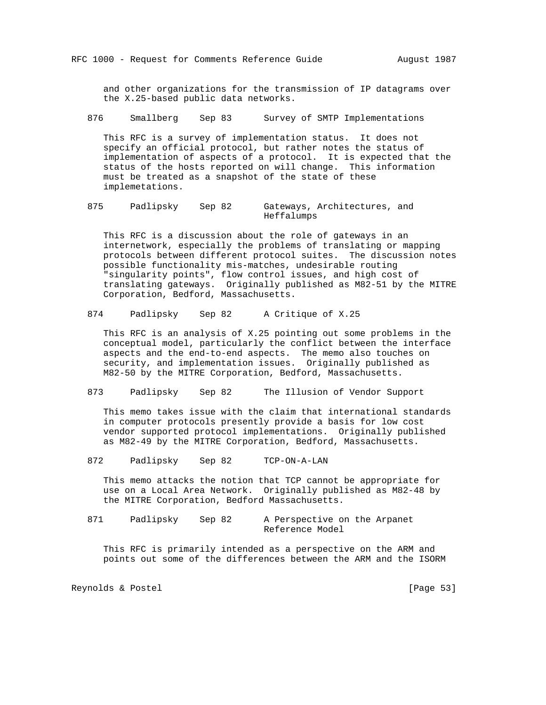and other organizations for the transmission of IP datagrams over the X.25-based public data networks.

876 Smallberg Sep 83 Survey of SMTP Implementations

 This RFC is a survey of implementation status. It does not specify an official protocol, but rather notes the status of implementation of aspects of a protocol. It is expected that the status of the hosts reported on will change. This information must be treated as a snapshot of the state of these implemetations.

 875 Padlipsky Sep 82 Gateways, Architectures, and Heffalumps

 This RFC is a discussion about the role of gateways in an internetwork, especially the problems of translating or mapping protocols between different protocol suites. The discussion notes possible functionality mis-matches, undesirable routing "singularity points", flow control issues, and high cost of translating gateways. Originally published as M82-51 by the MITRE Corporation, Bedford, Massachusetts.

874 Padlipsky Sep 82 A Critique of X.25

 This RFC is an analysis of X.25 pointing out some problems in the conceptual model, particularly the conflict between the interface aspects and the end-to-end aspects. The memo also touches on security, and implementation issues. Originally published as M82-50 by the MITRE Corporation, Bedford, Massachusetts.

873 Padlipsky Sep 82 The Illusion of Vendor Support

 This memo takes issue with the claim that international standards in computer protocols presently provide a basis for low cost vendor supported protocol implementations. Originally published as M82-49 by the MITRE Corporation, Bedford, Massachusetts.

872 Padlipsky Sep 82 TCP-ON-A-LAN

 This memo attacks the notion that TCP cannot be appropriate for use on a Local Area Network. Originally published as M82-48 by the MITRE Corporation, Bedford Massachusetts.

 871 Padlipsky Sep 82 A Perspective on the Arpanet Reference Model

 This RFC is primarily intended as a perspective on the ARM and points out some of the differences between the ARM and the ISORM

Reynolds & Postel [Page 53]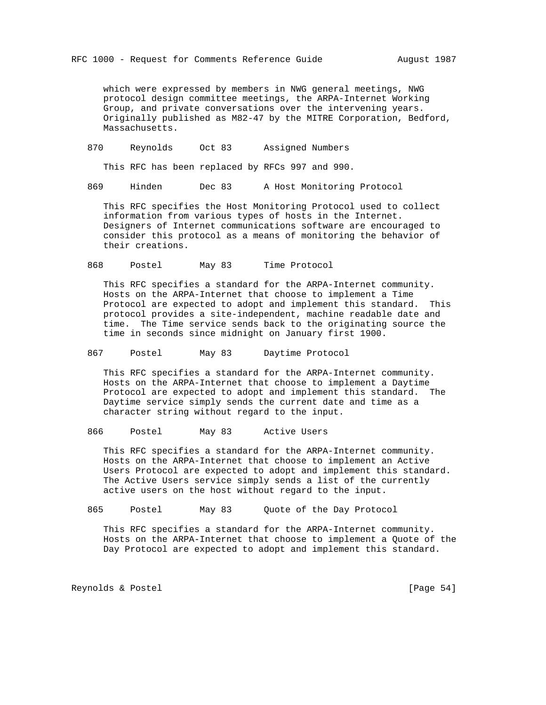which were expressed by members in NWG general meetings, NWG protocol design committee meetings, the ARPA-Internet Working Group, and private conversations over the intervening years. Originally published as M82-47 by the MITRE Corporation, Bedford, Massachusetts.

870 Reynolds Oct 83 Assigned Numbers

This RFC has been replaced by RFCs 997 and 990.

869 Hinden Dec 83 A Host Monitoring Protocol

 This RFC specifies the Host Monitoring Protocol used to collect information from various types of hosts in the Internet. Designers of Internet communications software are encouraged to consider this protocol as a means of monitoring the behavior of their creations.

868 Postel May 83 Time Protocol

 This RFC specifies a standard for the ARPA-Internet community. Hosts on the ARPA-Internet that choose to implement a Time Protocol are expected to adopt and implement this standard. This protocol provides a site-independent, machine readable date and time. The Time service sends back to the originating source the time in seconds since midnight on January first 1900.

867 Postel May 83 Daytime Protocol

 This RFC specifies a standard for the ARPA-Internet community. Hosts on the ARPA-Internet that choose to implement a Daytime Protocol are expected to adopt and implement this standard. The Daytime service simply sends the current date and time as a character string without regard to the input.

866 Postel May 83 Active Users

 This RFC specifies a standard for the ARPA-Internet community. Hosts on the ARPA-Internet that choose to implement an Active Users Protocol are expected to adopt and implement this standard. The Active Users service simply sends a list of the currently active users on the host without regard to the input.

865 Postel May 83 Quote of the Day Protocol

 This RFC specifies a standard for the ARPA-Internet community. Hosts on the ARPA-Internet that choose to implement a Quote of the Day Protocol are expected to adopt and implement this standard.

Reynolds & Postel [Page 54]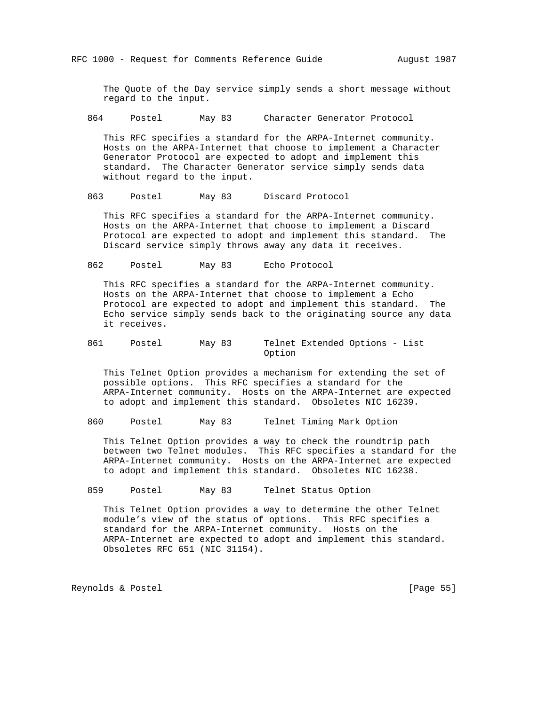The Quote of the Day service simply sends a short message without regard to the input.

864 Postel May 83 Character Generator Protocol

 This RFC specifies a standard for the ARPA-Internet community. Hosts on the ARPA-Internet that choose to implement a Character Generator Protocol are expected to adopt and implement this standard. The Character Generator service simply sends data without regard to the input.

863 Postel May 83 Discard Protocol

 This RFC specifies a standard for the ARPA-Internet community. Hosts on the ARPA-Internet that choose to implement a Discard Protocol are expected to adopt and implement this standard. The Discard service simply throws away any data it receives.

862 Postel May 83 Echo Protocol

 This RFC specifies a standard for the ARPA-Internet community. Hosts on the ARPA-Internet that choose to implement a Echo Protocol are expected to adopt and implement this standard. The Echo service simply sends back to the originating source any data it receives.

 861 Postel May 83 Telnet Extended Options - List Option

 This Telnet Option provides a mechanism for extending the set of possible options. This RFC specifies a standard for the ARPA-Internet community. Hosts on the ARPA-Internet are expected to adopt and implement this standard. Obsoletes NIC 16239.

860 Postel May 83 Telnet Timing Mark Option

 This Telnet Option provides a way to check the roundtrip path between two Telnet modules. This RFC specifies a standard for the ARPA-Internet community. Hosts on the ARPA-Internet are expected to adopt and implement this standard. Obsoletes NIC 16238.

859 Postel May 83 Telnet Status Option

 This Telnet Option provides a way to determine the other Telnet module's view of the status of options. This RFC specifies a standard for the ARPA-Internet community. Hosts on the ARPA-Internet are expected to adopt and implement this standard. Obsoletes RFC 651 (NIC 31154).

Reynolds & Postel [Page 55]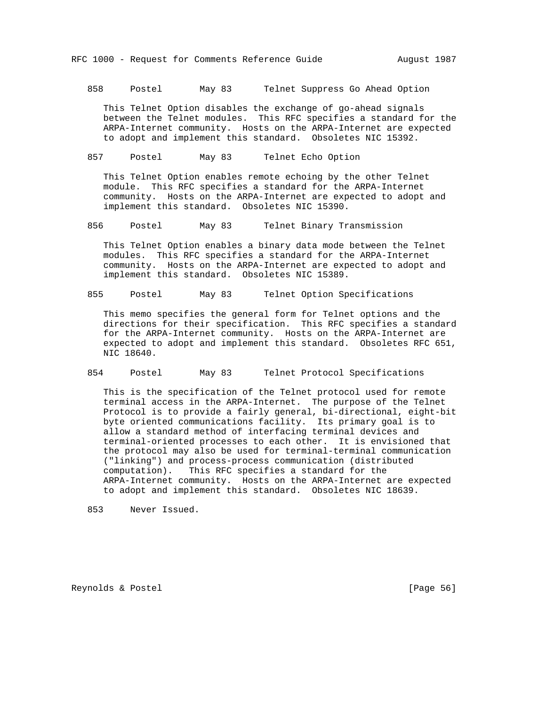858 Postel May 83 Telnet Suppress Go Ahead Option

 This Telnet Option disables the exchange of go-ahead signals between the Telnet modules. This RFC specifies a standard for the ARPA-Internet community. Hosts on the ARPA-Internet are expected to adopt and implement this standard. Obsoletes NIC 15392.

857 Postel May 83 Telnet Echo Option

 This Telnet Option enables remote echoing by the other Telnet module. This RFC specifies a standard for the ARPA-Internet community. Hosts on the ARPA-Internet are expected to adopt and implement this standard. Obsoletes NIC 15390.

856 Postel May 83 Telnet Binary Transmission

 This Telnet Option enables a binary data mode between the Telnet modules. This RFC specifies a standard for the ARPA-Internet community. Hosts on the ARPA-Internet are expected to adopt and implement this standard. Obsoletes NIC 15389.

855 Postel May 83 Telnet Option Specifications

 This memo specifies the general form for Telnet options and the directions for their specification. This RFC specifies a standard for the ARPA-Internet community. Hosts on the ARPA-Internet are expected to adopt and implement this standard. Obsoletes RFC 651, NIC 18640.

854 Postel May 83 Telnet Protocol Specifications

 This is the specification of the Telnet protocol used for remote terminal access in the ARPA-Internet. The purpose of the Telnet Protocol is to provide a fairly general, bi-directional, eight-bit byte oriented communications facility. Its primary goal is to allow a standard method of interfacing terminal devices and terminal-oriented processes to each other. It is envisioned that the protocol may also be used for terminal-terminal communication ("linking") and process-process communication (distributed computation). This RFC specifies a standard for the ARPA-Internet community. Hosts on the ARPA-Internet are expected to adopt and implement this standard. Obsoletes NIC 18639.

853 Never Issued.

Reynolds & Postel [Page 56]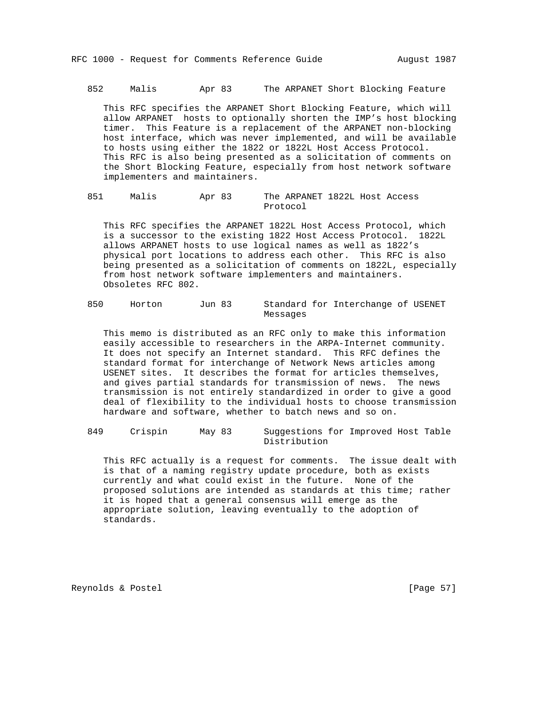852 Malis Apr 83 The ARPANET Short Blocking Feature

 This RFC specifies the ARPANET Short Blocking Feature, which will allow ARPANET hosts to optionally shorten the IMP's host blocking timer. This Feature is a replacement of the ARPANET non-blocking host interface, which was never implemented, and will be available to hosts using either the 1822 or 1822L Host Access Protocol. This RFC is also being presented as a solicitation of comments on the Short Blocking Feature, especially from host network software implementers and maintainers.

 851 Malis Apr 83 The ARPANET 1822L Host Access Protocol

 This RFC specifies the ARPANET 1822L Host Access Protocol, which is a successor to the existing 1822 Host Access Protocol. 1822L allows ARPANET hosts to use logical names as well as 1822's physical port locations to address each other. This RFC is also being presented as a solicitation of comments on 1822L, especially from host network software implementers and maintainers. Obsoletes RFC 802.

 850 Horton Jun 83 Standard for Interchange of USENET Messages

 This memo is distributed as an RFC only to make this information easily accessible to researchers in the ARPA-Internet community. It does not specify an Internet standard. This RFC defines the standard format for interchange of Network News articles among USENET sites. It describes the format for articles themselves, and gives partial standards for transmission of news. The news transmission is not entirely standardized in order to give a good deal of flexibility to the individual hosts to choose transmission hardware and software, whether to batch news and so on.

 849 Crispin May 83 Suggestions for Improved Host Table Distribution

 This RFC actually is a request for comments. The issue dealt with is that of a naming registry update procedure, both as exists currently and what could exist in the future. None of the proposed solutions are intended as standards at this time; rather it is hoped that a general consensus will emerge as the appropriate solution, leaving eventually to the adoption of standards.

Reynolds & Postel [Page 57]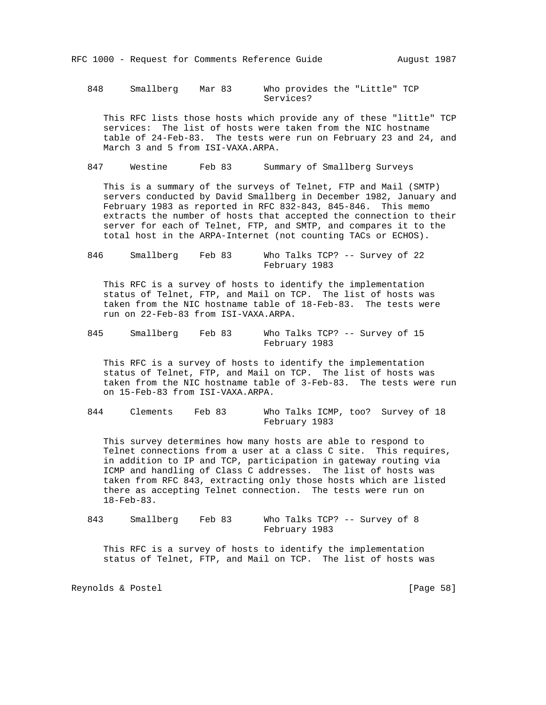848 Smallberg Mar 83 Who provides the "Little" TCP Services?

 This RFC lists those hosts which provide any of these "little" TCP services: The list of hosts were taken from the NIC hostname table of 24-Feb-83. The tests were run on February 23 and 24, and March 3 and 5 from ISI-VAXA.ARPA.

847 Westine Feb 83 Summary of Smallberg Surveys

 This is a summary of the surveys of Telnet, FTP and Mail (SMTP) servers conducted by David Smallberg in December 1982, January and February 1983 as reported in RFC 832-843, 845-846. This memo extracts the number of hosts that accepted the connection to their server for each of Telnet, FTP, and SMTP, and compares it to the total host in the ARPA-Internet (not counting TACs or ECHOS).

 846 Smallberg Feb 83 Who Talks TCP? -- Survey of 22 February 1983

 This RFC is a survey of hosts to identify the implementation status of Telnet, FTP, and Mail on TCP. The list of hosts was taken from the NIC hostname table of 18-Feb-83. The tests were run on 22-Feb-83 from ISI-VAXA.ARPA.

 845 Smallberg Feb 83 Who Talks TCP? -- Survey of 15 February 1983

 This RFC is a survey of hosts to identify the implementation status of Telnet, FTP, and Mail on TCP. The list of hosts was taken from the NIC hostname table of 3-Feb-83. The tests were run on 15-Feb-83 from ISI-VAXA.ARPA.

 844 Clements Feb 83 Who Talks ICMP, too? Survey of 18 February 1983

 This survey determines how many hosts are able to respond to Telnet connections from a user at a class C site. This requires, in addition to IP and TCP, participation in gateway routing via ICMP and handling of Class C addresses. The list of hosts was taken from RFC 843, extracting only those hosts which are listed there as accepting Telnet connection. The tests were run on 18-Feb-83.

 843 Smallberg Feb 83 Who Talks TCP? -- Survey of 8 February 1983

 This RFC is a survey of hosts to identify the implementation status of Telnet, FTP, and Mail on TCP. The list of hosts was

Reynolds & Postel [Page 58]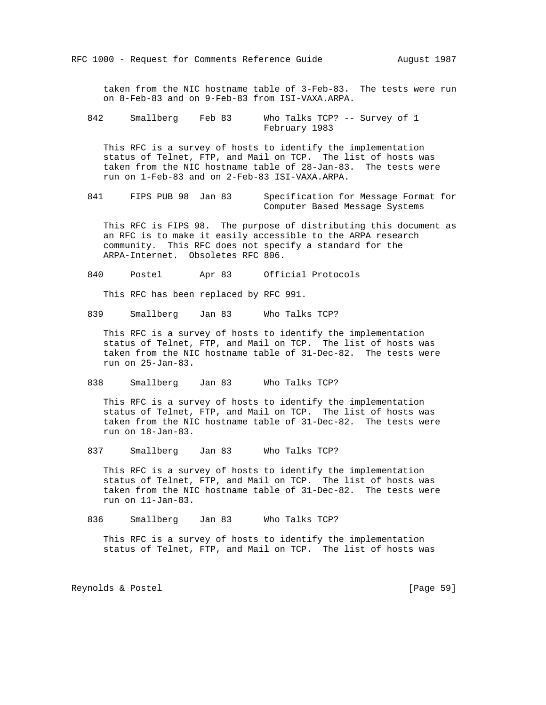taken from the NIC hostname table of 3-Feb-83. The tests were run on 8-Feb-83 and on 9-Feb-83 from ISI-VAXA.ARPA.

 842 Smallberg Feb 83 Who Talks TCP? -- Survey of 1 February 1983

 This RFC is a survey of hosts to identify the implementation status of Telnet, FTP, and Mail on TCP. The list of hosts was taken from the NIC hostname table of 28-Jan-83. The tests were run on 1-Feb-83 and on 2-Feb-83 ISI-VAXA.ARPA.

 841 FIPS PUB 98 Jan 83 Specification for Message Format for Computer Based Message Systems

 This RFC is FIPS 98. The purpose of distributing this document as an RFC is to make it easily accessible to the ARPA research community. This RFC does not specify a standard for the ARPA-Internet. Obsoletes RFC 806.

840 Postel Apr 83 Official Protocols

This RFC has been replaced by RFC 991.

839 Smallberg Jan 83 Who Talks TCP?

 This RFC is a survey of hosts to identify the implementation status of Telnet, FTP, and Mail on TCP. The list of hosts was taken from the NIC hostname table of 31-Dec-82. The tests were run on 25-Jan-83.

838 Smallberg Jan 83 Who Talks TCP?

 This RFC is a survey of hosts to identify the implementation status of Telnet, FTP, and Mail on TCP. The list of hosts was taken from the NIC hostname table of 31-Dec-82. The tests were run on 18-Jan-83.

837 Smallberg Jan 83 Who Talks TCP?

 This RFC is a survey of hosts to identify the implementation status of Telnet, FTP, and Mail on TCP. The list of hosts was taken from the NIC hostname table of 31-Dec-82. The tests were run on 11-Jan-83.

836 Smallberg Jan 83 Who Talks TCP?

 This RFC is a survey of hosts to identify the implementation status of Telnet, FTP, and Mail on TCP. The list of hosts was

Reynolds & Postel [Page 59]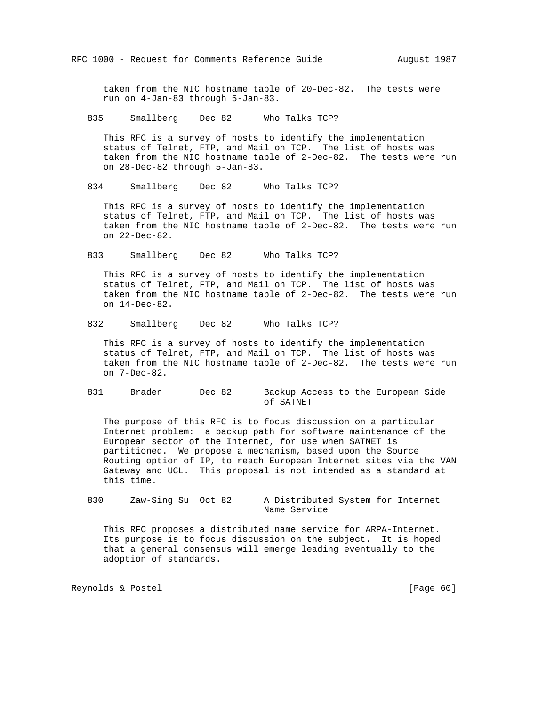taken from the NIC hostname table of 20-Dec-82. The tests were run on 4-Jan-83 through 5-Jan-83.

835 Smallberg Dec 82 Who Talks TCP?

 This RFC is a survey of hosts to identify the implementation status of Telnet, FTP, and Mail on TCP. The list of hosts was taken from the NIC hostname table of 2-Dec-82. The tests were run on 28-Dec-82 through 5-Jan-83.

834 Smallberg Dec 82 Who Talks TCP?

 This RFC is a survey of hosts to identify the implementation status of Telnet, FTP, and Mail on TCP. The list of hosts was taken from the NIC hostname table of 2-Dec-82. The tests were run on 22-Dec-82.

833 Smallberg Dec 82 Who Talks TCP?

 This RFC is a survey of hosts to identify the implementation status of Telnet, FTP, and Mail on TCP. The list of hosts was taken from the NIC hostname table of 2-Dec-82. The tests were run on 14-Dec-82.

832 Smallberg Dec 82 Who Talks TCP?

 This RFC is a survey of hosts to identify the implementation status of Telnet, FTP, and Mail on TCP. The list of hosts was taken from the NIC hostname table of 2-Dec-82. The tests were run on 7-Dec-82.

 831 Braden Dec 82 Backup Access to the European Side of SATNET

 The purpose of this RFC is to focus discussion on a particular Internet problem: a backup path for software maintenance of the European sector of the Internet, for use when SATNET is partitioned. We propose a mechanism, based upon the Source Routing option of IP, to reach European Internet sites via the VAN Gateway and UCL. This proposal is not intended as a standard at this time.

 830 Zaw-Sing Su Oct 82 A Distributed System for Internet Name Service

 This RFC proposes a distributed name service for ARPA-Internet. Its purpose is to focus discussion on the subject. It is hoped that a general consensus will emerge leading eventually to the adoption of standards.

Reynolds & Postel [Page 60]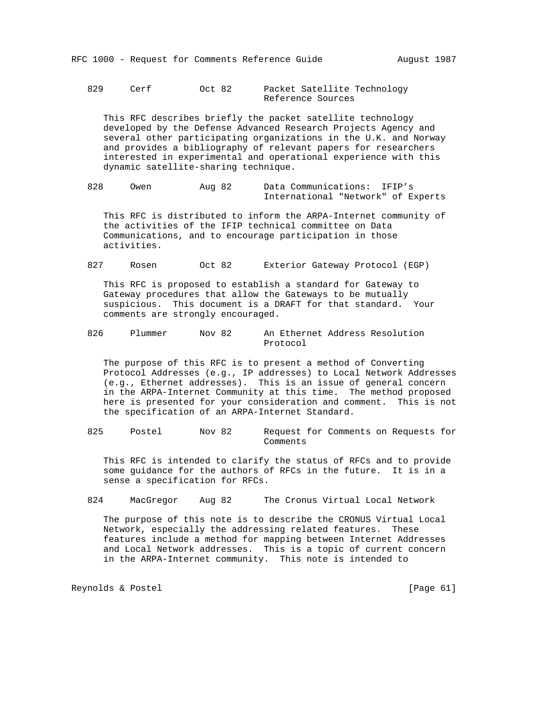829 Cerf Oct 82 Packet Satellite Technology Reference Sources

 This RFC describes briefly the packet satellite technology developed by the Defense Advanced Research Projects Agency and several other participating organizations in the U.K. and Norway and provides a bibliography of relevant papers for researchers interested in experimental and operational experience with this dynamic satellite-sharing technique.

 828 Owen Aug 82 Data Communications: IFIP's International "Network" of Experts

 This RFC is distributed to inform the ARPA-Internet community of the activities of the IFIP technical committee on Data Communications, and to encourage participation in those activities.

827 Rosen Oct 82 Exterior Gateway Protocol (EGP)

 This RFC is proposed to establish a standard for Gateway to Gateway procedures that allow the Gateways to be mutually suspicious. This document is a DRAFT for that standard. Your comments are strongly encouraged.

 826 Plummer Nov 82 An Ethernet Address Resolution Protocol

 The purpose of this RFC is to present a method of Converting Protocol Addresses (e.g., IP addresses) to Local Network Addresses (e.g., Ethernet addresses). This is an issue of general concern in the ARPA-Internet Community at this time. The method proposed here is presented for your consideration and comment. This is not the specification of an ARPA-Internet Standard.

 825 Postel Nov 82 Request for Comments on Requests for Comments

 This RFC is intended to clarify the status of RFCs and to provide some guidance for the authors of RFCs in the future. It is in a sense a specification for RFCs.

824 MacGregor Aug 82 The Cronus Virtual Local Network

 The purpose of this note is to describe the CRONUS Virtual Local Network, especially the addressing related features. These features include a method for mapping between Internet Addresses and Local Network addresses. This is a topic of current concern in the ARPA-Internet community. This note is intended to

Reynolds & Postel [Page 61]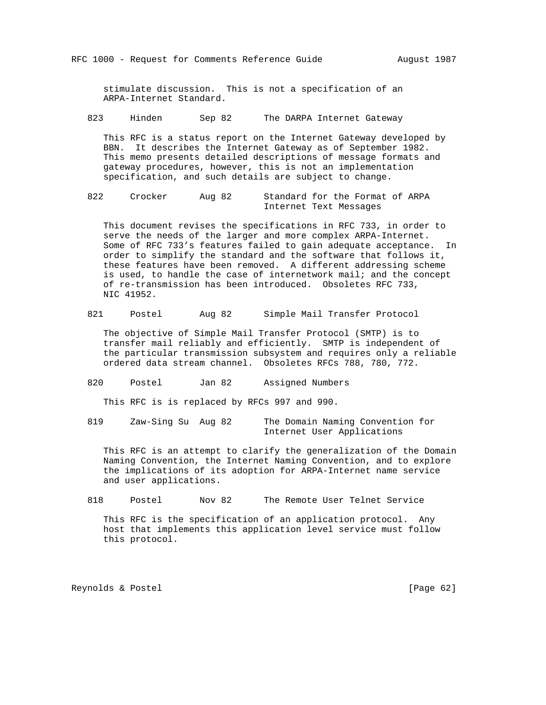stimulate discussion. This is not a specification of an ARPA-Internet Standard.

823 Hinden Sep 82 The DARPA Internet Gateway

 This RFC is a status report on the Internet Gateway developed by BBN. It describes the Internet Gateway as of September 1982. This memo presents detailed descriptions of message formats and gateway procedures, however, this is not an implementation specification, and such details are subject to change.

 822 Crocker Aug 82 Standard for the Format of ARPA Internet Text Messages

 This document revises the specifications in RFC 733, in order to serve the needs of the larger and more complex ARPA-Internet. Some of RFC 733's features failed to gain adequate acceptance. In order to simplify the standard and the software that follows it, these features have been removed. A different addressing scheme is used, to handle the case of internetwork mail; and the concept of re-transmission has been introduced. Obsoletes RFC 733, NIC 41952.

821 Postel Aug 82 Simple Mail Transfer Protocol

 The objective of Simple Mail Transfer Protocol (SMTP) is to transfer mail reliably and efficiently. SMTP is independent of the particular transmission subsystem and requires only a reliable ordered data stream channel. Obsoletes RFCs 788, 780, 772.

820 Postel Jan 82 Assigned Numbers

This RFC is is replaced by RFCs 997 and 990.

 819 Zaw-Sing Su Aug 82 The Domain Naming Convention for Internet User Applications

 This RFC is an attempt to clarify the generalization of the Domain Naming Convention, the Internet Naming Convention, and to explore the implications of its adoption for ARPA-Internet name service and user applications.

818 Postel Nov 82 The Remote User Telnet Service

 This RFC is the specification of an application protocol. Any host that implements this application level service must follow this protocol.

Reynolds & Postel [Page 62]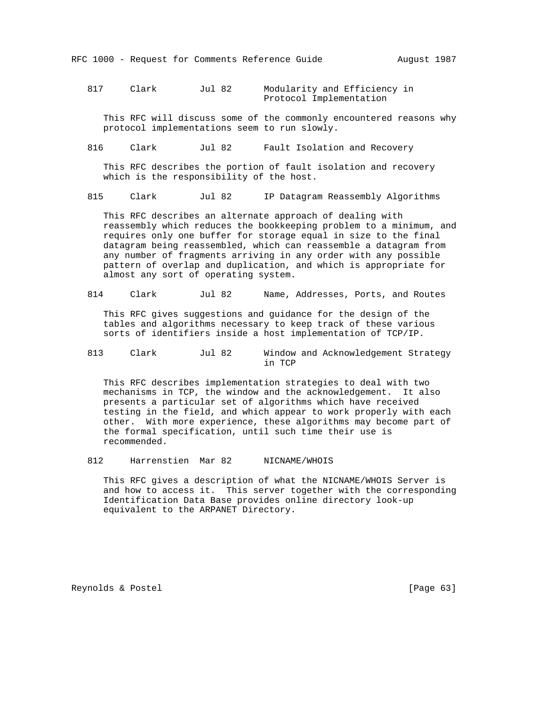817 Clark Jul 82 Modularity and Efficiency in Protocol Implementation

 This RFC will discuss some of the commonly encountered reasons why protocol implementations seem to run slowly.

816 Clark Jul 82 Fault Isolation and Recovery

 This RFC describes the portion of fault isolation and recovery which is the responsibility of the host.

815 Clark Jul 82 IP Datagram Reassembly Algorithms

 This RFC describes an alternate approach of dealing with reassembly which reduces the bookkeeping problem to a minimum, and requires only one buffer for storage equal in size to the final datagram being reassembled, which can reassemble a datagram from any number of fragments arriving in any order with any possible pattern of overlap and duplication, and which is appropriate for almost any sort of operating system.

814 Clark Jul 82 Name, Addresses, Ports, and Routes

 This RFC gives suggestions and guidance for the design of the tables and algorithms necessary to keep track of these various sorts of identifiers inside a host implementation of TCP/IP.

 813 Clark Jul 82 Window and Acknowledgement Strategy in TCP

 This RFC describes implementation strategies to deal with two mechanisms in TCP, the window and the acknowledgement. It also presents a particular set of algorithms which have received testing in the field, and which appear to work properly with each other. With more experience, these algorithms may become part of the formal specification, until such time their use is recommended.

812 Harrenstien Mar 82 NICNAME/WHOIS

 This RFC gives a description of what the NICNAME/WHOIS Server is and how to access it. This server together with the corresponding Identification Data Base provides online directory look-up equivalent to the ARPANET Directory.

Reynolds & Postel [Page 63]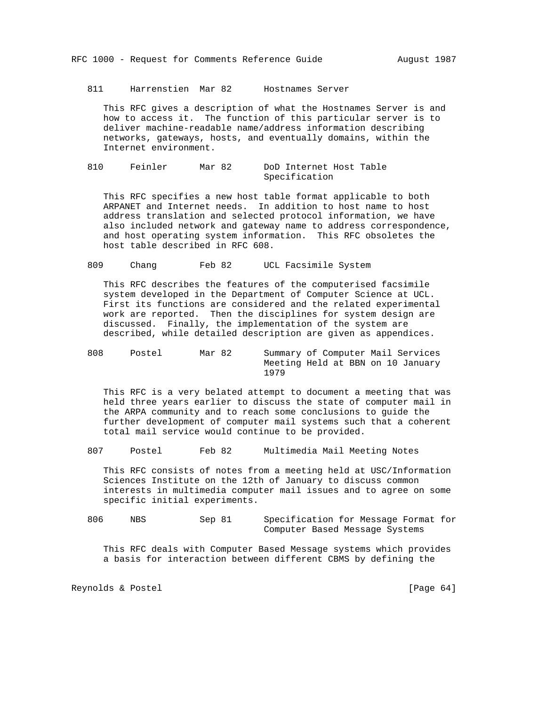811 Harrenstien Mar 82 Hostnames Server

 This RFC gives a description of what the Hostnames Server is and how to access it. The function of this particular server is to deliver machine-readable name/address information describing networks, gateways, hosts, and eventually domains, within the Internet environment.

 810 Feinler Mar 82 DoD Internet Host Table Specification

 This RFC specifies a new host table format applicable to both ARPANET and Internet needs. In addition to host name to host address translation and selected protocol information, we have also included network and gateway name to address correspondence, and host operating system information. This RFC obsoletes the host table described in RFC 608.

809 Chang Feb 82 UCL Facsimile System

 This RFC describes the features of the computerised facsimile system developed in the Department of Computer Science at UCL. First its functions are considered and the related experimental work are reported. Then the disciplines for system design are discussed. Finally, the implementation of the system are described, while detailed description are given as appendices.

 808 Postel Mar 82 Summary of Computer Mail Services Meeting Held at BBN on 10 January 1979

 This RFC is a very belated attempt to document a meeting that was held three years earlier to discuss the state of computer mail in the ARPA community and to reach some conclusions to guide the further development of computer mail systems such that a coherent total mail service would continue to be provided.

807 Postel Feb 82 Multimedia Mail Meeting Notes

 This RFC consists of notes from a meeting held at USC/Information Sciences Institute on the 12th of January to discuss common interests in multimedia computer mail issues and to agree on some specific initial experiments.

806 NBS Sep 81 Specification for Message Format for Computer Based Message Systems

 This RFC deals with Computer Based Message systems which provides a basis for interaction between different CBMS by defining the

Reynolds & Postel [Page 64]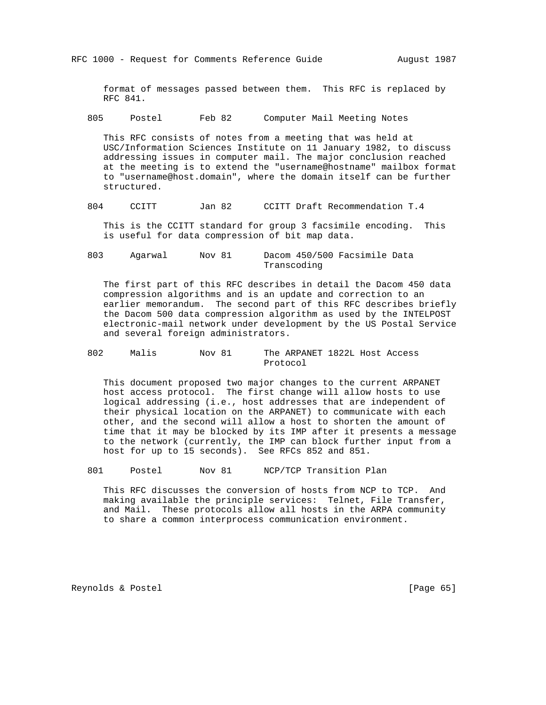format of messages passed between them. This RFC is replaced by RFC 841.

805 Postel Feb 82 Computer Mail Meeting Notes

 This RFC consists of notes from a meeting that was held at USC/Information Sciences Institute on 11 January 1982, to discuss addressing issues in computer mail. The major conclusion reached at the meeting is to extend the "username@hostname" mailbox format to "username@host.domain", where the domain itself can be further structured.

804 CCITT Jan 82 CCITT Draft Recommendation T.4

 This is the CCITT standard for group 3 facsimile encoding. This is useful for data compression of bit map data.

 803 Agarwal Nov 81 Dacom 450/500 Facsimile Data Transcoding

 The first part of this RFC describes in detail the Dacom 450 data compression algorithms and is an update and correction to an earlier memorandum. The second part of this RFC describes briefly the Dacom 500 data compression algorithm as used by the INTELPOST electronic-mail network under development by the US Postal Service and several foreign administrators.

 802 Malis Nov 81 The ARPANET 1822L Host Access Protocol

 This document proposed two major changes to the current ARPANET host access protocol. The first change will allow hosts to use logical addressing (i.e., host addresses that are independent of their physical location on the ARPANET) to communicate with each other, and the second will allow a host to shorten the amount of time that it may be blocked by its IMP after it presents a message to the network (currently, the IMP can block further input from a host for up to 15 seconds). See RFCs 852 and 851.

801 Postel Nov 81 NCP/TCP Transition Plan

 This RFC discusses the conversion of hosts from NCP to TCP. And making available the principle services: Telnet, File Transfer, and Mail. These protocols allow all hosts in the ARPA community to share a common interprocess communication environment.

Reynolds & Postel [Page 65]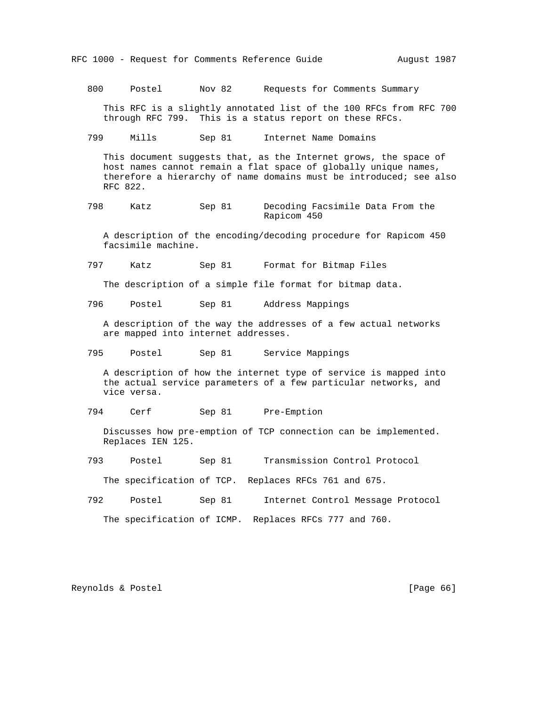800 Postel Nov 82 Requests for Comments Summary

 This RFC is a slightly annotated list of the 100 RFCs from RFC 700 through RFC 799. This is a status report on these RFCs.

799 Mills Sep 81 Internet Name Domains

 This document suggests that, as the Internet grows, the space of host names cannot remain a flat space of globally unique names, therefore a hierarchy of name domains must be introduced; see also RFC 822.

 798 Katz Sep 81 Decoding Facsimile Data From the Rapicom 450

 A description of the encoding/decoding procedure for Rapicom 450 facsimile machine.

797 Katz Sep 81 Format for Bitmap Files

The description of a simple file format for bitmap data.

796 Postel Sep 81 Address Mappings

 A description of the way the addresses of a few actual networks are mapped into internet addresses.

795 Postel Sep 81 Service Mappings

 A description of how the internet type of service is mapped into the actual service parameters of a few particular networks, and vice versa.

794 Cerf Sep 81 Pre-Emption

 Discusses how pre-emption of TCP connection can be implemented. Replaces IEN 125.

793 Postel Sep 81 Transmission Control Protocol

The specification of TCP. Replaces RFCs 761 and 675.

 792 Postel Sep 81 Internet Control Message Protocol The specification of ICMP. Replaces RFCs 777 and 760.

Reynolds & Postel [Page 66]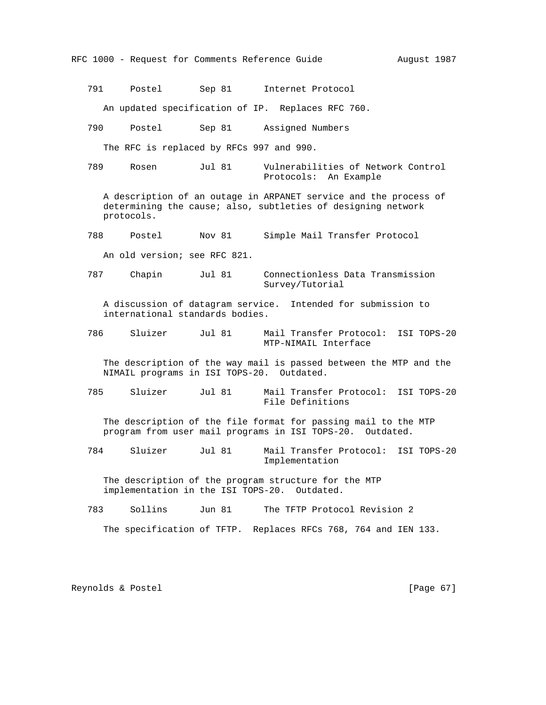791 Postel Sep 81 Internet Protocol

An updated specification of IP. Replaces RFC 760.

790 Postel Sep 81 Assigned Numbers

The RFC is replaced by RFCs 997 and 990.

 789 Rosen Jul 81 Vulnerabilities of Network Control Protocols: An Example

 A description of an outage in ARPANET service and the process of determining the cause; also, subtleties of designing network protocols.

788 Postel Nov 81 Simple Mail Transfer Protocol

An old version; see RFC 821.

 787 Chapin Jul 81 Connectionless Data Transmission Survey/Tutorial

 A discussion of datagram service. Intended for submission to international standards bodies.

 786 Sluizer Jul 81 Mail Transfer Protocol: ISI TOPS-20 MTP-NIMAIL Interface

 The description of the way mail is passed between the MTP and the NIMAIL programs in ISI TOPS-20. Outdated.

 785 Sluizer Jul 81 Mail Transfer Protocol: ISI TOPS-20 File Definitions

 The description of the file format for passing mail to the MTP program from user mail programs in ISI TOPS-20. Outdated.

 784 Sluizer Jul 81 Mail Transfer Protocol: ISI TOPS-20 Implementation

 The description of the program structure for the MTP implementation in the ISI TOPS-20. Outdated.

783 Sollins Jun 81 The TFTP Protocol Revision 2

The specification of TFTP. Replaces RFCs 768, 764 and IEN 133.

Reynolds & Postel [Page 67]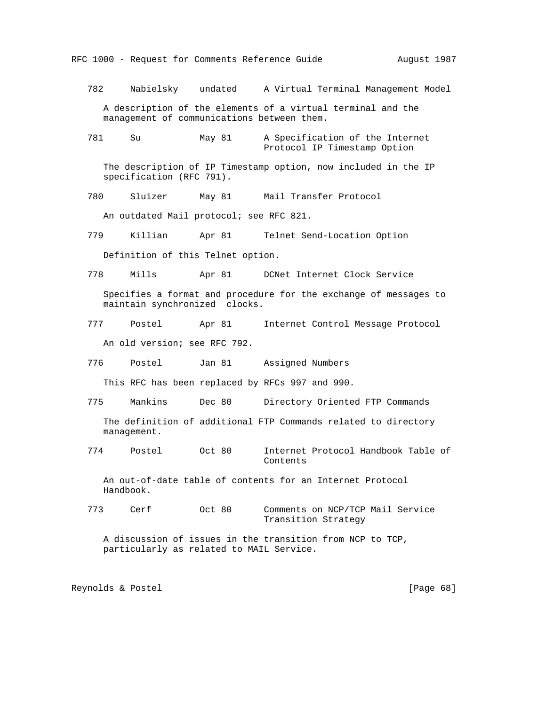782 Nabielsky undated A Virtual Terminal Management Model

 A description of the elements of a virtual terminal and the management of communications between them.

 781 Su May 81 A Specification of the Internet Protocol IP Timestamp Option

 The description of IP Timestamp option, now included in the IP specification (RFC 791).

 780 Sluizer May 81 Mail Transfer Protocol An outdated Mail protocol; see RFC 821.

779 Killian Apr 81 Telnet Send-Location Option

Definition of this Telnet option.

778 Mills Apr 81 DCNet Internet Clock Service

 Specifies a format and procedure for the exchange of messages to maintain synchronized clocks.

777 Postel Apr 81 Internet Control Message Protocol

An old version; see RFC 792.

776 Postel Jan 81 Assigned Numbers

This RFC has been replaced by RFCs 997 and 990.

775 Mankins Dec 80 Directory Oriented FTP Commands

 The definition of additional FTP Commands related to directory management.

 774 Postel Oct 80 Internet Protocol Handbook Table of Contents

 An out-of-date table of contents for an Internet Protocol Handbook.

 773 Cerf Oct 80 Comments on NCP/TCP Mail Service Transition Strategy

 A discussion of issues in the transition from NCP to TCP, particularly as related to MAIL Service.

Reynolds & Postel **Example 2** (Page 68)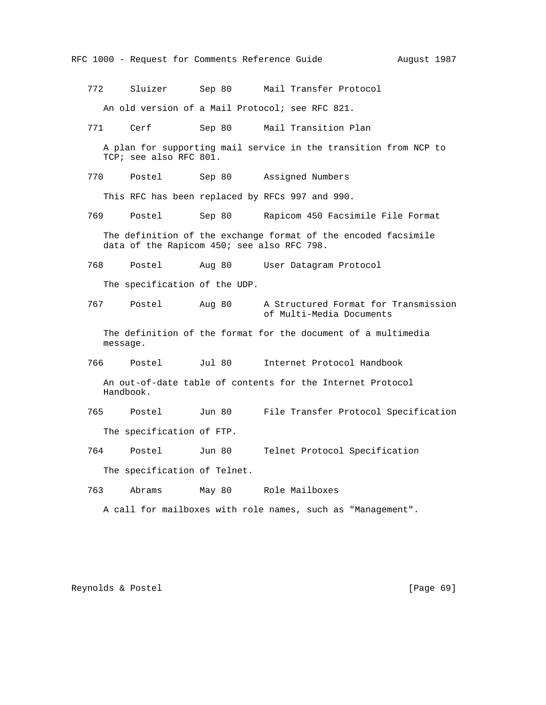772 Sluizer Sep 80 Mail Transfer Protocol

An old version of a Mail Protocol; see RFC 821.

771 Cerf Sep 80 Mail Transition Plan

 A plan for supporting mail service in the transition from NCP to TCP; see also RFC 801.

770 Postel Sep 80 Assigned Numbers

This RFC has been replaced by RFCs 997 and 990.

769 Postel Sep 80 Rapicom 450 Facsimile File Format

 The definition of the exchange format of the encoded facsimile data of the Rapicom 450; see also RFC 798.

768 Postel Aug 80 User Datagram Protocol

The specification of the UDP.

 767 Postel Aug 80 A Structured Format for Transmission of Multi-Media Documents

 The definition of the format for the document of a multimedia message.

766 Postel Jul 80 Internet Protocol Handbook

 An out-of-date table of contents for the Internet Protocol Handbook.

 765 Postel Jun 80 File Transfer Protocol Specification The specification of FTP.

764 Postel Jun 80 Telnet Protocol Specification

The specification of Telnet.

763 Abrams May 80 Role Mailboxes

A call for mailboxes with role names, such as "Management".

Reynolds & Postel [Page 69]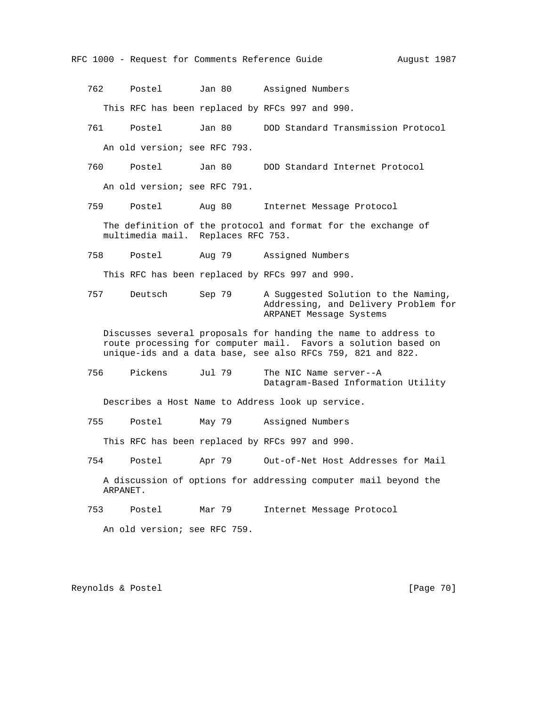762 Postel Jan 80 Assigned Numbers

This RFC has been replaced by RFCs 997 and 990.

 761 Postel Jan 80 DOD Standard Transmission Protocol An old version; see RFC 793.

760 Postel Jan 80 DOD Standard Internet Protocol

An old version; see RFC 791.

759 Postel Aug 80 Internet Message Protocol

 The definition of the protocol and format for the exchange of multimedia mail. Replaces RFC 753.

758 Postel Aug 79 Assigned Numbers

This RFC has been replaced by RFCs 997 and 990.

 757 Deutsch Sep 79 A Suggested Solution to the Naming, Addressing, and Delivery Problem for ARPANET Message Systems

 Discusses several proposals for handing the name to address to route processing for computer mail. Favors a solution based on unique-ids and a data base, see also RFCs 759, 821 and 822.

 756 Pickens Jul 79 The NIC Name server--A Datagram-Based Information Utility

Describes a Host Name to Address look up service.

755 Postel May 79 Assigned Numbers

This RFC has been replaced by RFCs 997 and 990.

754 Postel Apr 79 Out-of-Net Host Addresses for Mail

 A discussion of options for addressing computer mail beyond the ARPANET.

753 Postel Mar 79 Internet Message Protocol

An old version; see RFC 759.

Reynolds & Postel [Page 70]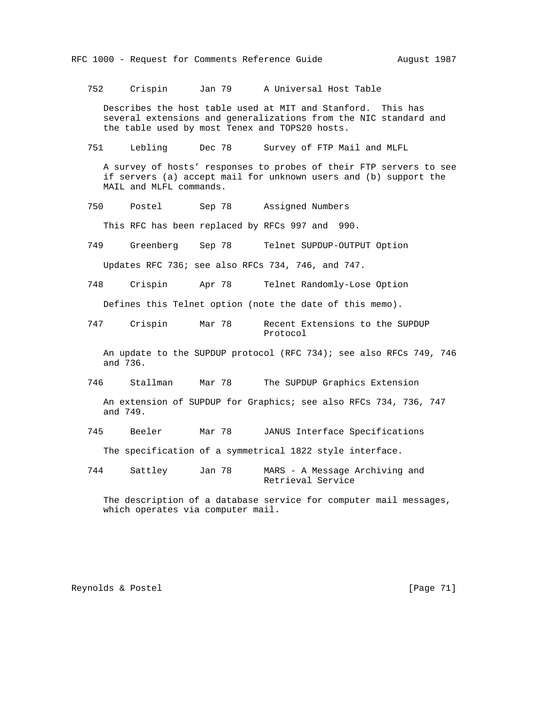752 Crispin Jan 79 A Universal Host Table

 Describes the host table used at MIT and Stanford. This has several extensions and generalizations from the NIC standard and the table used by most Tenex and TOPS20 hosts.

751 Lebling Dec 78 Survey of FTP Mail and MLFL

 A survey of hosts' responses to probes of their FTP servers to see if servers (a) accept mail for unknown users and (b) support the MAIL and MLFL commands.

750 Postel Sep 78 Assigned Numbers

This RFC has been replaced by RFCs 997 and 990.

- 749 Greenberg Sep 78 Telnet SUPDUP-OUTPUT Option Updates RFC 736; see also RFCs 734, 746, and 747.
- 748 Crispin Apr 78 Telnet Randomly-Lose Option

Defines this Telnet option (note the date of this memo).

 747 Crispin Mar 78 Recent Extensions to the SUPDUP Protocol

 An update to the SUPDUP protocol (RFC 734); see also RFCs 749, 746 and 736.

746 Stallman Mar 78 The SUPDUP Graphics Extension

 An extension of SUPDUP for Graphics; see also RFCs 734, 736, 747 and 749.

745 Beeler Mar 78 JANUS Interface Specifications

The specification of a symmetrical 1822 style interface.

 744 Sattley Jan 78 MARS - A Message Archiving and Retrieval Service

 The description of a database service for computer mail messages, which operates via computer mail.

Reynolds & Postel [Page 71]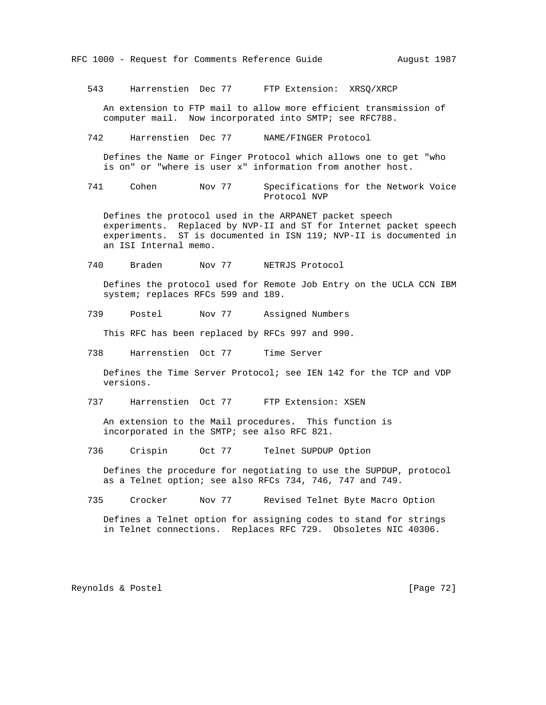543 Harrenstien Dec 77 FTP Extension: XRSQ/XRCP

 An extension to FTP mail to allow more efficient transmission of computer mail. Now incorporated into SMTP; see RFC788.

742 Harrenstien Dec 77 NAME/FINGER Protocol

 Defines the Name or Finger Protocol which allows one to get "who is on" or "where is user x" information from another host.

 741 Cohen Nov 77 Specifications for the Network Voice Protocol NVP

 Defines the protocol used in the ARPANET packet speech experiments. Replaced by NVP-II and ST for Internet packet speech experiments. ST is documented in ISN 119; NVP-II is documented in an ISI Internal memo.

740 Braden Nov 77 NETRJS Protocol

 Defines the protocol used for Remote Job Entry on the UCLA CCN IBM system; replaces RFCs 599 and 189.

739 Postel Nov 77 Assigned Numbers

This RFC has been replaced by RFCs 997 and 990.

738 Harrenstien Oct 77 Time Server

 Defines the Time Server Protocol; see IEN 142 for the TCP and VDP versions.

737 Harrenstien Oct 77 FTP Extension: XSEN

 An extension to the Mail procedures. This function is incorporated in the SMTP; see also RFC 821.

736 Crispin Oct 77 Telnet SUPDUP Option

 Defines the procedure for negotiating to use the SUPDUP, protocol as a Telnet option; see also RFCs 734, 746, 747 and 749.

735 Crocker Nov 77 Revised Telnet Byte Macro Option

 Defines a Telnet option for assigning codes to stand for strings in Telnet connections. Replaces RFC 729. Obsoletes NIC 40306.

Reynolds & Postel [Page 72]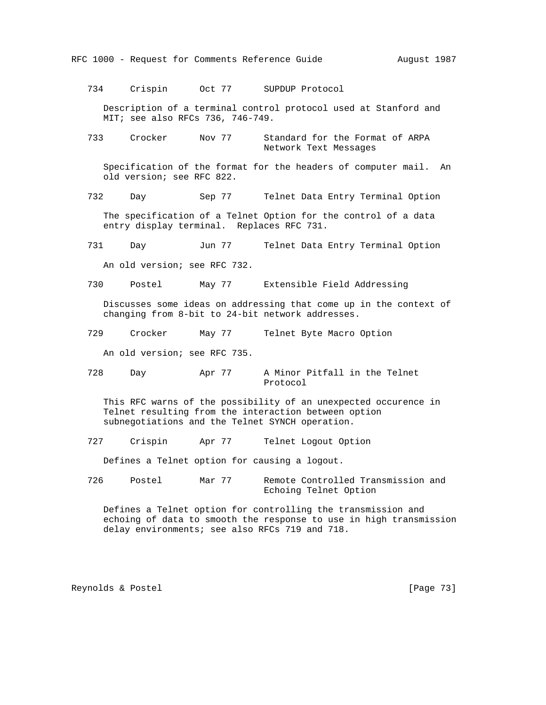734 Crispin Oct 77 SUPDUP Protocol

 Description of a terminal control protocol used at Stanford and MIT; see also RFCs 736, 746-749.

 733 Crocker Nov 77 Standard for the Format of ARPA Network Text Messages

 Specification of the format for the headers of computer mail. An old version; see RFC 822.

732 Day Sep 77 Telnet Data Entry Terminal Option

 The specification of a Telnet Option for the control of a data entry display terminal. Replaces RFC 731.

731 Day Jun 77 Telnet Data Entry Terminal Option

An old version; see RFC 732.

730 Postel May 77 Extensible Field Addressing

 Discusses some ideas on addressing that come up in the context of changing from 8-bit to 24-bit network addresses.

729 Crocker May 77 Telnet Byte Macro Option

An old version; see RFC 735.

 728 Day Apr 77 A Minor Pitfall in the Telnet Protocol

 This RFC warns of the possibility of an unexpected occurence in Telnet resulting from the interaction between option subnegotiations and the Telnet SYNCH operation.

727 Crispin Apr 77 Telnet Logout Option

Defines a Telnet option for causing a logout.

 726 Postel Mar 77 Remote Controlled Transmission and Echoing Telnet Option

 Defines a Telnet option for controlling the transmission and echoing of data to smooth the response to use in high transmission delay environments; see also RFCs 719 and 718.

Reynolds & Postel [Page 73]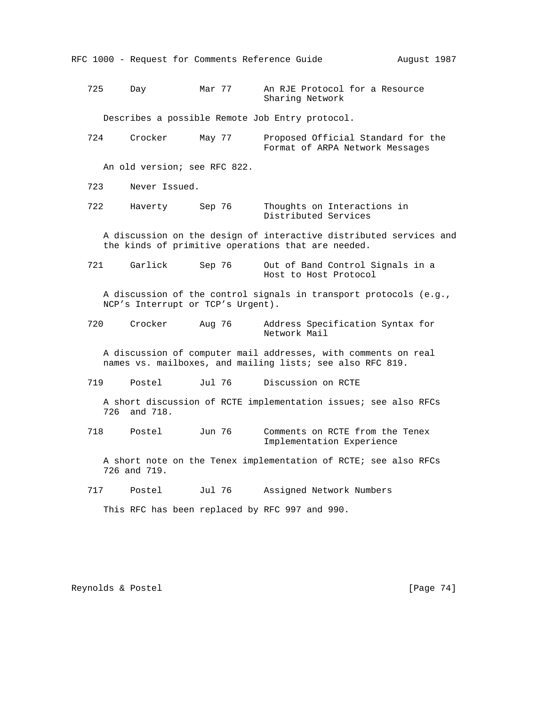725 Day Mar 77 An RJE Protocol for a Resource Sharing Network Describes a possible Remote Job Entry protocol. 724 Crocker May 77 Proposed Official Standard for the Format of ARPA Network Messages An old version; see RFC 822. 723 Never Issued. 722 Haverty Sep 76 Thoughts on Interactions in Distributed Services A discussion on the design of interactive distributed services and the kinds of primitive operations that are needed. 721 Garlick Sep 76 Out of Band Control Signals in a Host to Host Protocol A discussion of the control signals in transport protocols (e.g., NCP's Interrupt or TCP's Urgent). 720 Crocker Aug 76 Address Specification Syntax for Network Mail A discussion of computer mail addresses, with comments on real names vs. mailboxes, and mailing lists; see also RFC 819. 719 Postel Jul 76 Discussion on RCTE A short discussion of RCTE implementation issues; see also RFCs 726 and 718. 718 Postel Jun 76 Comments on RCTE from the Tenex Implementation Experience A short note on the Tenex implementation of RCTE; see also RFCs 726 and 719.

717 Postel Jul 76 Assigned Network Numbers

This RFC has been replaced by RFC 997 and 990.

Reynolds & Postel [Page 74]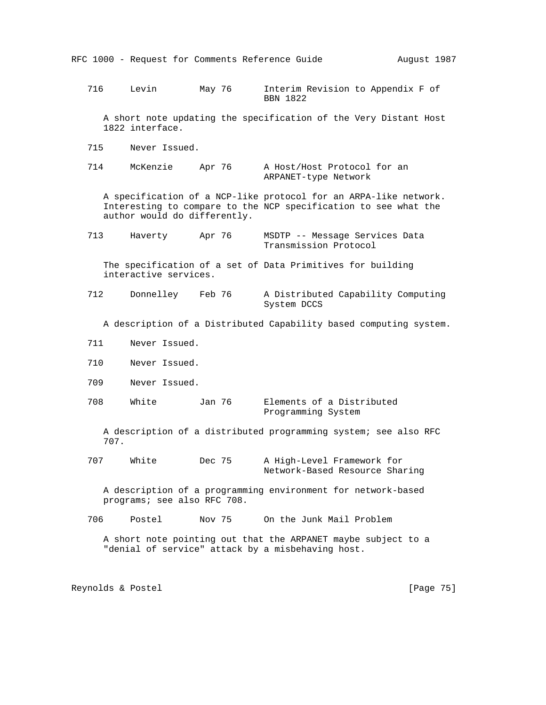716 Levin May 76 Interim Revision to Appendix F of BBN 1822 A short note updating the specification of the Very Distant Host 1822 interface. 715 Never Issued. 714 McKenzie Apr 76 A Host/Host Protocol for an ARPANET-type Network A specification of a NCP-like protocol for an ARPA-like network. Interesting to compare to the NCP specification to see what the author would do differently. 713 Haverty Apr 76 MSDTP -- Message Services Data Transmission Protocol The specification of a set of Data Primitives for building interactive services. 712 Donnelley Feb 76 A Distributed Capability Computing System DCCS A description of a Distributed Capability based computing system. 711 Never Issued. 710 Never Issued. 709 Never Issued. 708 White Jan 76 Elements of a Distributed Programming System A description of a distributed programming system; see also RFC 707. 707 White Dec 75 A High-Level Framework for Network-Based Resource Sharing A description of a programming environment for network-based programs; see also RFC 708. 706 Postel Nov 75 On the Junk Mail Problem A short note pointing out that the ARPANET maybe subject to a "denial of service" attack by a misbehaving host.

Reynolds & Postel [Page 75]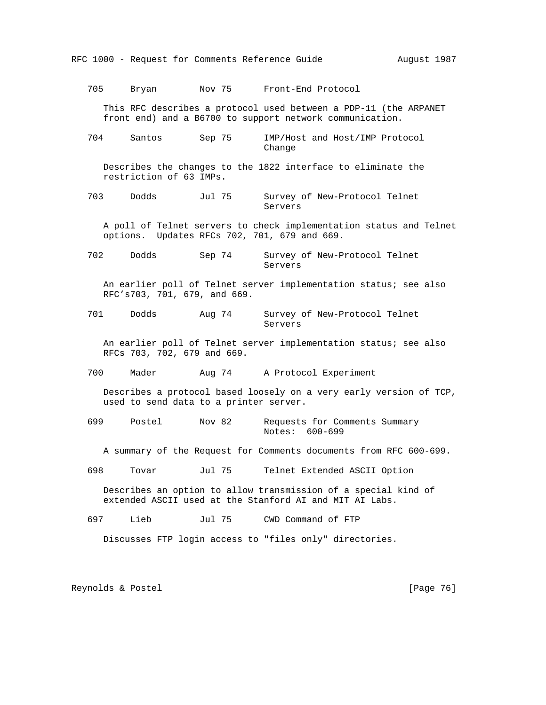705 Bryan Nov 75 Front-End Protocol This RFC describes a protocol used between a PDP-11 (the ARPANET front end) and a B6700 to support network communication. 704 Santos Sep 75 IMP/Host and Host/IMP Protocol Change Describes the changes to the 1822 interface to eliminate the restriction of 63 IMPs. 703 Dodds Jul 75 Survey of New-Protocol Telnet Servers A poll of Telnet servers to check implementation status and Telnet options. Updates RFCs 702, 701, 679 and 669. 702 Dodds Sep 74 Survey of New-Protocol Telnet Servers An earlier poll of Telnet server implementation status; see also RFC's703, 701, 679, and 669. 701 Dodds Aug 74 Survey of New-Protocol Telnet Servers An earlier poll of Telnet server implementation status; see also RFCs 703, 702, 679 and 669. 700 Mader Aug 74 A Protocol Experiment Describes a protocol based loosely on a very early version of TCP, used to send data to a printer server. 699 Postel Nov 82 Requests for Comments Summary Notes: 600-699 A summary of the Request for Comments documents from RFC 600-699. 698 Tovar Jul 75 Telnet Extended ASCII Option Describes an option to allow transmission of a special kind of extended ASCII used at the Stanford AI and MIT AI Labs.

697 Lieb Jul 75 CWD Command of FTP

Discusses FTP login access to "files only" directories.

Reynolds & Postel [Page 76]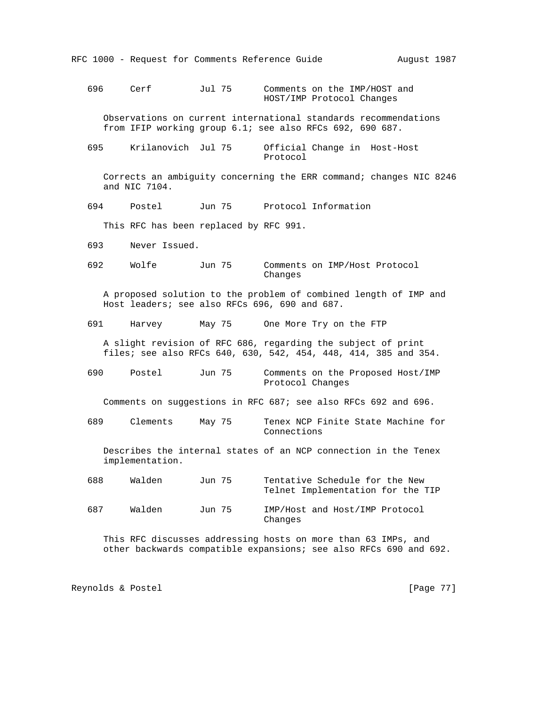696 Cerf Jul 75 Comments on the IMP/HOST and HOST/IMP Protocol Changes

 Observations on current international standards recommendations from IFIP working group 6.1; see also RFCs 692, 690 687.

 695 Krilanovich Jul 75 Official Change in Host-Host Protocol

 Corrects an ambiguity concerning the ERR command; changes NIC 8246 and NIC 7104.

694 Postel Jun 75 Protocol Information

This RFC has been replaced by RFC 991.

693 Never Issued.

 692 Wolfe Jun 75 Comments on IMP/Host Protocol Changes

 A proposed solution to the problem of combined length of IMP and Host leaders; see also RFCs 696, 690 and 687.

691 Harvey May 75 One More Try on the FTP

 A slight revision of RFC 686, regarding the subject of print files; see also RFCs 640, 630, 542, 454, 448, 414, 385 and 354.

| 690 | Postel | Jun 75 | Comments on the Proposed Host/IMP |  |  |
|-----|--------|--------|-----------------------------------|--|--|
|     |        |        | Protocol Changes                  |  |  |

Comments on suggestions in RFC 687; see also RFCs 692 and 696.

 689 Clements May 75 Tenex NCP Finite State Machine for Connections

 Describes the internal states of an NCP connection in the Tenex implementation.

| 688 | Walden | Jun 75 | Tentative Schedule for the New<br>Telnet Implementation for the TIP |
|-----|--------|--------|---------------------------------------------------------------------|
| 687 | Walden | Jun 75 | IMP/Host and Host/IMP Protocol<br>Changes                           |

 This RFC discusses addressing hosts on more than 63 IMPs, and other backwards compatible expansions; see also RFCs 690 and 692.

Reynolds & Postel [Page 77]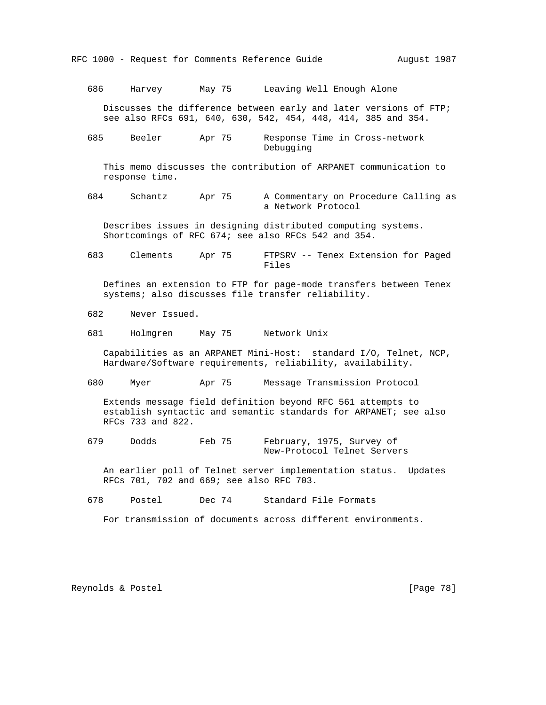686 Harvey May 75 Leaving Well Enough Alone

 Discusses the difference between early and later versions of FTP; see also RFCs 691, 640, 630, 542, 454, 448, 414, 385 and 354.

 685 Beeler Apr 75 Response Time in Cross-network Debugging

 This memo discusses the contribution of ARPANET communication to response time.

 684 Schantz Apr 75 A Commentary on Procedure Calling as a Network Protocol

 Describes issues in designing distributed computing systems. Shortcomings of RFC 674; see also RFCs 542 and 354.

 683 Clements Apr 75 FTPSRV -- Tenex Extension for Paged Files

 Defines an extension to FTP for page-mode transfers between Tenex systems; also discusses file transfer reliability.

- 682 Never Issued.
- 681 Holmgren May 75 Network Unix

 Capabilities as an ARPANET Mini-Host: standard I/O, Telnet, NCP, Hardware/Software requirements, reliability, availability.

680 Myer Apr 75 Message Transmission Protocol

 Extends message field definition beyond RFC 561 attempts to establish syntactic and semantic standards for ARPANET; see also RFCs 733 and 822.

 679 Dodds Feb 75 February, 1975, Survey of New-Protocol Telnet Servers

 An earlier poll of Telnet server implementation status. Updates RFCs 701, 702 and 669; see also RFC 703.

678 Postel Dec 74 Standard File Formats

For transmission of documents across different environments.

Reynolds & Postel [Page 78]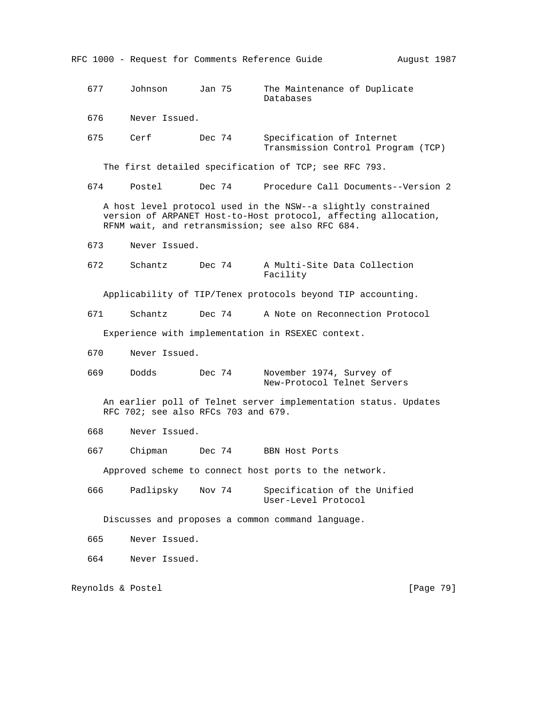677 Johnson Jan 75 The Maintenance of Duplicate Databases

676 Never Issued.

 675 Cerf Dec 74 Specification of Internet Transmission Control Program (TCP)

The first detailed specification of TCP; see RFC 793.

674 Postel Dec 74 Procedure Call Documents--Version 2

 A host level protocol used in the NSW--a slightly constrained version of ARPANET Host-to-Host protocol, affecting allocation, RFNM wait, and retransmission; see also RFC 684.

- 673 Never Issued.
- 672 Schantz Dec 74 A Multi-Site Data Collection Facility

Applicability of TIP/Tenex protocols beyond TIP accounting.

671 Schantz Dec 74 A Note on Reconnection Protocol

Experience with implementation in RSEXEC context.

670 Never Issued.

 669 Dodds Dec 74 November 1974, Survey of New-Protocol Telnet Servers

 An earlier poll of Telnet server implementation status. Updates RFC 702; see also RFCs 703 and 679.

668 Never Issued.

667 Chipman Dec 74 BBN Host Ports

Approved scheme to connect host ports to the network.

 666 Padlipsky Nov 74 Specification of the Unified User-Level Protocol

Discusses and proposes a common command language.

665 Never Issued.

664 Never Issued.

Reynolds & Postel [Page 79]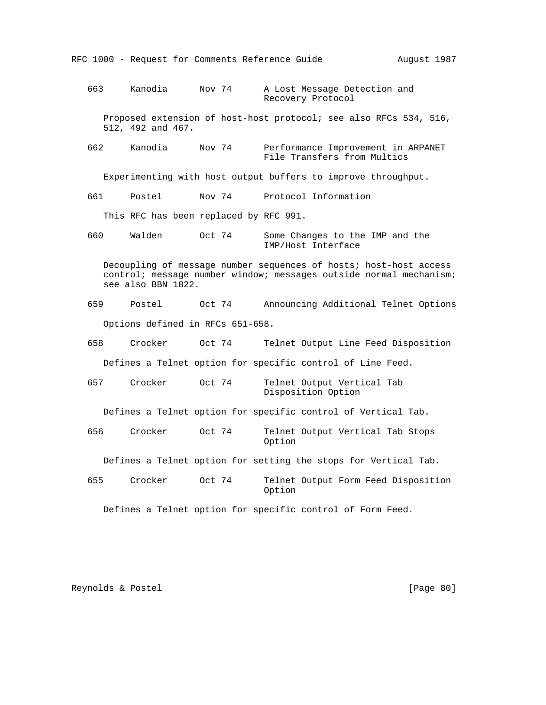663 Kanodia Nov 74 A Lost Message Detection and Recovery Protocol

 Proposed extension of host-host protocol; see also RFCs 534, 516, 512, 492 and 467.

 662 Kanodia Nov 74 Performance Improvement in ARPANET File Transfers from Multics

Experimenting with host output buffers to improve throughput.

661 Postel Nov 74 Protocol Information

This RFC has been replaced by RFC 991.

 660 Walden Oct 74 Some Changes to the IMP and the IMP/Host Interface

 Decoupling of message number sequences of hosts; host-host access control; message number window; messages outside normal mechanism; see also BBN 1822.

 659 Postel Oct 74 Announcing Additional Telnet Options Options defined in RFCs 651-658.

 658 Crocker Oct 74 Telnet Output Line Feed Disposition Defines a Telnet option for specific control of Line Feed.

 657 Crocker Oct 74 Telnet Output Vertical Tab Disposition Option

Defines a Telnet option for specific control of Vertical Tab.

 656 Crocker Oct 74 Telnet Output Vertical Tab Stops Option

Defines a Telnet option for setting the stops for Vertical Tab.

 655 Crocker Oct 74 Telnet Output Form Feed Disposition Option

Defines a Telnet option for specific control of Form Feed.

Reynolds & Postel [Page 80]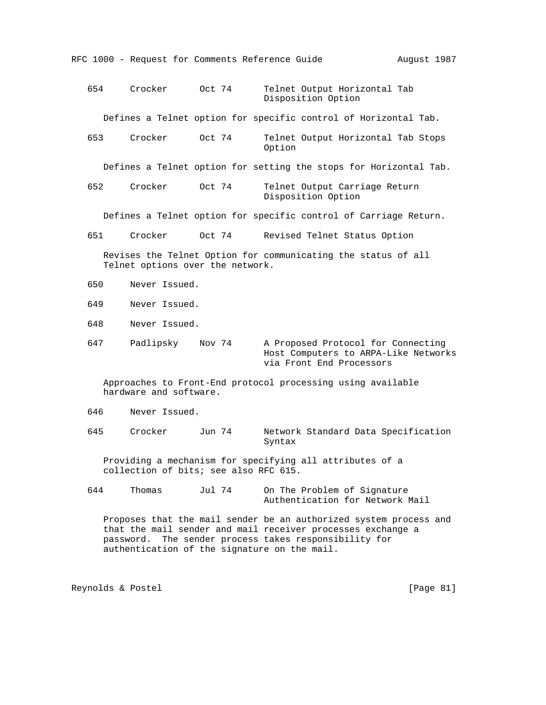654 Crocker Oct 74 Telnet Output Horizontal Tab Disposition Option Defines a Telnet option for specific control of Horizontal Tab. 653 Crocker Oct 74 Telnet Output Horizontal Tab Stops Option Defines a Telnet option for setting the stops for Horizontal Tab. 652 Crocker Oct 74 Telnet Output Carriage Return Disposition Option Defines a Telnet option for specific control of Carriage Return. 651 Crocker Oct 74 Revised Telnet Status Option Revises the Telnet Option for communicating the status of all Telnet options over the network. 650 Never Issued. 649 Never Issued. 648 Never Issued. 647 Padlipsky Nov 74 A Proposed Protocol for Connecting Host Computers to ARPA-Like Networks via Front End Processors Approaches to Front-End protocol processing using available hardware and software. 646 Never Issued. 645 Crocker Jun 74 Network Standard Data Specification Syntax Providing a mechanism for specifying all attributes of a collection of bits; see also RFC 615. 644 Thomas Jul 74 On The Problem of Signature Authentication for Network Mail Proposes that the mail sender be an authorized system process and that the mail sender and mail receiver processes exchange a

password. The sender process takes responsibility for

authentication of the signature on the mail.

Reynolds & Postel [Page 81]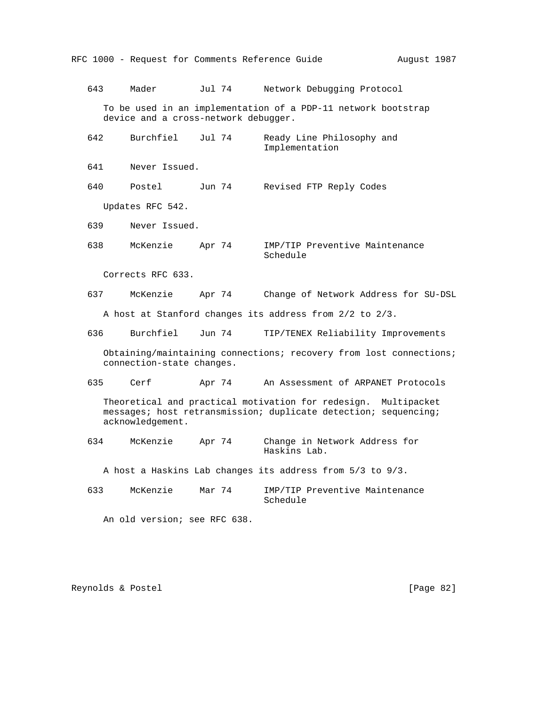643 Mader Jul 74 Network Debugging Protocol To be used in an implementation of a PDP-11 network bootstrap device and a cross-network debugger. 642 Burchfiel Jul 74 Ready Line Philosophy and Implementation 641 Never Issued. 640 Postel Jun 74 Revised FTP Reply Codes Updates RFC 542. 639 Never Issued. 638 McKenzie Apr 74 IMP/TIP Preventive Maintenance Schedule Corrects RFC 633. 637 McKenzie Apr 74 Change of Network Address for SU-DSL A host at Stanford changes its address from 2/2 to 2/3. 636 Burchfiel Jun 74 TIP/TENEX Reliability Improvements Obtaining/maintaining connections; recovery from lost connections; connection-state changes. 635 Cerf Apr 74 An Assessment of ARPANET Protocols Theoretical and practical motivation for redesign. Multipacket messages; host retransmission; duplicate detection; sequencing; acknowledgement. 634 McKenzie Apr 74 Change in Network Address for Haskins Lab. A host a Haskins Lab changes its address from 5/3 to 9/3. 633 McKenzie Mar 74 IMP/TIP Preventive Maintenance Schedule An old version; see RFC 638.

Reynolds & Postel [Page 82]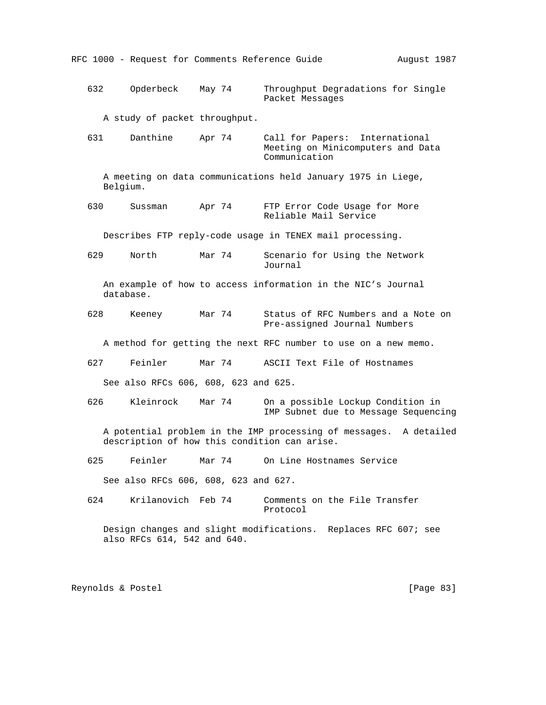|          | RFC 1000 - Request for Comments Reference Guide |        |                                                                                                        | August 1987   |
|----------|-------------------------------------------------|--------|--------------------------------------------------------------------------------------------------------|---------------|
| 632      | Opderbeck                                       | May 74 | Throughput Degradations for Single<br>Packet Messages                                                  |               |
|          | A study of packet throughput.                   |        |                                                                                                        |               |
| 631      | Danthine                                        | Apr 74 | Call for Papers:<br>Meeting on Minicomputers and Data<br>Communication                                 | International |
| Belgium. |                                                 |        | A meeting on data communications held January 1975 in Liege,                                           |               |
| 630      | Sussman                                         | Apr 74 | FTP Error Code Usage for More<br>Reliable Mail Service                                                 |               |
|          |                                                 |        | Describes FTP reply-code usage in TENEX mail processing.                                               |               |
| 629      | North                                           | Mar 74 | Scenario for Using the Network<br>Journal                                                              |               |
|          | database.                                       |        | An example of how to access information in the NIC's Journal                                           |               |
| 628      | Keeney                                          | Mar 74 | Status of RFC Numbers and a Note on<br>Pre-assigned Journal Numbers                                    |               |
|          |                                                 |        | A method for getting the next RFC number to use on a new memo.                                         |               |
| 627      | Feinler                                         | Mar 74 | ASCII Text File of Hostnames                                                                           |               |
|          | See also RFCs 606, 608, 623 and 625.            |        |                                                                                                        |               |
| 626      | Kleinrock                                       | Mar 74 | On a possible Lockup Condition in<br>IMP Subnet due to Message Sequencing                              |               |
|          |                                                 |        | A potential problem in the IMP processing of messages.<br>description of how this condition can arise. | A detailed    |
| 625      | Feinler                                         | Mar 74 | On Line Hostnames Service                                                                              |               |
|          | See also RFCs 606, 608, 623 and 627.            |        |                                                                                                        |               |
| 624      | Krilanovich Feb 74                              |        | Comments on the File Transfer<br>Protocol                                                              |               |
|          | also RFCs 614, 542 and 640.                     |        | Design changes and slight modifications. Replaces RFC 607; see                                         |               |

Reynolds & Postel [Page 83]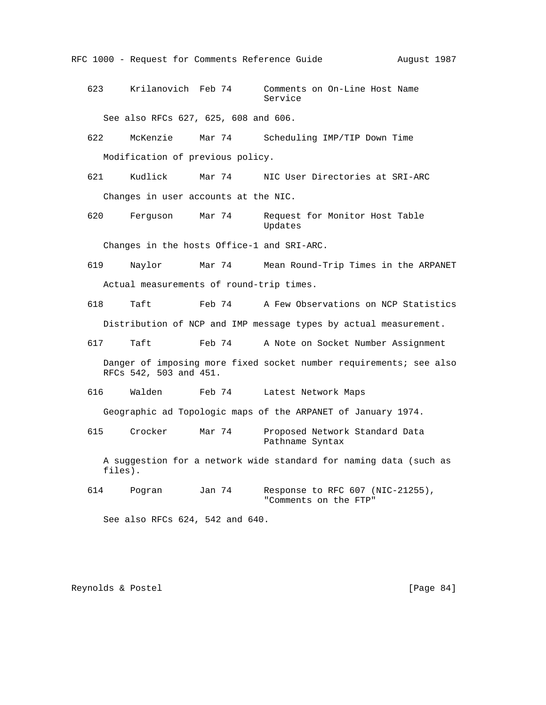623 Krilanovich Feb 74 Comments on On-Line Host Name Service

See also RFCs 627, 625, 608 and 606.

 622 McKenzie Mar 74 Scheduling IMP/TIP Down Time Modification of previous policy.

 621 Kudlick Mar 74 NIC User Directories at SRI-ARC Changes in user accounts at the NIC.

 620 Ferguson Mar 74 Request for Monitor Host Table Updates

Changes in the hosts Office-1 and SRI-ARC.

- 619 Naylor Mar 74 Mean Round-Trip Times in the ARPANET Actual measurements of round-trip times.
- 618 Taft Feb 74 A Few Observations on NCP Statistics Distribution of NCP and IMP message types by actual measurement.
- 617 Taft Feb 74 A Note on Socket Number Assignment

 Danger of imposing more fixed socket number requirements; see also RFCs 542, 503 and 451.

616 Walden Feb 74 Latest Network Maps

Geographic ad Topologic maps of the ARPANET of January 1974.

 615 Crocker Mar 74 Proposed Network Standard Data Pathname Syntax

 A suggestion for a network wide standard for naming data (such as files).

 614 Pogran Jan 74 Response to RFC 607 (NIC-21255), "Comments on the FTP"

See also RFCs 624, 542 and 640.

Reynolds & Postel [Page 84]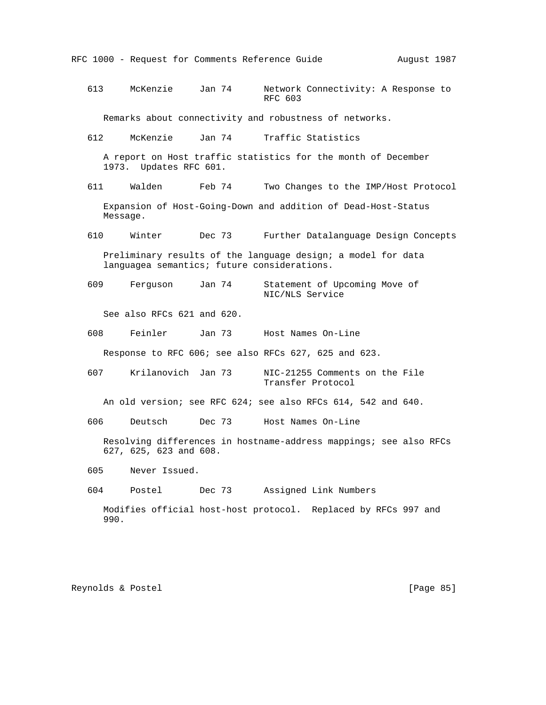613 McKenzie Jan 74 Network Connectivity: A Response to RFC 603

Remarks about connectivity and robustness of networks.

612 McKenzie Jan 74 Traffic Statistics

 A report on Host traffic statistics for the month of December 1973. Updates RFC 601.

611 Walden Feb 74 Two Changes to the IMP/Host Protocol

 Expansion of Host-Going-Down and addition of Dead-Host-Status Message.

610 Winter Dec 73 Further Datalanguage Design Concepts

 Preliminary results of the language design; a model for data languagea semantics; future considerations.

 609 Ferguson Jan 74 Statement of Upcoming Move of NIC/NLS Service

See also RFCs 621 and 620.

608 Feinler Jan 73 Host Names On-Line

Response to RFC 606; see also RFCs 627, 625 and 623.

 607 Krilanovich Jan 73 NIC-21255 Comments on the File Transfer Protocol

An old version; see RFC 624; see also RFCs 614, 542 and 640.

606 Deutsch Dec 73 Host Names On-Line

 Resolving differences in hostname-address mappings; see also RFCs 627, 625, 623 and 608.

605 Never Issued.

604 Postel Dec 73 Assigned Link Numbers

 Modifies official host-host protocol. Replaced by RFCs 997 and 990.

Reynolds & Postel [Page 85]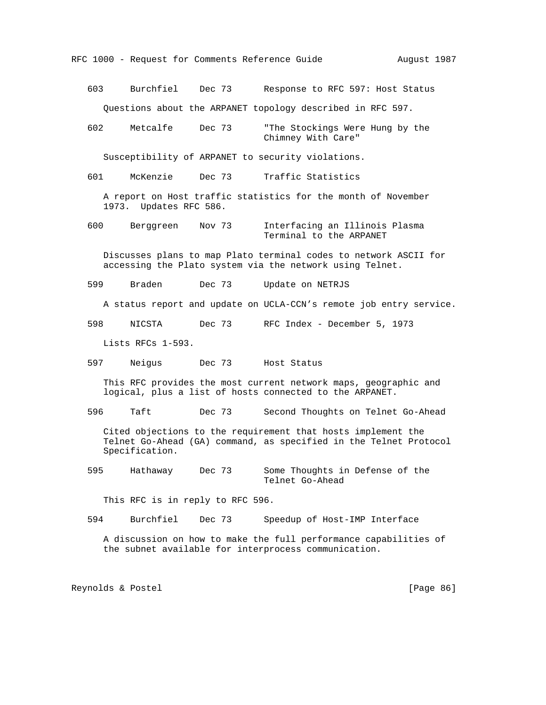603 Burchfiel Dec 73 Response to RFC 597: Host Status Questions about the ARPANET topology described in RFC 597.

 602 Metcalfe Dec 73 "The Stockings Were Hung by the Chimney With Care"

Susceptibility of ARPANET to security violations.

601 McKenzie Dec 73 Traffic Statistics

 A report on Host traffic statistics for the month of November 1973. Updates RFC 586.

 600 Berggreen Nov 73 Interfacing an Illinois Plasma Terminal to the ARPANET

 Discusses plans to map Plato terminal codes to network ASCII for accessing the Plato system via the network using Telnet.

599 Braden Dec 73 Update on NETRJS

A status report and update on UCLA-CCN's remote job entry service.

598 NICSTA Dec 73 RFC Index - December 5, 1973

Lists RFCs 1-593.

597 Neigus Dec 73 Host Status

 This RFC provides the most current network maps, geographic and logical, plus a list of hosts connected to the ARPANET.

596 Taft Dec 73 Second Thoughts on Telnet Go-Ahead

 Cited objections to the requirement that hosts implement the Telnet Go-Ahead (GA) command, as specified in the Telnet Protocol Specification.

 595 Hathaway Dec 73 Some Thoughts in Defense of the Telnet Go-Ahead

This RFC is in reply to RFC 596.

594 Burchfiel Dec 73 Speedup of Host-IMP Interface

 A discussion on how to make the full performance capabilities of the subnet available for interprocess communication.

Reynolds & Postel **Example 20** (Page 86)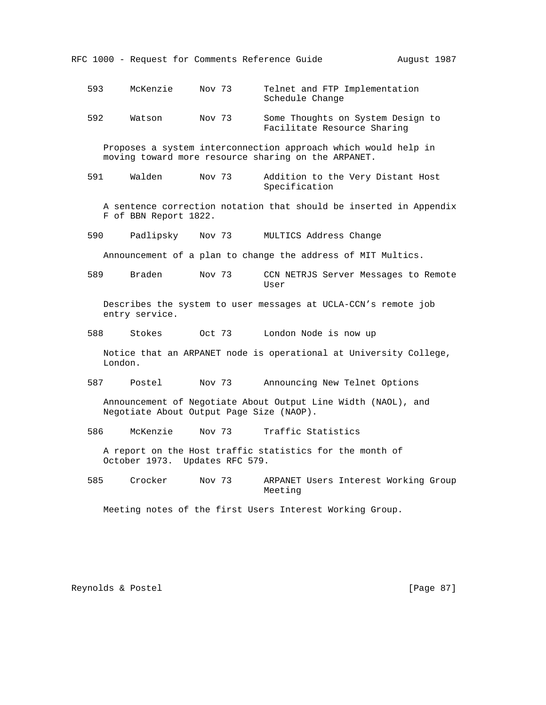| 593 | McKenzie | Nov 73 | Telnet and FTP Implementation<br>Schedule Change                                                                |
|-----|----------|--------|-----------------------------------------------------------------------------------------------------------------|
|     |          |        | the contract of the contract of the contract of the contract of the contract of the contract of the contract of |

 592 Watson Nov 73 Some Thoughts on System Design to Facilitate Resource Sharing

 Proposes a system interconnection approach which would help in moving toward more resource sharing on the ARPANET.

 591 Walden Nov 73 Addition to the Very Distant Host Specification

 A sentence correction notation that should be inserted in Appendix F of BBN Report 1822.

590 Padlipsky Nov 73 MULTICS Address Change

Announcement of a plan to change the address of MIT Multics.

 589 Braden Nov 73 CCN NETRJS Server Messages to Remote **User** 

 Describes the system to user messages at UCLA-CCN's remote job entry service.

588 Stokes Oct 73 London Node is now up

 Notice that an ARPANET node is operational at University College, London.

587 Postel Nov 73 Announcing New Telnet Options

 Announcement of Negotiate About Output Line Width (NAOL), and Negotiate About Output Page Size (NAOP).

586 McKenzie Nov 73 Traffic Statistics

 A report on the Host traffic statistics for the month of October 1973. Updates RFC 579.

 585 Crocker Nov 73 ARPANET Users Interest Working Group Meeting

Meeting notes of the first Users Interest Working Group.

Reynolds & Postel [Page 87]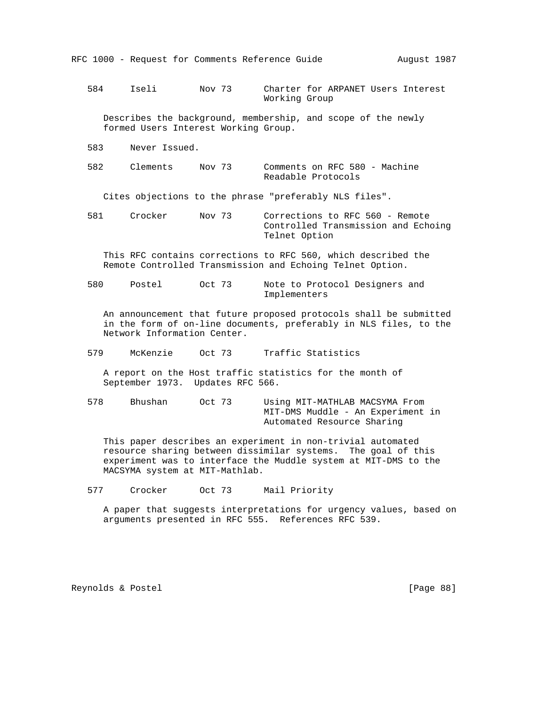584 Iseli Nov 73 Charter for ARPANET Users Interest Working Group

 Describes the background, membership, and scope of the newly formed Users Interest Working Group.

- 583 Never Issued.
- 582 Clements Nov 73 Comments on RFC 580 Machine Readable Protocols

Cites objections to the phrase "preferably NLS files".

 581 Crocker Nov 73 Corrections to RFC 560 - Remote Controlled Transmission and Echoing Telnet Option

 This RFC contains corrections to RFC 560, which described the Remote Controlled Transmission and Echoing Telnet Option.

 580 Postel Oct 73 Note to Protocol Designers and Implementers

 An announcement that future proposed protocols shall be submitted in the form of on-line documents, preferably in NLS files, to the Network Information Center.

579 McKenzie Oct 73 Traffic Statistics

 A report on the Host traffic statistics for the month of September 1973. Updates RFC 566.

 578 Bhushan Oct 73 Using MIT-MATHLAB MACSYMA From MIT-DMS Muddle - An Experiment in Automated Resource Sharing

 This paper describes an experiment in non-trivial automated resource sharing between dissimilar systems. The goal of this experiment was to interface the Muddle system at MIT-DMS to the MACSYMA system at MIT-Mathlab.

577 Crocker Oct 73 Mail Priority

 A paper that suggests interpretations for urgency values, based on arguments presented in RFC 555. References RFC 539.

Reynolds & Postel [Page 88]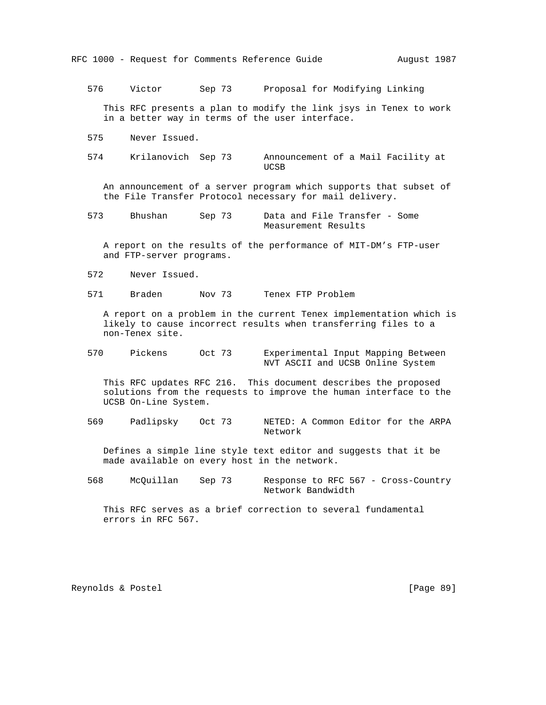576 Victor Sep 73 Proposal for Modifying Linking

 This RFC presents a plan to modify the link jsys in Tenex to work in a better way in terms of the user interface.

575 Never Issued.

 574 Krilanovich Sep 73 Announcement of a Mail Facility at **UCSB** 

 An announcement of a server program which supports that subset of the File Transfer Protocol necessary for mail delivery.

 573 Bhushan Sep 73 Data and File Transfer - Some Measurement Results

 A report on the results of the performance of MIT-DM's FTP-user and FTP-server programs.

572 Never Issued.

571 Braden Nov 73 Tenex FTP Problem

 A report on a problem in the current Tenex implementation which is likely to cause incorrect results when transferring files to a non-Tenex site.

 570 Pickens Oct 73 Experimental Input Mapping Between NVT ASCII and UCSB Online System

 This RFC updates RFC 216. This document describes the proposed solutions from the requests to improve the human interface to the UCSB On-Line System.

 569 Padlipsky Oct 73 NETED: A Common Editor for the ARPA Network

 Defines a simple line style text editor and suggests that it be made available on every host in the network.

 568 McQuillan Sep 73 Response to RFC 567 - Cross-Country Network Bandwidth

 This RFC serves as a brief correction to several fundamental errors in RFC 567.

Reynolds & Postel [Page 89]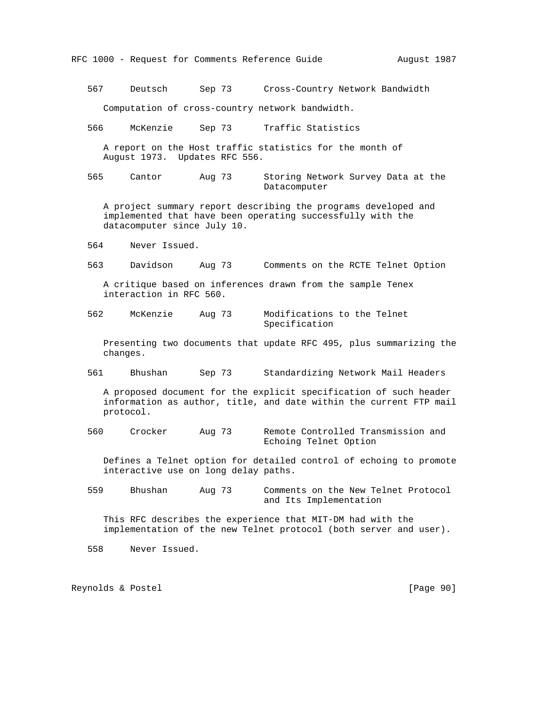567 Deutsch Sep 73 Cross-Country Network Bandwidth

Computation of cross-country network bandwidth.

566 McKenzie Sep 73 Traffic Statistics

 A report on the Host traffic statistics for the month of August 1973. Updates RFC 556.

 565 Cantor Aug 73 Storing Network Survey Data at the Datacomputer

 A project summary report describing the programs developed and implemented that have been operating successfully with the datacomputer since July 10.

564 Never Issued.

563 Davidson Aug 73 Comments on the RCTE Telnet Option

 A critique based on inferences drawn from the sample Tenex interaction in RFC 560.

 562 McKenzie Aug 73 Modifications to the Telnet Specification

 Presenting two documents that update RFC 495, plus summarizing the changes.

561 Bhushan Sep 73 Standardizing Network Mail Headers

 A proposed document for the explicit specification of such header information as author, title, and date within the current FTP mail protocol.

 560 Crocker Aug 73 Remote Controlled Transmission and Echoing Telnet Option

 Defines a Telnet option for detailed control of echoing to promote interactive use on long delay paths.

 559 Bhushan Aug 73 Comments on the New Telnet Protocol and Its Implementation

 This RFC describes the experience that MIT-DM had with the implementation of the new Telnet protocol (both server and user).

558 Never Issued.

Reynolds & Postel [Page 90]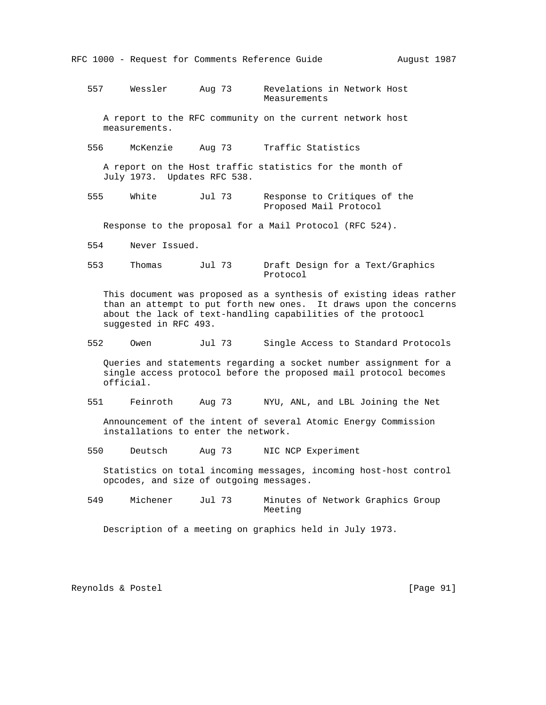557 Wessler Aug 73 Revelations in Network Host Measurements

 A report to the RFC community on the current network host measurements.

556 McKenzie Aug 73 Traffic Statistics

 A report on the Host traffic statistics for the month of July 1973. Updates RFC 538.

 555 White Jul 73 Response to Critiques of the Proposed Mail Protocol

Response to the proposal for a Mail Protocol (RFC 524).

- 554 Never Issued.
- 553 Thomas Jul 73 Draft Design for a Text/Graphics Protocol

 This document was proposed as a synthesis of existing ideas rather than an attempt to put forth new ones. It draws upon the concerns about the lack of text-handling capabilities of the protoocl suggested in RFC 493.

552 Owen Jul 73 Single Access to Standard Protocols

 Queries and statements regarding a socket number assignment for a single access protocol before the proposed mail protocol becomes official.

551 Feinroth Aug 73 NYU, ANL, and LBL Joining the Net

 Announcement of the intent of several Atomic Energy Commission installations to enter the network.

550 Deutsch Aug 73 NIC NCP Experiment

 Statistics on total incoming messages, incoming host-host control opcodes, and size of outgoing messages.

 549 Michener Jul 73 Minutes of Network Graphics Group Meeting

Description of a meeting on graphics held in July 1973.

Reynolds & Postel **Example 2018** [Page 91]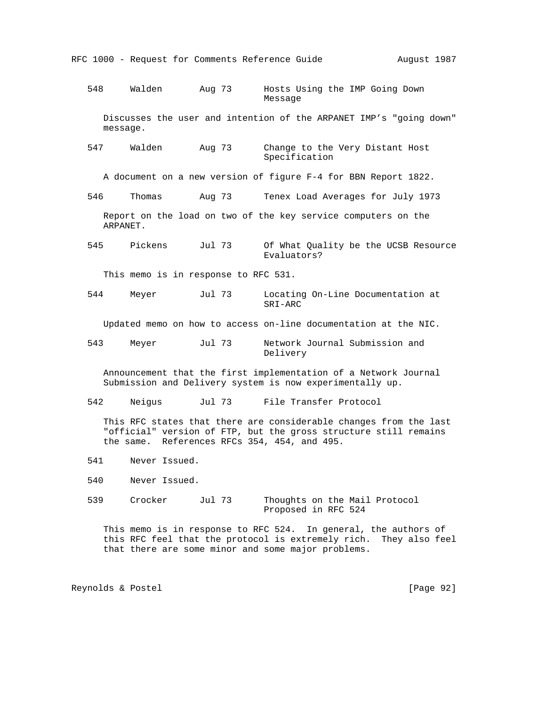|          | RFC 1000 - Request for Comments Reference Guide                                                                                                                                               |        |                                                                    | August 1987 |  |  |  |
|----------|-----------------------------------------------------------------------------------------------------------------------------------------------------------------------------------------------|--------|--------------------------------------------------------------------|-------------|--|--|--|
| 548      | Walden                                                                                                                                                                                        | Aug 73 | Hosts Using the IMP Going Down<br>Message                          |             |  |  |  |
| message. |                                                                                                                                                                                               |        | Discusses the user and intention of the ARPANET IMP's "going down" |             |  |  |  |
| 547      | Walden                                                                                                                                                                                        | Aug 73 | Change to the Very Distant Host<br>Specification                   |             |  |  |  |
|          |                                                                                                                                                                                               |        | A document on a new version of figure F-4 for BBN Report 1822.     |             |  |  |  |
| 546      | Thomas                                                                                                                                                                                        | Aug 73 | Tenex Load Averages for July 1973                                  |             |  |  |  |
| ARPANET. |                                                                                                                                                                                               |        | Report on the load on two of the key service computers on the      |             |  |  |  |
|          | 545 Pickens                                                                                                                                                                                   | Jul 73 | Of What Quality be the UCSB Resource<br>Evaluators?                |             |  |  |  |
|          | This memo is in response to RFC 531.                                                                                                                                                          |        |                                                                    |             |  |  |  |
| 544      | Meyer                                                                                                                                                                                         | Jul 73 | Locating On-Line Documentation at<br>SRI-ARC                       |             |  |  |  |
|          | Updated memo on how to access on-line documentation at the NIC.                                                                                                                               |        |                                                                    |             |  |  |  |
| 543      | Meyer                                                                                                                                                                                         | Jul 73 | Network Journal Submission and<br>Delivery                         |             |  |  |  |
|          | Announcement that the first implementation of a Network Journal<br>Submission and Delivery system is now experimentally up.                                                                   |        |                                                                    |             |  |  |  |
| 542      | Neigus                                                                                                                                                                                        | Jul 73 | File Transfer Protocol                                             |             |  |  |  |
|          | This RFC states that there are considerable changes from the last<br>"official" version of FTP, but the gross structure still remains<br>References RFCs 354, 454, and 495.<br>the same.      |        |                                                                    |             |  |  |  |
| 541      | Never Issued.                                                                                                                                                                                 |        |                                                                    |             |  |  |  |
| 540      | Never Issued.                                                                                                                                                                                 |        |                                                                    |             |  |  |  |
| 539      | Crocker                                                                                                                                                                                       | Jul 73 | Thoughts on the Mail Protocol<br>Proposed in RFC 524               |             |  |  |  |
|          | This memo is in response to RFC 524. In general, the authors of<br>this RFC feel that the protocol is extremely rich.<br>They also feel<br>that there are some minor and some major problems. |        |                                                                    |             |  |  |  |

Reynolds & Postel [Page 92]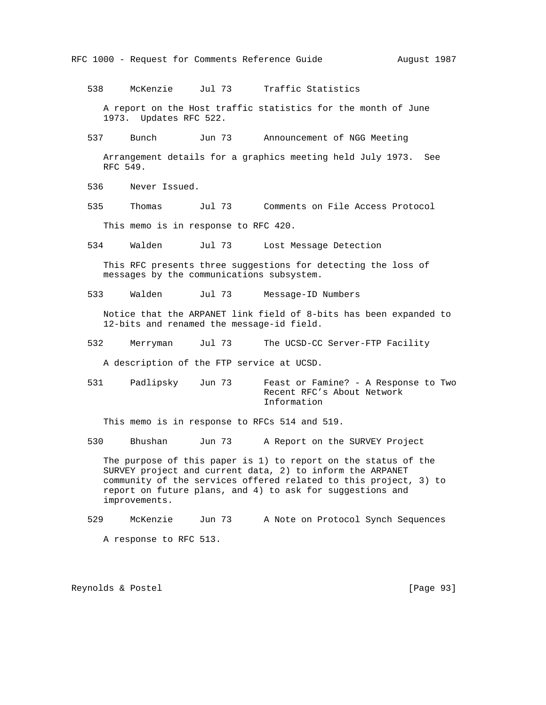538 McKenzie Jul 73 Traffic Statistics

 A report on the Host traffic statistics for the month of June 1973. Updates RFC 522.

537 Bunch Jun 73 Announcement of NGG Meeting

 Arrangement details for a graphics meeting held July 1973. See RFC 549.

536 Never Issued.

 535 Thomas Jul 73 Comments on File Access Protocol This memo is in response to RFC 420.

534 Walden Jul 73 Lost Message Detection

 This RFC presents three suggestions for detecting the loss of messages by the communications subsystem.

533 Walden Jul 73 Message-ID Numbers

 Notice that the ARPANET link field of 8-bits has been expanded to 12-bits and renamed the message-id field.

532 Merryman Jul 73 The UCSD-CC Server-FTP Facility

A description of the FTP service at UCSD.

 531 Padlipsky Jun 73 Feast or Famine? - A Response to Two Recent RFC's About Network Information

This memo is in response to RFCs 514 and 519.

530 Bhushan Jun 73 A Report on the SURVEY Project

 The purpose of this paper is 1) to report on the status of the SURVEY project and current data, 2) to inform the ARPANET community of the services offered related to this project, 3) to report on future plans, and 4) to ask for suggestions and improvements.

 529 McKenzie Jun 73 A Note on Protocol Synch Sequences A response to RFC 513.

Reynolds & Postel [Page 93]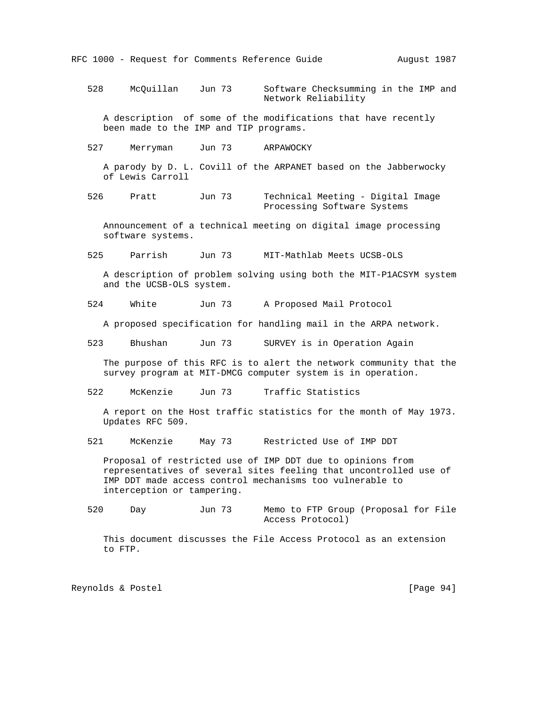528 McQuillan Jun 73 Software Checksumming in the IMP and Network Reliability

 A description of some of the modifications that have recently been made to the IMP and TIP programs.

527 Merryman Jun 73 ARPAWOCKY

 A parody by D. L. Covill of the ARPANET based on the Jabberwocky of Lewis Carroll

 526 Pratt Jun 73 Technical Meeting - Digital Image Processing Software Systems

 Announcement of a technical meeting on digital image processing software systems.

525 Parrish Jun 73 MIT-Mathlab Meets UCSB-OLS

 A description of problem solving using both the MIT-P1ACSYM system and the UCSB-OLS system.

524 White Jun 73 A Proposed Mail Protocol

A proposed specification for handling mail in the ARPA network.

523 Bhushan Jun 73 SURVEY is in Operation Again

 The purpose of this RFC is to alert the network community that the survey program at MIT-DMCG computer system is in operation.

522 McKenzie Jun 73 Traffic Statistics

 A report on the Host traffic statistics for the month of May 1973. Updates RFC 509.

521 McKenzie May 73 Restricted Use of IMP DDT

 Proposal of restricted use of IMP DDT due to opinions from representatives of several sites feeling that uncontrolled use of IMP DDT made access control mechanisms too vulnerable to interception or tampering.

 520 Day Jun 73 Memo to FTP Group (Proposal for File Access Protocol)

 This document discusses the File Access Protocol as an extension to FTP.

Reynolds & Postel **Example 2018** [Page 94]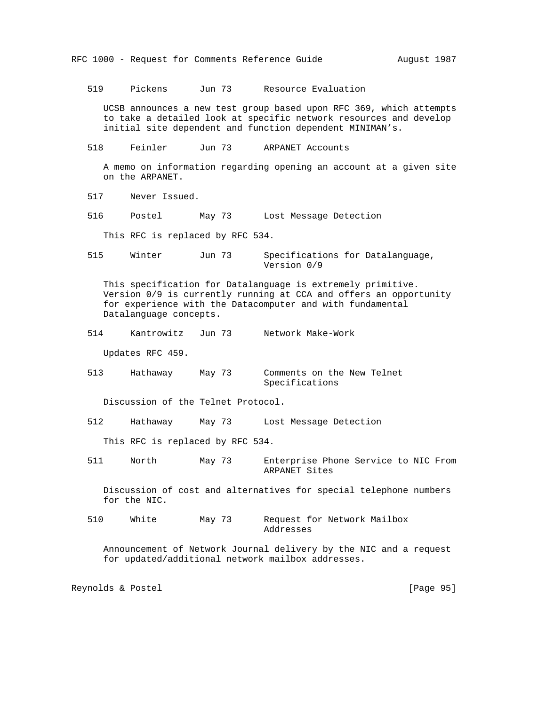519 Pickens Jun 73 Resource Evaluation

 UCSB announces a new test group based upon RFC 369, which attempts to take a detailed look at specific network resources and develop initial site dependent and function dependent MINIMAN's.

518 Feinler Jun 73 ARPANET Accounts

 A memo on information regarding opening an account at a given site on the ARPANET.

517 Never Issued.

516 Postel May 73 Lost Message Detection

This RFC is replaced by RFC 534.

 515 Winter Jun 73 Specifications for Datalanguage, Version 0/9

 This specification for Datalanguage is extremely primitive. Version 0/9 is currently running at CCA and offers an opportunity for experience with the Datacomputer and with fundamental Datalanguage concepts.

514 Kantrowitz Jun 73 Network Make-Work

Updates RFC 459.

 513 Hathaway May 73 Comments on the New Telnet Specifications

Discussion of the Telnet Protocol.

512 Hathaway May 73 Lost Message Detection

This RFC is replaced by RFC 534.

 511 North May 73 Enterprise Phone Service to NIC From ARPANET Sites

 Discussion of cost and alternatives for special telephone numbers for the NIC.

 510 White May 73 Request for Network Mailbox Addresses

 Announcement of Network Journal delivery by the NIC and a request for updated/additional network mailbox addresses.

Reynolds & Postel [Page 95]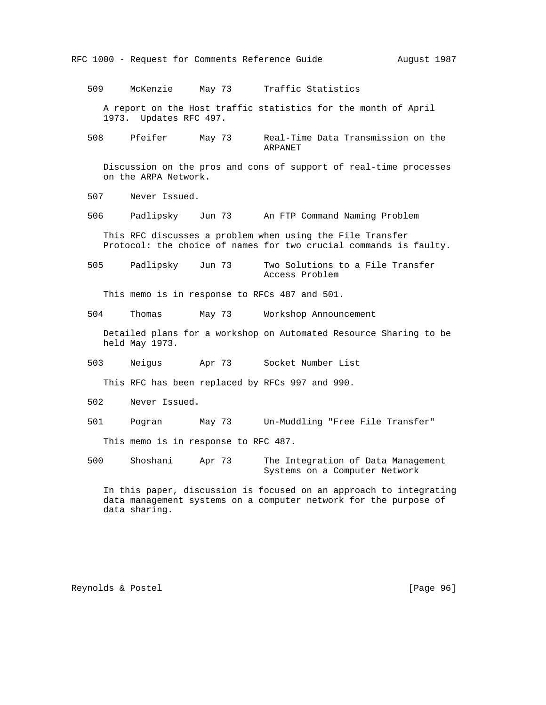509 McKenzie May 73 Traffic Statistics

 A report on the Host traffic statistics for the month of April 1973. Updates RFC 497.

 508 Pfeifer May 73 Real-Time Data Transmission on the ARPANET

 Discussion on the pros and cons of support of real-time processes on the ARPA Network.

507 Never Issued.

506 Padlipsky Jun 73 An FTP Command Naming Problem

 This RFC discusses a problem when using the File Transfer Protocol: the choice of names for two crucial commands is faulty.

 505 Padlipsky Jun 73 Two Solutions to a File Transfer Access Problem

This memo is in response to RFCs 487 and 501.

504 Thomas May 73 Workshop Announcement

 Detailed plans for a workshop on Automated Resource Sharing to be held May 1973.

503 Neigus Apr 73 Socket Number List

This RFC has been replaced by RFCs 997 and 990.

- 502 Never Issued.
- 501 Pogran May 73 Un-Muddling "Free File Transfer"

This memo is in response to RFC 487.

 500 Shoshani Apr 73 The Integration of Data Management Systems on a Computer Network

 In this paper, discussion is focused on an approach to integrating data management systems on a computer network for the purpose of data sharing.

Reynolds & Postel [Page 96]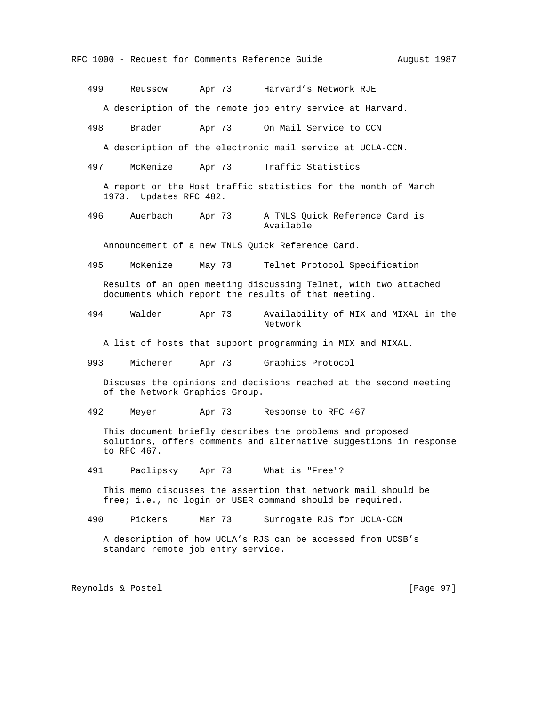499 Reussow Apr 73 Harvard's Network RJE

A description of the remote job entry service at Harvard.

498 Braden Apr 73 On Mail Service to CCN

A description of the electronic mail service at UCLA-CCN.

497 McKenize Apr 73 Traffic Statistics

 A report on the Host traffic statistics for the month of March 1973. Updates RFC 482.

 496 Auerbach Apr 73 A TNLS Quick Reference Card is Available

Announcement of a new TNLS Quick Reference Card.

495 McKenize May 73 Telnet Protocol Specification

 Results of an open meeting discussing Telnet, with two attached documents which report the results of that meeting.

 494 Walden Apr 73 Availability of MIX and MIXAL in the Network

A list of hosts that support programming in MIX and MIXAL.

993 Michener Apr 73 Graphics Protocol

 Discuses the opinions and decisions reached at the second meeting of the Network Graphics Group.

492 Meyer Apr 73 Response to RFC 467

 This document briefly describes the problems and proposed solutions, offers comments and alternative suggestions in response to RFC 467.

491 Padlipsky Apr 73 What is "Free"?

 This memo discusses the assertion that network mail should be free; i.e., no login or USER command should be required.

490 Pickens Mar 73 Surrogate RJS for UCLA-CCN

 A description of how UCLA's RJS can be accessed from UCSB's standard remote job entry service.

Reynolds & Postel **Example 2018** [Page 97]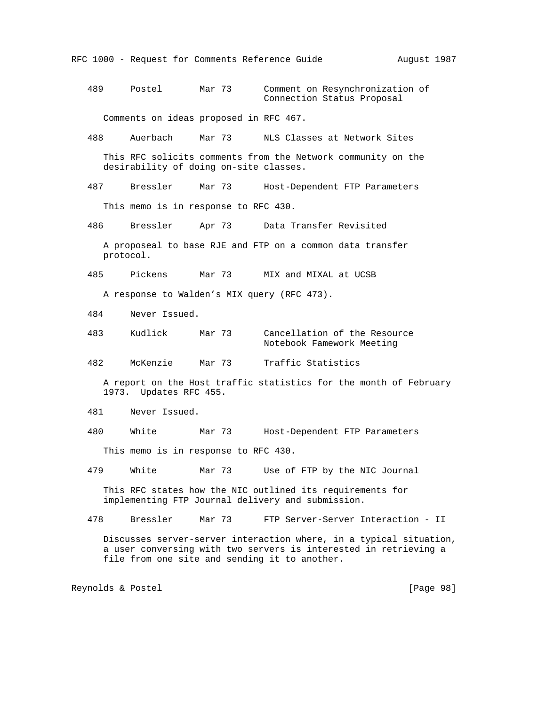489 Postel Mar 73 Comment on Resynchronization of Connection Status Proposal

Comments on ideas proposed in RFC 467.

488 Auerbach Mar 73 NLS Classes at Network Sites

 This RFC solicits comments from the Network community on the desirability of doing on-site classes.

487 Bressler Mar 73 Host-Dependent FTP Parameters

This memo is in response to RFC 430.

486 Bressler Apr 73 Data Transfer Revisited

 A proposeal to base RJE and FTP on a common data transfer protocol.

485 Pickens Mar 73 MIX and MIXAL at UCSB

A response to Walden's MIX query (RFC 473).

484 Never Issued.

- 483 Kudlick Mar 73 Cancellation of the Resource Notebook Famework Meeting
- 482 McKenzie Mar 73 Traffic Statistics

 A report on the Host traffic statistics for the month of February 1973. Updates RFC 455.

481 Never Issued.

480 White Mar 73 Host-Dependent FTP Parameters

This memo is in response to RFC 430.

479 White Mar 73 Use of FTP by the NIC Journal

 This RFC states how the NIC outlined its requirements for implementing FTP Journal delivery and submission.

478 Bressler Mar 73 FTP Server-Server Interaction - II

 Discusses server-server interaction where, in a typical situation, a user conversing with two servers is interested in retrieving a file from one site and sending it to another.

Reynolds & Postel **Example 28** (Page 98)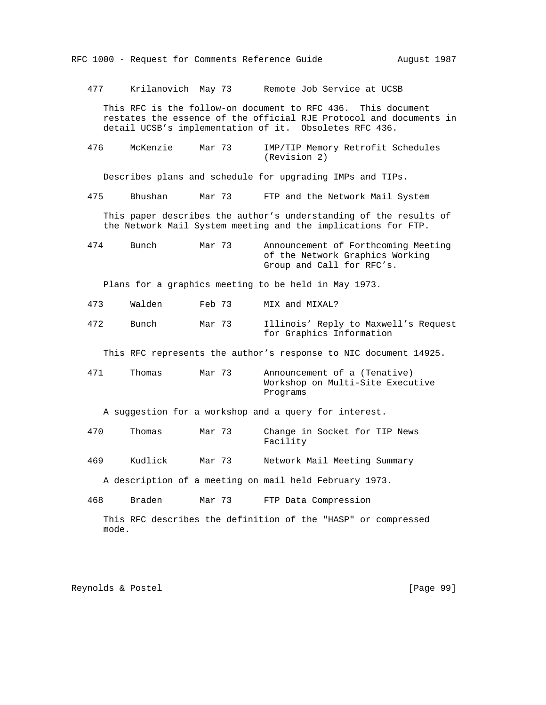|       |          |        | RFC 1000 - Request for Comments Reference Guide                                                                                                                                              | August 1987 |
|-------|----------|--------|----------------------------------------------------------------------------------------------------------------------------------------------------------------------------------------------|-------------|
| 477   |          |        | Krilanovich May 73 Remote Job Service at UCSB                                                                                                                                                |             |
|       |          |        | This RFC is the follow-on document to RFC 436. This document<br>restates the essence of the official RJE Protocol and documents in<br>detail UCSB's implementation of it. Obsoletes RFC 436. |             |
| 476   | McKenzie | Mar 73 | IMP/TIP Memory Retrofit Schedules<br>(Revision 2)                                                                                                                                            |             |
|       |          |        | Describes plans and schedule for upgrading IMPs and TIPs.                                                                                                                                    |             |
| 475   | Bhushan  | Mar 73 | FTP and the Network Mail System                                                                                                                                                              |             |
|       |          |        | This paper describes the author's understanding of the results of<br>the Network Mail System meeting and the implications for FTP.                                                           |             |
| 474   | Bunch    | Mar 73 | Announcement of Forthcoming Meeting<br>of the Network Graphics Working<br>Group and Call for RFC's.                                                                                          |             |
|       |          |        | Plans for a graphics meeting to be held in May 1973.                                                                                                                                         |             |
| 473   | Walden   | Feb 73 | MIX and MIXAL?                                                                                                                                                                               |             |
| 472   | Bunch    | Mar 73 | Illinois' Reply to Maxwell's Request<br>for Graphics Information                                                                                                                             |             |
|       |          |        | This RFC represents the author's response to NIC document 14925.                                                                                                                             |             |
| 471   | Thomas   | Mar 73 | Announcement of a (Tenative)<br>Workshop on Multi-Site Executive<br>Programs                                                                                                                 |             |
|       |          |        | A suggestion for a workshop and a query for interest.                                                                                                                                        |             |
| 470   | Thomas   | Mar 73 | Change in Socket for TIP News<br>Facility                                                                                                                                                    |             |
| 469   | Kudlick  | Mar 73 | Network Mail Meeting Summary                                                                                                                                                                 |             |
|       |          |        | A description of a meeting on mail held February 1973.                                                                                                                                       |             |
| 468   | Braden   | Mar 73 | FTP Data Compression                                                                                                                                                                         |             |
| mode. |          |        | This RFC describes the definition of the "HASP" or compressed                                                                                                                                |             |

Reynolds & Postel [Page 99]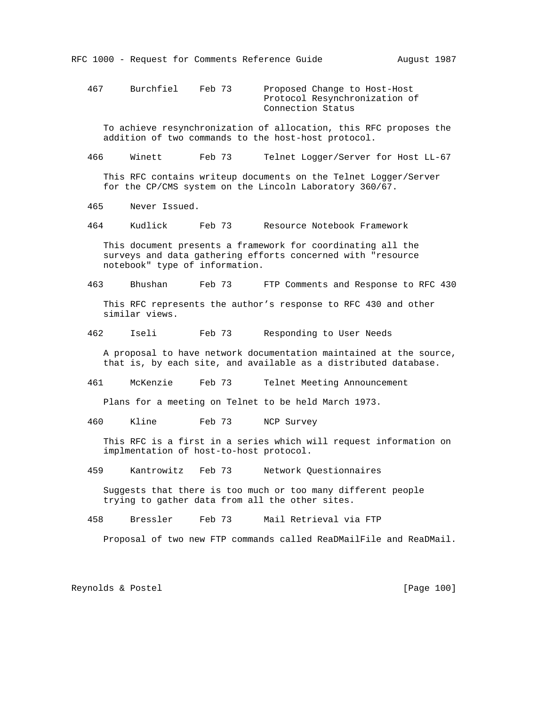467 Burchfiel Feb 73 Proposed Change to Host-Host Protocol Resynchronization of Connection Status

 To achieve resynchronization of allocation, this RFC proposes the addition of two commands to the host-host protocol.

466 Winett Feb 73 Telnet Logger/Server for Host LL-67

 This RFC contains writeup documents on the Telnet Logger/Server for the CP/CMS system on the Lincoln Laboratory 360/67.

465 Never Issued.

464 Kudlick Feb 73 Resource Notebook Framework

 This document presents a framework for coordinating all the surveys and data gathering efforts concerned with "resource notebook" type of information.

463 Bhushan Feb 73 FTP Comments and Response to RFC 430

 This RFC represents the author's response to RFC 430 and other similar views.

462 Iseli Feb 73 Responding to User Needs

 A proposal to have network documentation maintained at the source, that is, by each site, and available as a distributed database.

461 McKenzie Feb 73 Telnet Meeting Announcement

Plans for a meeting on Telnet to be held March 1973.

460 Kline Feb 73 NCP Survey

 This RFC is a first in a series which will request information on implmentation of host-to-host protocol.

459 Kantrowitz Feb 73 Network Questionnaires

 Suggests that there is too much or too many different people trying to gather data from all the other sites.

458 Bressler Feb 73 Mail Retrieval via FTP

Proposal of two new FTP commands called ReaDMailFile and ReaDMail.

Reynolds & Postel **Example 2008** [Page 100]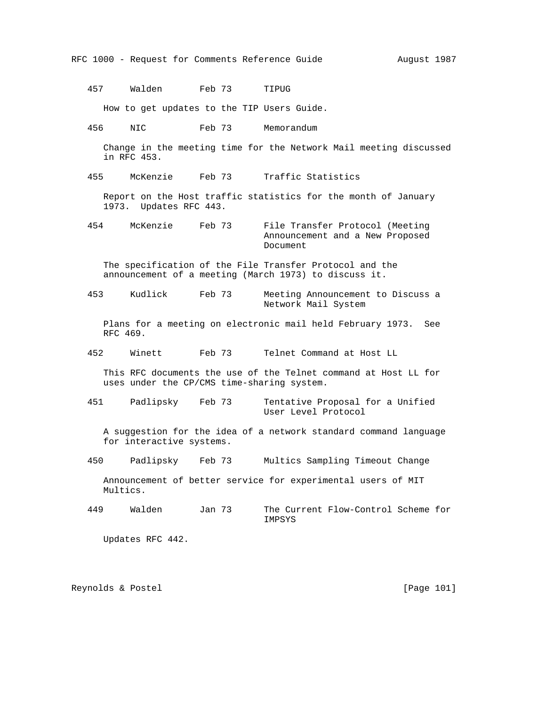457 Walden Feb 73 TIPUG

How to get updates to the TIP Users Guide.

456 NIC Feb 73 Memorandum

 Change in the meeting time for the Network Mail meeting discussed in RFC 453.

455 McKenzie Feb 73 Traffic Statistics

 Report on the Host traffic statistics for the month of January 1973. Updates RFC 443.

 454 McKenzie Feb 73 File Transfer Protocol (Meeting Announcement and a New Proposed Document

 The specification of the File Transfer Protocol and the announcement of a meeting (March 1973) to discuss it.

 453 Kudlick Feb 73 Meeting Announcement to Discuss a Network Mail System

 Plans for a meeting on electronic mail held February 1973. See RFC 469.

452 Winett Feb 73 Telnet Command at Host LL

 This RFC documents the use of the Telnet command at Host LL for uses under the CP/CMS time-sharing system.

 451 Padlipsky Feb 73 Tentative Proposal for a Unified User Level Protocol

 A suggestion for the idea of a network standard command language for interactive systems.

450 Padlipsky Feb 73 Multics Sampling Timeout Change

 Announcement of better service for experimental users of MIT Multics.

 449 Walden Jan 73 The Current Flow-Control Scheme for IMPSYS

Updates RFC 442.

Reynolds & Postel [Page 101]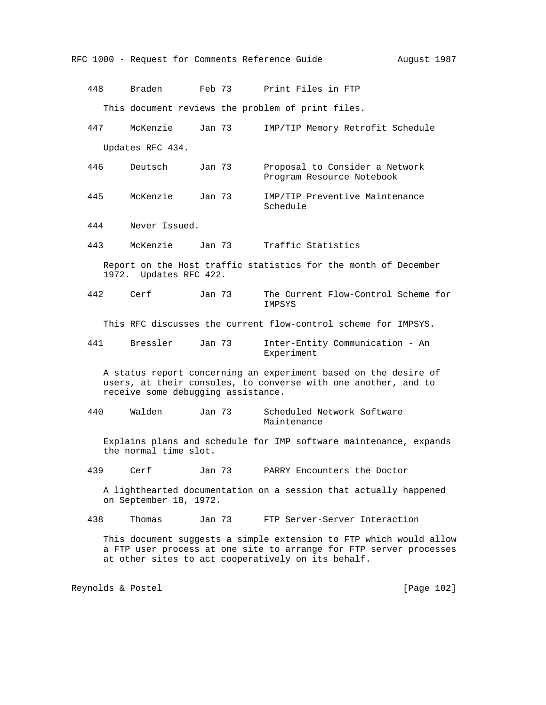448 Braden Feb 73 Print Files in FTP This document reviews the problem of print files. 447 McKenzie Jan 73 IMP/TIP Memory Retrofit Schedule Updates RFC 434. 446 Deutsch Jan 73 Proposal to Consider a Network Program Resource Notebook 445 McKenzie Jan 73 IMP/TIP Preventive Maintenance Schedule 444 Never Issued. 443 McKenzie Jan 73 Traffic Statistics Report on the Host traffic statistics for the month of December 1972. Updates RFC 422. 442 Cerf Jan 73 The Current Flow-Control Scheme for **TMPSYS**  This RFC discusses the current flow-control scheme for IMPSYS. 441 Bressler Jan 73 Inter-Entity Communication - An Experiment A status report concerning an experiment based on the desire of users, at their consoles, to converse with one another, and to receive some debugging assistance. 440 Walden Jan 73 Scheduled Network Software Maintenance Explains plans and schedule for IMP software maintenance, expands the normal time slot. 439 Cerf Jan 73 PARRY Encounters the Doctor A lighthearted documentation on a session that actually happened on September 18, 1972. 438 Thomas Jan 73 FTP Server-Server Interaction This document suggests a simple extension to FTP which would allow a FTP user process at one site to arrange for FTP server processes at other sites to act cooperatively on its behalf.

Reynolds & Postel **Example 2021** [Page 102]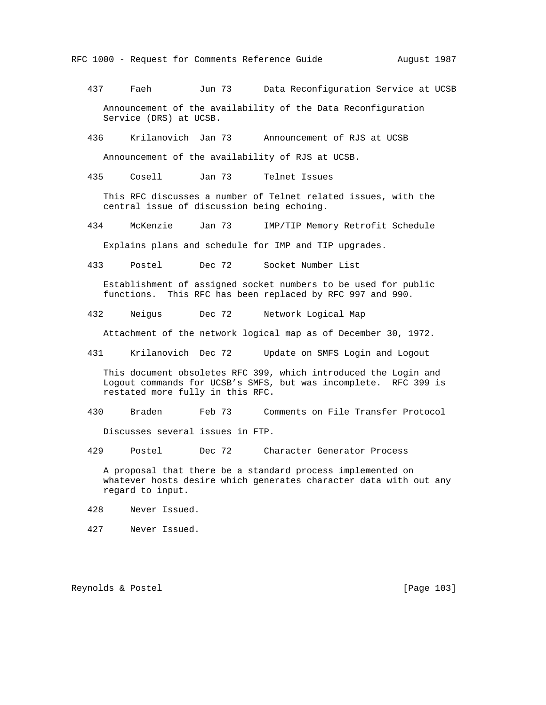437 Faeh Jun 73 Data Reconfiguration Service at UCSB

 Announcement of the availability of the Data Reconfiguration Service (DRS) at UCSB.

436 Krilanovich Jan 73 Announcement of RJS at UCSB

Announcement of the availability of RJS at UCSB.

435 Cosell Jan 73 Telnet Issues

 This RFC discusses a number of Telnet related issues, with the central issue of discussion being echoing.

434 McKenzie Jan 73 IMP/TIP Memory Retrofit Schedule

Explains plans and schedule for IMP and TIP upgrades.

433 Postel Dec 72 Socket Number List

 Establishment of assigned socket numbers to be used for public functions. This RFC has been replaced by RFC 997 and 990.

432 Neigus Dec 72 Network Logical Map

Attachment of the network logical map as of December 30, 1972.

431 Krilanovich Dec 72 Update on SMFS Login and Logout

 This document obsoletes RFC 399, which introduced the Login and Logout commands for UCSB's SMFS, but was incomplete. RFC 399 is restated more fully in this RFC.

- 430 Braden Feb 73 Comments on File Transfer Protocol Discusses several issues in FTP.
- 429 Postel Dec 72 Character Generator Process

 A proposal that there be a standard process implemented on whatever hosts desire which generates character data with out any regard to input.

- 428 Never Issued.
- 427 Never Issued.

Reynolds & Postel [Page 103]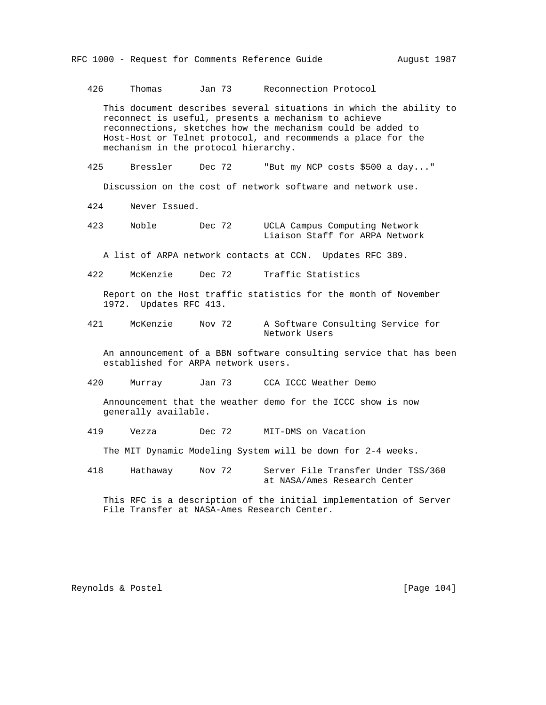426 Thomas Jan 73 Reconnection Protocol

 This document describes several situations in which the ability to reconnect is useful, presents a mechanism to achieve reconnections, sketches how the mechanism could be added to Host-Host or Telnet protocol, and recommends a place for the mechanism in the protocol hierarchy.

425 Bressler Dec 72 "But my NCP costs \$500 a day..."

Discussion on the cost of network software and network use.

- 424 Never Issued.
- 423 Noble Dec 72 UCLA Campus Computing Network Liaison Staff for ARPA Network

A list of ARPA network contacts at CCN. Updates RFC 389.

422 McKenzie Dec 72 Traffic Statistics

 Report on the Host traffic statistics for the month of November 1972. Updates RFC 413.

 421 McKenzie Nov 72 A Software Consulting Service for Network Users

 An announcement of a BBN software consulting service that has been established for ARPA network users.

420 Murray Jan 73 CCA ICCC Weather Demo

 Announcement that the weather demo for the ICCC show is now generally available.

419 Vezza Dec 72 MIT-DMS on Vacation

The MIT Dynamic Modeling System will be down for 2-4 weeks.

 418 Hathaway Nov 72 Server File Transfer Under TSS/360 at NASA/Ames Research Center

 This RFC is a description of the initial implementation of Server File Transfer at NASA-Ames Research Center.

Reynolds & Postel [Page 104]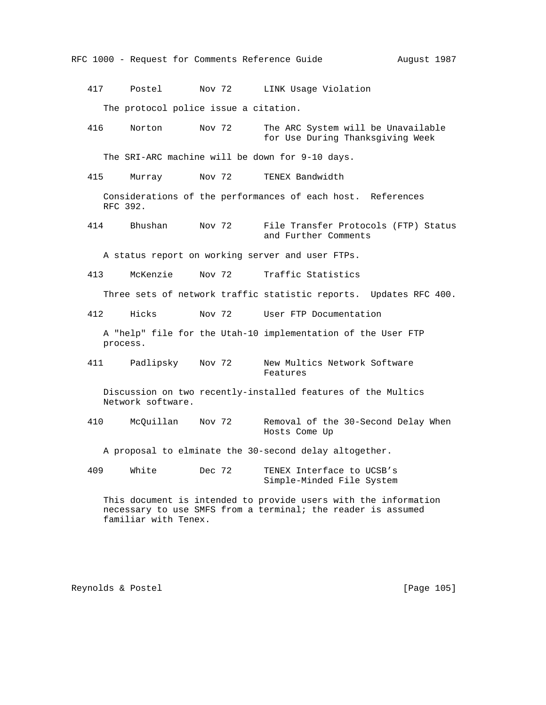417 Postel Nov 72 LINK Usage Violation

The protocol police issue a citation.

 416 Norton Nov 72 The ARC System will be Unavailable for Use During Thanksgiving Week

The SRI-ARC machine will be down for 9-10 days.

415 Murray Nov 72 TENEX Bandwidth

 Considerations of the performances of each host. References RFC 392.

 414 Bhushan Nov 72 File Transfer Protocols (FTP) Status and Further Comments

A status report on working server and user FTPs.

413 McKenzie Nov 72 Traffic Statistics

Three sets of network traffic statistic reports. Updates RFC 400.

412 Hicks Nov 72 User FTP Documentation

 A "help" file for the Utah-10 implementation of the User FTP process.

 411 Padlipsky Nov 72 New Multics Network Software Features

 Discussion on two recently-installed features of the Multics Network software.

 410 McQuillan Nov 72 Removal of the 30-Second Delay When Hosts Come Up

A proposal to elminate the 30-second delay altogether.

 409 White Dec 72 TENEX Interface to UCSB's Simple-Minded File System

 This document is intended to provide users with the information necessary to use SMFS from a terminal; the reader is assumed familiar with Tenex.

Reynolds & Postel [Page 105]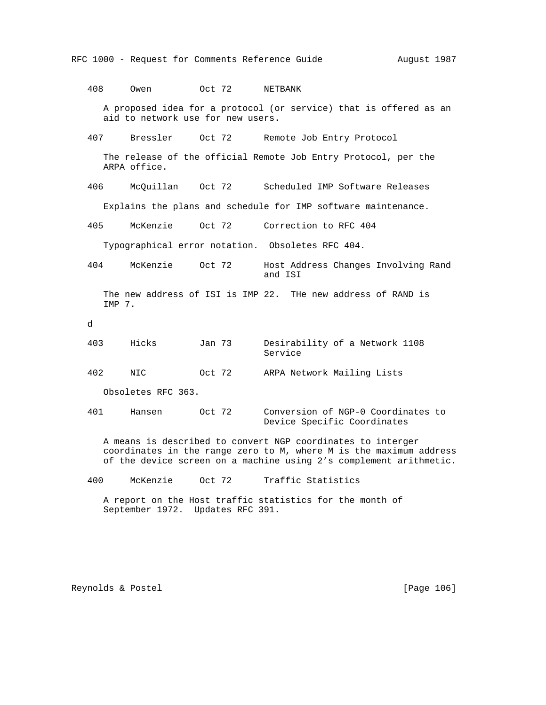408 Owen Oct 72 NETBANK

 A proposed idea for a protocol (or service) that is offered as an aid to network use for new users.

407 Bressler Oct 72 Remote Job Entry Protocol

 The release of the official Remote Job Entry Protocol, per the ARPA office.

406 McQuillan Oct 72 Scheduled IMP Software Releases

Explains the plans and schedule for IMP software maintenance.

405 McKenzie Oct 72 Correction to RFC 404

Typographical error notation. Obsoletes RFC 404.

 404 McKenzie Oct 72 Host Address Changes Involving Rand and ISI

 The new address of ISI is IMP 22. THe new address of RAND is IMP 7.

d

- 403 Hicks Jan 73 Desirability of a Network 1108 Service
- 402 NIC Oct 72 ARPA Network Mailing Lists

Obsoletes RFC 363.

 401 Hansen Oct 72 Conversion of NGP-0 Coordinates to Device Specific Coordinates

 A means is described to convert NGP coordinates to interger coordinates in the range zero to M, where M is the maximum address of the device screen on a machine using 2's complement arithmetic.

400 McKenzie Oct 72 Traffic Statistics

 A report on the Host traffic statistics for the month of September 1972. Updates RFC 391.

Reynolds & Postel [Page 106]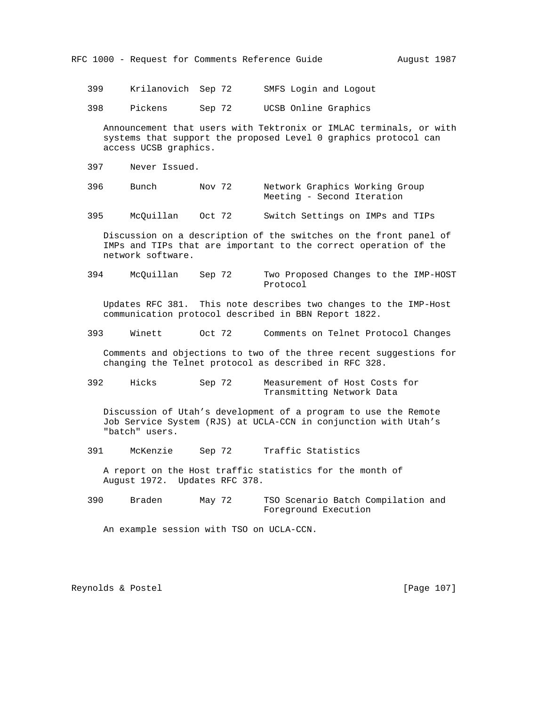399 Krilanovich Sep 72 SMFS Login and Logout

398 Pickens Sep 72 UCSB Online Graphics

 Announcement that users with Tektronix or IMLAC terminals, or with systems that support the proposed Level 0 graphics protocol can access UCSB graphics.

397 Never Issued.

 396 Bunch Nov 72 Network Graphics Working Group Meeting - Second Iteration

395 McQuillan Oct 72 Switch Settings on IMPs and TIPs

 Discussion on a description of the switches on the front panel of IMPs and TIPs that are important to the correct operation of the network software.

 394 McQuillan Sep 72 Two Proposed Changes to the IMP-HOST Protocol

 Updates RFC 381. This note describes two changes to the IMP-Host communication protocol described in BBN Report 1822.

393 Winett Oct 72 Comments on Telnet Protocol Changes

 Comments and objections to two of the three recent suggestions for changing the Telnet protocol as described in RFC 328.

 392 Hicks Sep 72 Measurement of Host Costs for Transmitting Network Data

 Discussion of Utah's development of a program to use the Remote Job Service System (RJS) at UCLA-CCN in conjunction with Utah's "batch" users.

391 McKenzie Sep 72 Traffic Statistics

 A report on the Host traffic statistics for the month of August 1972. Updates RFC 378.

 390 Braden May 72 TSO Scenario Batch Compilation and Foreground Execution

An example session with TSO on UCLA-CCN.

Reynolds & Postel **Example 2008** [Page 107]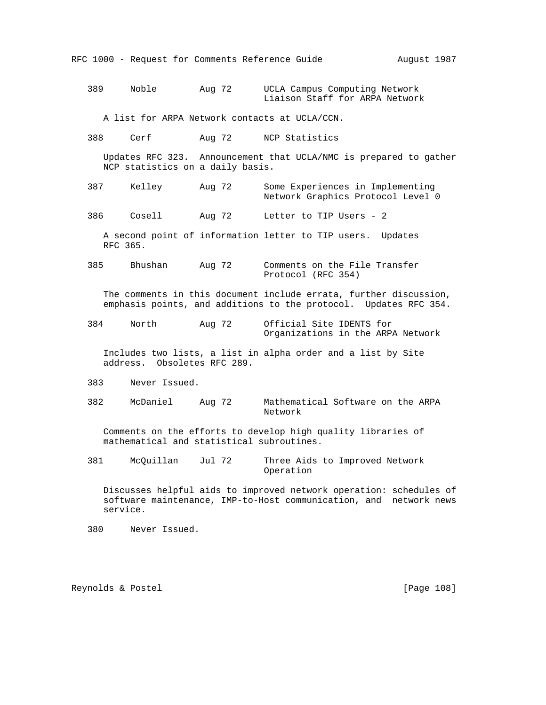389 Noble Aug 72 UCLA Campus Computing Network Liaison Staff for ARPA Network

A list for ARPA Network contacts at UCLA/CCN.

388 Cerf Aug 72 NCP Statistics

 Updates RFC 323. Announcement that UCLA/NMC is prepared to gather NCP statistics on a daily basis.

 387 Kelley Aug 72 Some Experiences in Implementing Network Graphics Protocol Level 0

386 Cosell Aug 72 Letter to TIP Users - 2

 A second point of information letter to TIP users. Updates RFC 365.

 385 Bhushan Aug 72 Comments on the File Transfer Protocol (RFC 354)

 The comments in this document include errata, further discussion, emphasis points, and additions to the protocol. Updates RFC 354.

 384 North Aug 72 Official Site IDENTS for Organizations in the ARPA Network

 Includes two lists, a list in alpha order and a list by Site address. Obsoletes RFC 289.

- 383 Never Issued.
- 382 McDaniel Aug 72 Mathematical Software on the ARPA Network

 Comments on the efforts to develop high quality libraries of mathematical and statistical subroutines.

 381 McQuillan Jul 72 Three Aids to Improved Network Operation

 Discusses helpful aids to improved network operation: schedules of software maintenance, IMP-to-Host communication, and network news service.

380 Never Issued.

Reynolds & Postel [Page 108]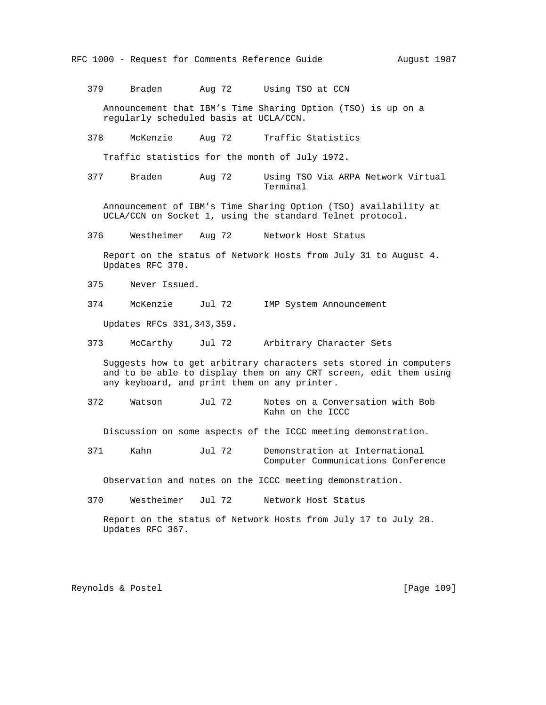379 Braden Aug 72 Using TSO at CCN

 Announcement that IBM's Time Sharing Option (TSO) is up on a regularly scheduled basis at UCLA/CCN.

378 McKenzie Aug 72 Traffic Statistics

Traffic statistics for the month of July 1972.

 377 Braden Aug 72 Using TSO Via ARPA Network Virtual Terminal

 Announcement of IBM's Time Sharing Option (TSO) availability at UCLA/CCN on Socket 1, using the standard Telnet protocol.

376 Westheimer Aug 72 Network Host Status

 Report on the status of Network Hosts from July 31 to August 4. Updates RFC 370.

- 375 Never Issued.
- 374 McKenzie Jul 72 IMP System Announcement

Updates RFCs 331,343,359.

373 McCarthy Jul 72 Arbitrary Character Sets

 Suggests how to get arbitrary characters sets stored in computers and to be able to display them on any CRT screen, edit them using any keyboard, and print them on any printer.

 372 Watson Jul 72 Notes on a Conversation with Bob Kahn on the ICCC

Discussion on some aspects of the ICCC meeting demonstration.

 371 Kahn Jul 72 Demonstration at International Computer Communications Conference

Observation and notes on the ICCC meeting demonstration.

370 Westheimer Jul 72 Network Host Status

 Report on the status of Network Hosts from July 17 to July 28. Updates RFC 367.

Reynolds & Postel [Page 109]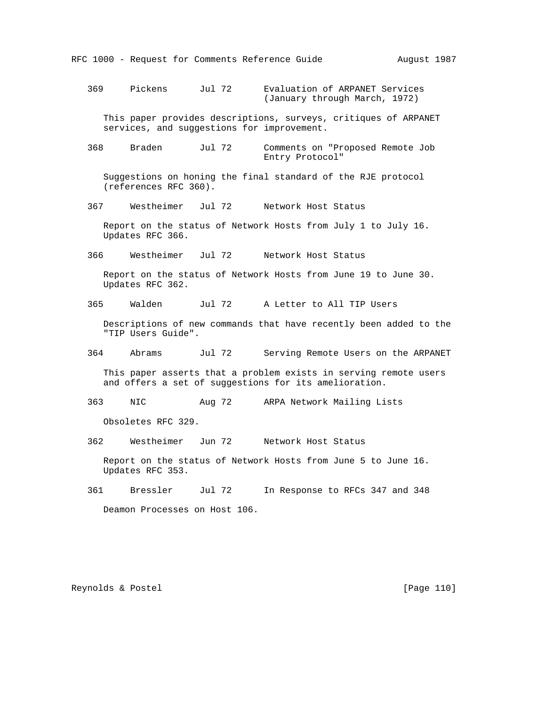369 Pickens Jul 72 Evaluation of ARPANET Services (January through March, 1972)

 This paper provides descriptions, surveys, critiques of ARPANET services, and suggestions for improvement.

 368 Braden Jul 72 Comments on "Proposed Remote Job Entry Protocol"

 Suggestions on honing the final standard of the RJE protocol (references RFC 360).

367 Westheimer Jul 72 Network Host Status

Report on the status of Network Hosts from July 1 to July 16. Updates RFC 366.

366 Westheimer Jul 72 Network Host Status

 Report on the status of Network Hosts from June 19 to June 30. Updates RFC 362.

365 Walden Jul 72 A Letter to All TIP Users

 Descriptions of new commands that have recently been added to the "TIP Users Guide".

364 Abrams Jul 72 Serving Remote Users on the ARPANET

 This paper asserts that a problem exists in serving remote users and offers a set of suggestions for its amelioration.

363 NIC Aug 72 ARPA Network Mailing Lists

Obsoletes RFC 329.

362 Westheimer Jun 72 Network Host Status

 Report on the status of Network Hosts from June 5 to June 16. Updates RFC 353.

 361 Bressler Jul 72 In Response to RFCs 347 and 348 Deamon Processes on Host 106.

Reynolds & Postel [Page 110]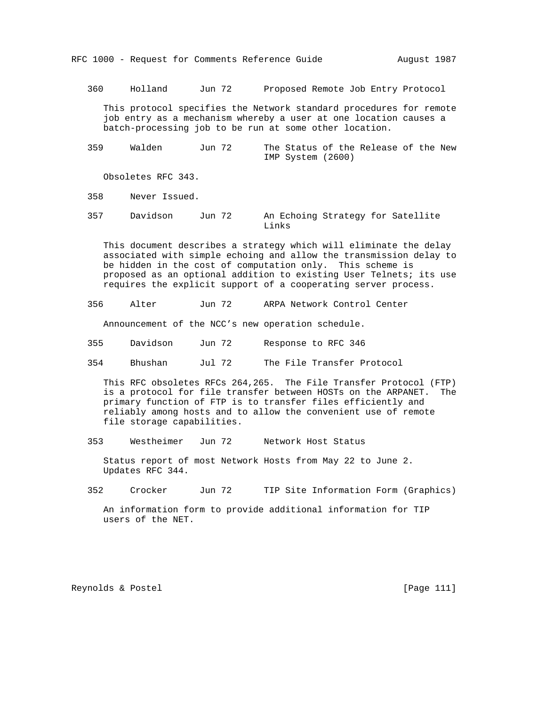360 Holland Jun 72 Proposed Remote Job Entry Protocol

 This protocol specifies the Network standard procedures for remote job entry as a mechanism whereby a user at one location causes a batch-processing job to be run at some other location.

 359 Walden Jun 72 The Status of the Release of the New IMP System (2600)

Obsoletes RFC 343.

358 Never Issued.

 357 Davidson Jun 72 An Echoing Strategy for Satellite Links

 This document describes a strategy which will eliminate the delay associated with simple echoing and allow the transmission delay to be hidden in the cost of computation only. This scheme is proposed as an optional addition to existing User Telnets; its use requires the explicit support of a cooperating server process.

356 Alter Jun 72 ARPA Network Control Center

Announcement of the NCC's new operation schedule.

355 Davidson Jun 72 Response to RFC 346

354 Bhushan Jul 72 The File Transfer Protocol

 This RFC obsoletes RFCs 264,265. The File Transfer Protocol (FTP) is a protocol for file transfer between HOSTs on the ARPANET. The primary function of FTP is to transfer files efficiently and reliably among hosts and to allow the convenient use of remote file storage capabilities.

353 Westheimer Jun 72 Network Host Status

 Status report of most Network Hosts from May 22 to June 2. Updates RFC 344.

352 Crocker Jun 72 TIP Site Information Form (Graphics)

 An information form to provide additional information for TIP users of the NET.

Reynolds & Postel extending the second state of the second state of the second state of  $[Page 111]$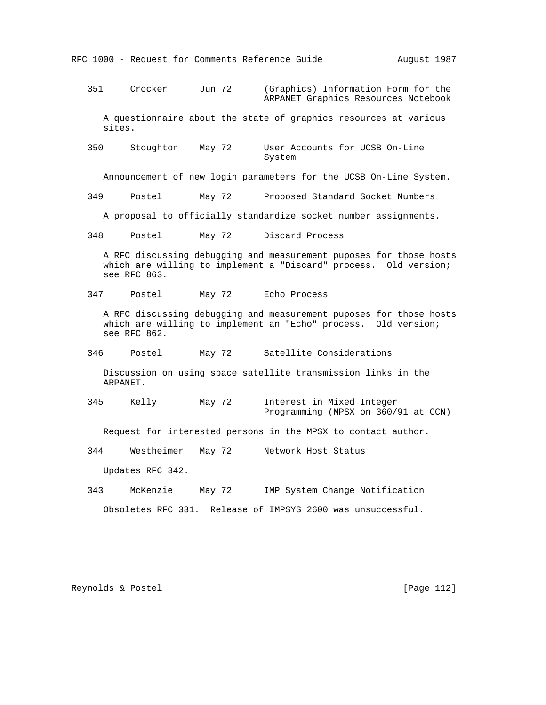351 Crocker Jun 72 (Graphics) Information Form for the ARPANET Graphics Resources Notebook

 A questionnaire about the state of graphics resources at various sites.

 350 Stoughton May 72 User Accounts for UCSB On-Line System

Announcement of new login parameters for the UCSB On-Line System.

349 Postel May 72 Proposed Standard Socket Numbers

A proposal to officially standardize socket number assignments.

348 Postel May 72 Discard Process

 A RFC discussing debugging and measurement puposes for those hosts which are willing to implement a "Discard" process. Old version; see RFC 863.

347 Postel May 72 Echo Process

 A RFC discussing debugging and measurement puposes for those hosts which are willing to implement an "Echo" process. Old version; see RFC 862.

346 Postel May 72 Satellite Considerations

 Discussion on using space satellite transmission links in the ARPANET.

 345 Kelly May 72 Interest in Mixed Integer Programming (MPSX on 360/91 at CCN)

Request for interested persons in the MPSX to contact author.

344 Westheimer May 72 Network Host Status

Updates RFC 342.

 343 McKenzie May 72 IMP System Change Notification Obsoletes RFC 331. Release of IMPSYS 2600 was unsuccessful.

Reynolds & Postel [Page 112]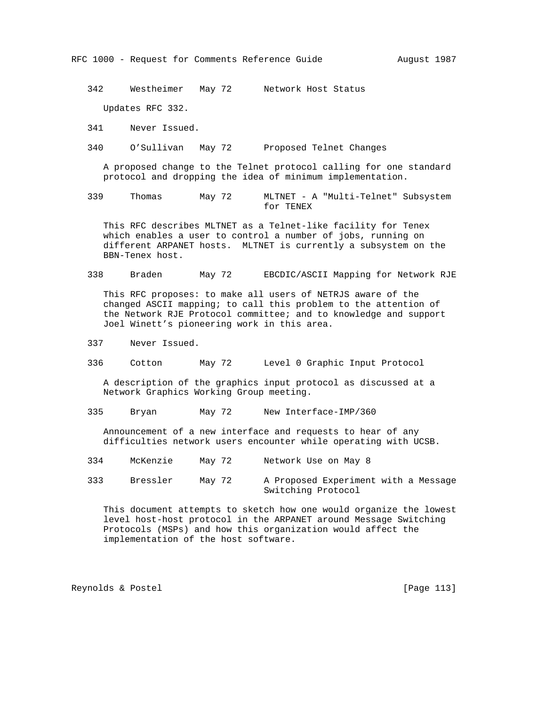342 Westheimer May 72 Network Host Status

Updates RFC 332.

341 Never Issued.

340 O'Sullivan May 72 Proposed Telnet Changes

 A proposed change to the Telnet protocol calling for one standard protocol and dropping the idea of minimum implementation.

 339 Thomas May 72 MLTNET - A "Multi-Telnet" Subsystem for TENEX

 This RFC describes MLTNET as a Telnet-like facility for Tenex which enables a user to control a number of jobs, running on different ARPANET hosts. MLTNET is currently a subsystem on the BBN-Tenex host.

338 Braden May 72 EBCDIC/ASCII Mapping for Network RJE

 This RFC proposes: to make all users of NETRJS aware of the changed ASCII mapping; to call this problem to the attention of the Network RJE Protocol committee; and to knowledge and support Joel Winett's pioneering work in this area.

- 337 Never Issued.
- 336 Cotton May 72 Level 0 Graphic Input Protocol

 A description of the graphics input protocol as discussed at a Network Graphics Working Group meeting.

335 Bryan May 72 New Interface-IMP/360

 Announcement of a new interface and requests to hear of any difficulties network users encounter while operating with UCSB.

| 334 | McKenzie | May 72 | Network Use on May 8 |  |  |
|-----|----------|--------|----------------------|--|--|
|-----|----------|--------|----------------------|--|--|

 333 Bressler May 72 A Proposed Experiment with a Message Switching Protocol

 This document attempts to sketch how one would organize the lowest level host-host protocol in the ARPANET around Message Switching Protocols (MSPs) and how this organization would affect the implementation of the host software.

Reynolds & Postel [Page 113]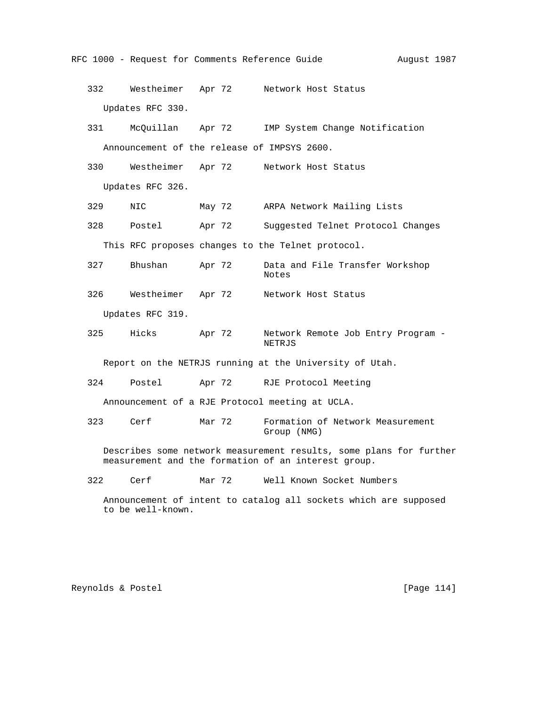- 332 Westheimer Apr 72 Network Host Status Updates RFC 330.
- 331 McQuillan Apr 72 IMP System Change Notification Announcement of the release of IMPSYS 2600.
- 330 Westheimer Apr 72 Network Host Status Updates RFC 326.
- 329 NIC May 72 ARPA Network Mailing Lists
- 328 Postel Apr 72 Suggested Telnet Protocol Changes

This RFC proposes changes to the Telnet protocol.

- 327 Bhushan Apr 72 Data and File Transfer Workshop Notes
- 326 Westheimer Apr 72 Network Host Status

Updates RFC 319.

 325 Hicks Apr 72 Network Remote Job Entry Program - NETRJS

Report on the NETRJS running at the University of Utah.

324 Postel Apr 72 RJE Protocol Meeting

Announcement of a RJE Protocol meeting at UCLA.

 323 Cerf Mar 72 Formation of Network Measurement Group (NMG)

 Describes some network measurement results, some plans for further measurement and the formation of an interest group.

322 Cerf Mar 72 Well Known Socket Numbers

 Announcement of intent to catalog all sockets which are supposed to be well-known.

Reynolds & Postel [Page 114]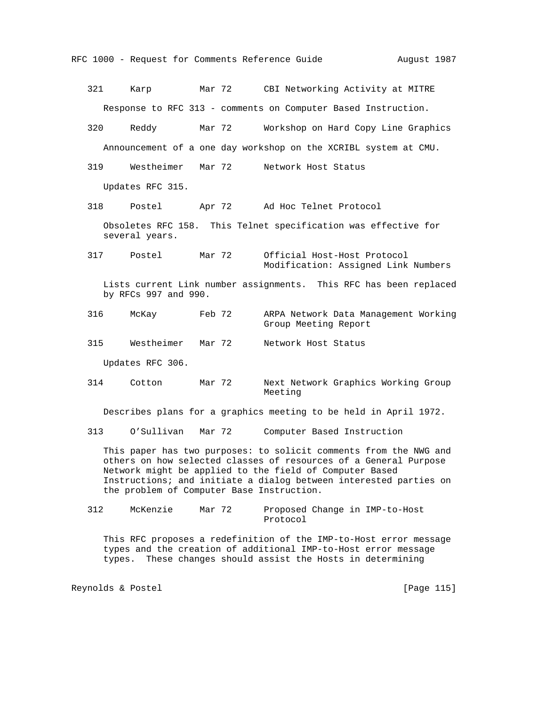321 Karp Mar 72 CBI Networking Activity at MITRE Response to RFC 313 - comments on Computer Based Instruction. 320 Reddy Mar 72 Workshop on Hard Copy Line Graphics

Announcement of a one day workshop on the XCRIBL system at CMU.

319 Westheimer Mar 72 Network Host Status

Updates RFC 315.

318 Postel Apr 72 Ad Hoc Telnet Protocol

 Obsoletes RFC 158. This Telnet specification was effective for several years.

 317 Postel Mar 72 Official Host-Host Protocol Modification: Assigned Link Numbers

 Lists current Link number assignments. This RFC has been replaced by RFCs 997 and 990.

| 316 | McKay      | Feb 72 | ARPA Network Data Management Working<br>Group Meeting Report |
|-----|------------|--------|--------------------------------------------------------------|
| 315 | Westheimer | Mar 72 | Network Host Status                                          |

Updates RFC 306.

 314 Cotton Mar 72 Next Network Graphics Working Group Meeting

Describes plans for a graphics meeting to be held in April 1972.

313 O'Sullivan Mar 72 Computer Based Instruction

 This paper has two purposes: to solicit comments from the NWG and others on how selected classes of resources of a General Purpose Network might be applied to the field of Computer Based Instructions; and initiate a dialog between interested parties on the problem of Computer Base Instruction.

 312 McKenzie Mar 72 Proposed Change in IMP-to-Host Protocol

 This RFC proposes a redefinition of the IMP-to-Host error message types and the creation of additional IMP-to-Host error message types. These changes should assist the Hosts in determining

Reynolds & Postel **Example 20** (Page 115)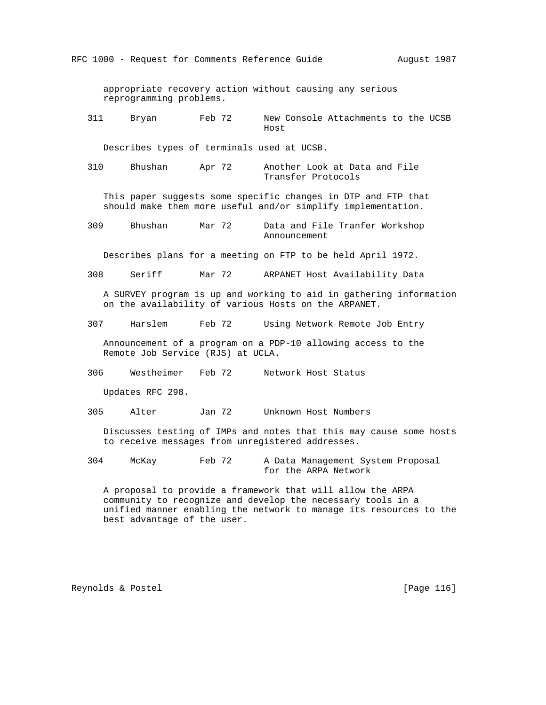appropriate recovery action without causing any serious reprogramming problems.

| Bryan | Feb 72 | New Console Attachments to the UCSB |
|-------|--------|-------------------------------------|
|       |        | Host                                |

Describes types of terminals used at UCSB.

 310 Bhushan Apr 72 Another Look at Data and File Transfer Protocols

 This paper suggests some specific changes in DTP and FTP that should make them more useful and/or simplify implementation.

 309 Bhushan Mar 72 Data and File Tranfer Workshop Announcement

Describes plans for a meeting on FTP to be held April 1972.

308 Seriff Mar 72 ARPANET Host Availability Data

 A SURVEY program is up and working to aid in gathering information on the availability of various Hosts on the ARPANET.

307 Harslem Feb 72 Using Network Remote Job Entry

 Announcement of a program on a PDP-10 allowing access to the Remote Job Service (RJS) at UCLA.

306 Westheimer Feb 72 Network Host Status

Updates RFC 298.

305 Alter Jan 72 Unknown Host Numbers

 Discusses testing of IMPs and notes that this may cause some hosts to receive messages from unregistered addresses.

 304 McKay Feb 72 A Data Management System Proposal for the ARPA Network

 A proposal to provide a framework that will allow the ARPA community to recognize and develop the necessary tools in a unified manner enabling the network to manage its resources to the best advantage of the user.

Reynolds & Postel [Page 116]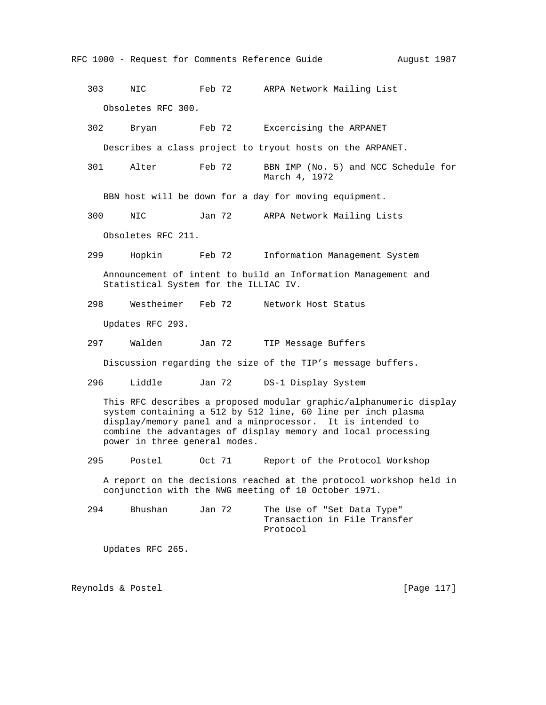303 NIC Feb 72 ARPA Network Mailing List Obsoletes RFC 300.

302 Bryan Feb 72 Excercising the ARPANET

Describes a class project to tryout hosts on the ARPANET.

 301 Alter Feb 72 BBN IMP (No. 5) and NCC Schedule for March 4, 1972

BBN host will be down for a day for moving equipment.

300 NIC Jan 72 ARPA Network Mailing Lists

Obsoletes RFC 211.

299 Hopkin Feb 72 Information Management System

 Announcement of intent to build an Information Management and Statistical System for the ILLIAC IV.

 298 Westheimer Feb 72 Network Host Status Updates RFC 293.

297 Walden Jan 72 TIP Message Buffers

Discussion regarding the size of the TIP's message buffers.

296 Liddle Jan 72 DS-1 Display System

 This RFC describes a proposed modular graphic/alphanumeric display system containing a 512 by 512 line, 60 line per inch plasma display/memory panel and a minprocessor. It is intended to combine the advantages of display memory and local processing power in three general modes.

295 Postel Oct 71 Report of the Protocol Workshop

 A report on the decisions reached at the protocol workshop held in conjunction with the NWG meeting of 10 October 1971.

 294 Bhushan Jan 72 The Use of "Set Data Type" Transaction in File Transfer Protocol

Updates RFC 265.

Reynolds & Postel **Example 20** (Page 117)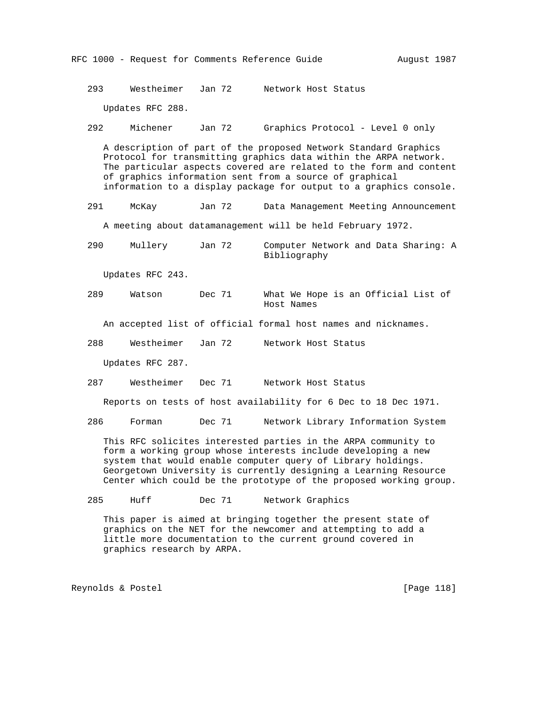293 Westheimer Jan 72 Network Host Status Updates RFC 288.

292 Michener Jan 72 Graphics Protocol - Level 0 only

 A description of part of the proposed Network Standard Graphics Protocol for transmitting graphics data within the ARPA network. The particular aspects covered are related to the form and content of graphics information sent from a source of graphical information to a display package for output to a graphics console.

291 McKay Jan 72 Data Management Meeting Announcement

A meeting about datamanagement will be held February 1972.

 290 Mullery Jan 72 Computer Network and Data Sharing: A Bibliography

Updates RFC 243.

 289 Watson Dec 71 What We Hope is an Official List of Host Names

An accepted list of official formal host names and nicknames.

288 Westheimer Jan 72 Network Host Status

Updates RFC 287.

287 Westheimer Dec 71 Network Host Status

Reports on tests of host availability for 6 Dec to 18 Dec 1971.

286 Forman Dec 71 Network Library Information System

 This RFC solicites interested parties in the ARPA community to form a working group whose interests include developing a new system that would enable computer query of Library holdings. Georgetown University is currently designing a Learning Resource Center which could be the prototype of the proposed working group.

285 Huff Dec 71 Network Graphics

 This paper is aimed at bringing together the present state of graphics on the NET for the newcomer and attempting to add a little more documentation to the current ground covered in graphics research by ARPA.

Reynolds & Postel **Example 20** (Page 118)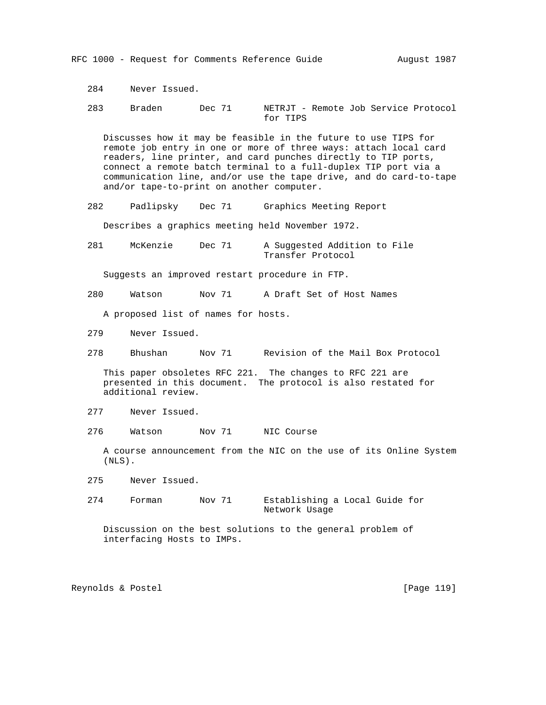284 Never Issued.

 283 Braden Dec 71 NETRJT - Remote Job Service Protocol for TIPS

 Discusses how it may be feasible in the future to use TIPS for remote job entry in one or more of three ways: attach local card readers, line printer, and card punches directly to TIP ports, connect a remote batch terminal to a full-duplex TIP port via a communication line, and/or use the tape drive, and do card-to-tape and/or tape-to-print on another computer.

282 Padlipsky Dec 71 Graphics Meeting Report

Describes a graphics meeting held November 1972.

 281 McKenzie Dec 71 A Suggested Addition to File Transfer Protocol

Suggests an improved restart procedure in FTP.

280 Watson Nov 71 A Draft Set of Host Names

A proposed list of names for hosts.

279 Never Issued.

278 Bhushan Nov 71 Revision of the Mail Box Protocol

 This paper obsoletes RFC 221. The changes to RFC 221 are presented in this document. The protocol is also restated for additional review.

- 277 Never Issued.
- 276 Watson Nov 71 NIC Course

 A course announcement from the NIC on the use of its Online System (NLS).

275 Never Issued.

 274 Forman Nov 71 Establishing a Local Guide for Network Usage

Reynolds & Postel [Page 119]

Discussion on the best solutions to the general problem of interfacing Hosts to IMPs.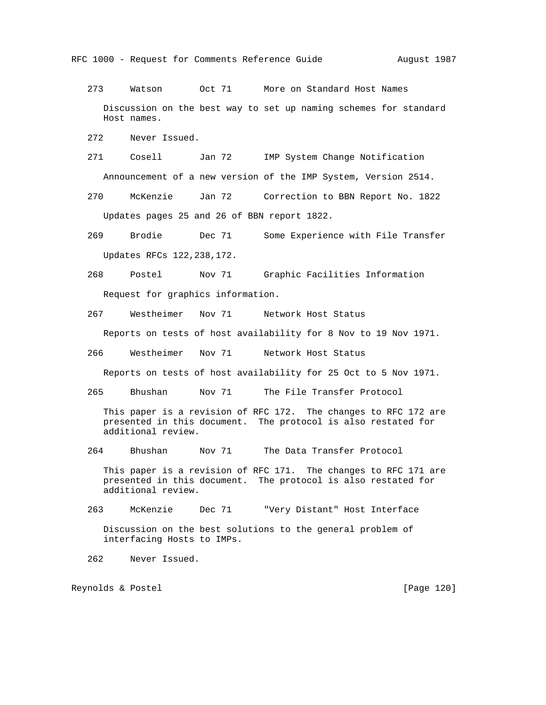273 Watson Oct 71 More on Standard Host Names Discussion on the best way to set up naming schemes for standard Host names.

272 Never Issued.

 271 Cosell Jan 72 IMP System Change Notification Announcement of a new version of the IMP System, Version 2514.

 270 McKenzie Jan 72 Correction to BBN Report No. 1822 Updates pages 25 and 26 of BBN report 1822.

- 269 Brodie Dec 71 Some Experience with File Transfer Updates RFCs 122,238,172.
- 268 Postel Nov 71 Graphic Facilities Information Request for graphics information.

267 Westheimer Nov 71 Network Host Status

Reports on tests of host availability for 8 Nov to 19 Nov 1971.

266 Westheimer Nov 71 Network Host Status

Reports on tests of host availability for 25 Oct to 5 Nov 1971.

265 Bhushan Nov 71 The File Transfer Protocol

 This paper is a revision of RFC 172. The changes to RFC 172 are presented in this document. The protocol is also restated for additional review.

264 Bhushan Nov 71 The Data Transfer Protocol

 This paper is a revision of RFC 171. The changes to RFC 171 are presented in this document. The protocol is also restated for additional review.

263 McKenzie Dec 71 "Very Distant" Host Interface

 Discussion on the best solutions to the general problem of interfacing Hosts to IMPs.

262 Never Issued.

Reynolds & Postel **Example 2018** [Page 120]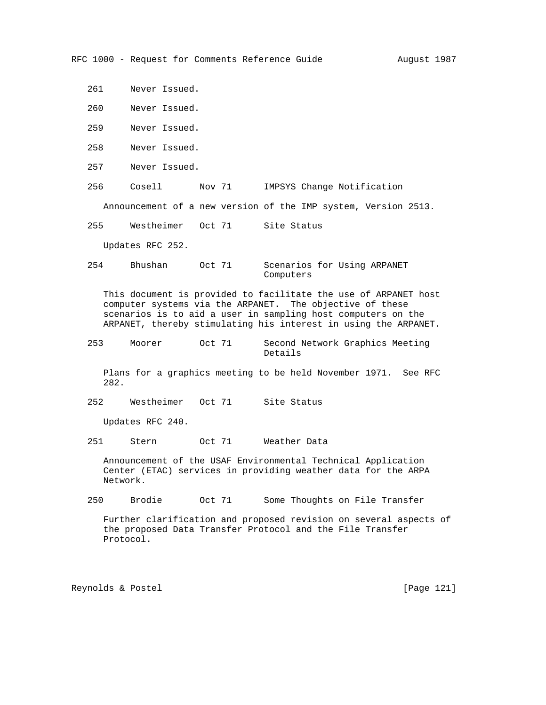261 Never Issued.

- 260 Never Issued.
- 259 Never Issued.
- 258 Never Issued.
- 257 Never Issued.
- 256 Cosell Nov 71 IMPSYS Change Notification

Announcement of a new version of the IMP system, Version 2513.

255 Westheimer Oct 71 Site Status

Updates RFC 252.

 254 Bhushan Oct 71 Scenarios for Using ARPANET Computers

 This document is provided to facilitate the use of ARPANET host computer systems via the ARPANET. The objective of these scenarios is to aid a user in sampling host computers on the ARPANET, thereby stimulating his interest in using the ARPANET.

 253 Moorer Oct 71 Second Network Graphics Meeting Details

 Plans for a graphics meeting to be held November 1971. See RFC 282.

252 Westheimer Oct 71 Site Status

Updates RFC 240.

251 Stern Oct 71 Weather Data

 Announcement of the USAF Environmental Technical Application Center (ETAC) services in providing weather data for the ARPA Network.

250 Brodie Oct 71 Some Thoughts on File Transfer

 Further clarification and proposed revision on several aspects of the proposed Data Transfer Protocol and the File Transfer Protocol.

Reynolds & Postel [Page 121]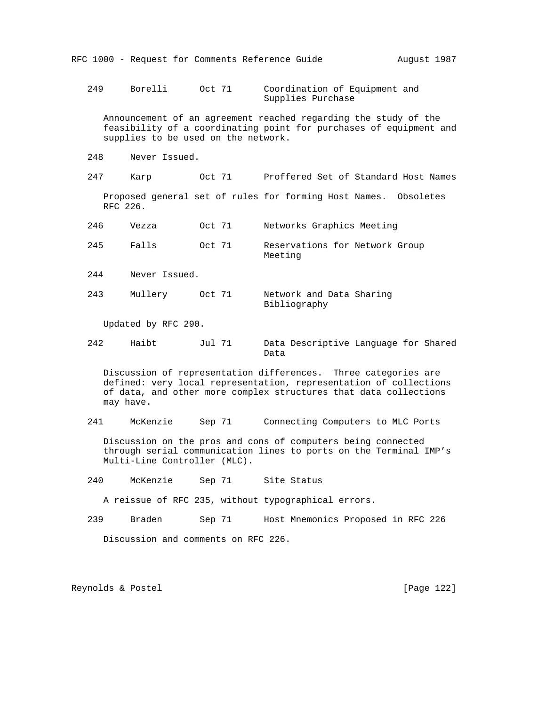249 Borelli Oct 71 Coordination of Equipment and Supplies Purchase

 Announcement of an agreement reached regarding the study of the feasibility of a coordinating point for purchases of equipment and supplies to be used on the network.

248 Never Issued.

247 Karp Oct 71 Proffered Set of Standard Host Names

 Proposed general set of rules for forming Host Names. Obsoletes RFC 226.

Meeting

| 246 | Vezza | Oct 71 | Networks Graphics Meeting      |
|-----|-------|--------|--------------------------------|
| 245 | Falls | Oct 71 | Reservations for Network Group |

- 244 Never Issued.
- 243 Mullery Oct 71 Network and Data Sharing Bibliography

Updated by RFC 290.

 242 Haibt Jul 71 Data Descriptive Language for Shared **Data** Data Base of the Contract of the Data

 Discussion of representation differences. Three categories are defined: very local representation, representation of collections of data, and other more complex structures that data collections may have.

241 McKenzie Sep 71 Connecting Computers to MLC Ports

 Discussion on the pros and cons of computers being connected through serial communication lines to ports on the Terminal IMP's Multi-Line Controller (MLC).

240 McKenzie Sep 71 Site Status

A reissue of RFC 235, without typographical errors.

 239 Braden Sep 71 Host Mnemonics Proposed in RFC 226 Discussion and comments on RFC 226.

Reynolds & Postel [Page 122]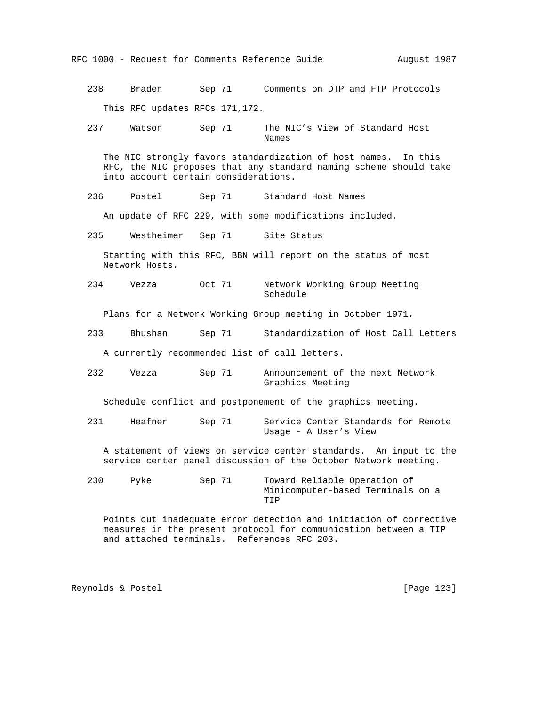238 Braden Sep 71 Comments on DTP and FTP Protocols This RFC updates RFCs 171,172.

 237 Watson Sep 71 The NIC's View of Standard Host **Names Names** 

 The NIC strongly favors standardization of host names. In this RFC, the NIC proposes that any standard naming scheme should take into account certain considerations.

236 Postel Sep 71 Standard Host Names

An update of RFC 229, with some modifications included.

235 Westheimer Sep 71 Site Status

 Starting with this RFC, BBN will report on the status of most Network Hosts.

 234 Vezza Oct 71 Network Working Group Meeting Schedule

Plans for a Network Working Group meeting in October 1971.

233 Bhushan Sep 71 Standardization of Host Call Letters

A currently recommended list of call letters.

 232 Vezza Sep 71 Announcement of the next Network Graphics Meeting

Schedule conflict and postponement of the graphics meeting.

 231 Heafner Sep 71 Service Center Standards for Remote Usage - A User's View

 A statement of views on service center standards. An input to the service center panel discussion of the October Network meeting.

 230 Pyke Sep 71 Toward Reliable Operation of Minicomputer-based Terminals on a **TIP** 

 Points out inadequate error detection and initiation of corrective measures in the present protocol for communication between a TIP and attached terminals. References RFC 203.

Reynolds & Postel [Page 123]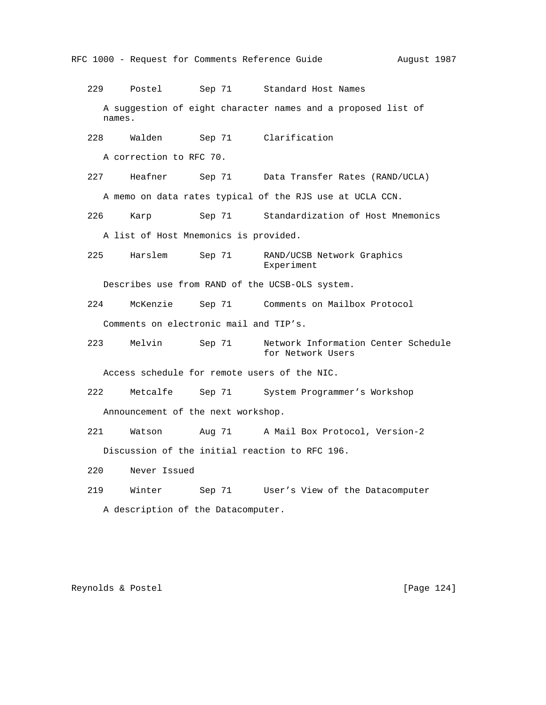- 229 Postel Sep 71 Standard Host Names A suggestion of eight character names and a proposed list of names.
- 228 Walden Sep 71 Clarification A correction to RFC 70.
- 227 Heafner Sep 71 Data Transfer Rates (RAND/UCLA) A memo on data rates typical of the RJS use at UCLA CCN. 226 Karp Sep 71 Standardization of Host Mnemonics
	- A list of Host Mnemonics is provided.
- 225 Harslem Sep 71 RAND/UCSB Network Graphics Experiment

Describes use from RAND of the UCSB-OLS system.

- 224 McKenzie Sep 71 Comments on Mailbox Protocol Comments on electronic mail and TIP's.
- 223 Melvin Sep 71 Network Information Center Schedule for Network Users

Access schedule for remote users of the NIC.

- 222 Metcalfe Sep 71 System Programmer's Workshop Announcement of the next workshop.
- 221 Watson Aug 71 A Mail Box Protocol, Version-2 Discussion of the initial reaction to RFC 196.
- 220 Never Issued
- 219 Winter Sep 71 User's View of the Datacomputer A description of the Datacomputer.

Reynolds & Postel [Page 124]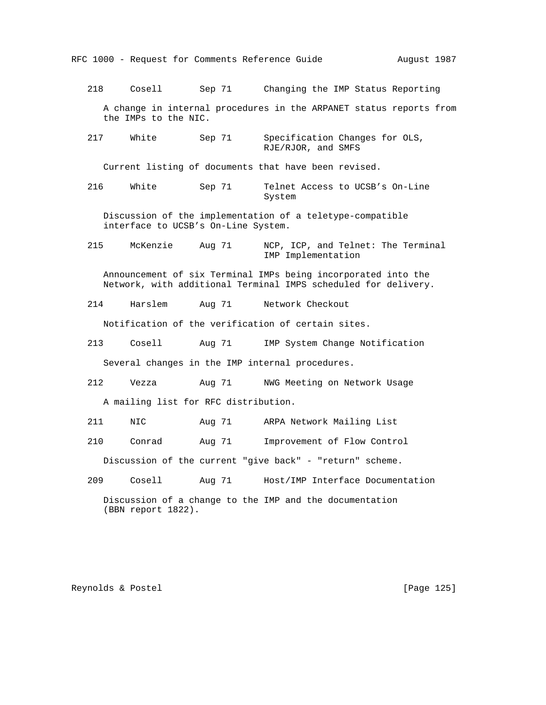218 Cosell Sep 71 Changing the IMP Status Reporting A change in internal procedures in the ARPANET status reports from the IMPs to the NIC. 217 White Sep 71 Specification Changes for OLS, RJE/RJOR, and SMFS Current listing of documents that have been revised. 216 White Sep 71 Telnet Access to UCSB's On-Line System Discussion of the implementation of a teletype-compatible interface to UCSB's On-Line System. 215 McKenzie Aug 71 NCP, ICP, and Telnet: The Terminal IMP Implementation Announcement of six Terminal IMPs being incorporated into the Network, with additional Terminal IMPS scheduled for delivery. 214 Harslem Aug 71 Network Checkout Notification of the verification of certain sites. 213 Cosell Aug 71 IMP System Change Notification Several changes in the IMP internal procedures. 212 Vezza Aug 71 NWG Meeting on Network Usage A mailing list for RFC distribution. 211 NIC Aug 71 ARPA Network Mailing List

210 Conrad Aug 71 Improvement of Flow Control

Discussion of the current "give back" - "return" scheme.

209 Cosell Aug 71 Host/IMP Interface Documentation

 Discussion of a change to the IMP and the documentation (BBN report 1822).

Reynolds & Postel [Page 125]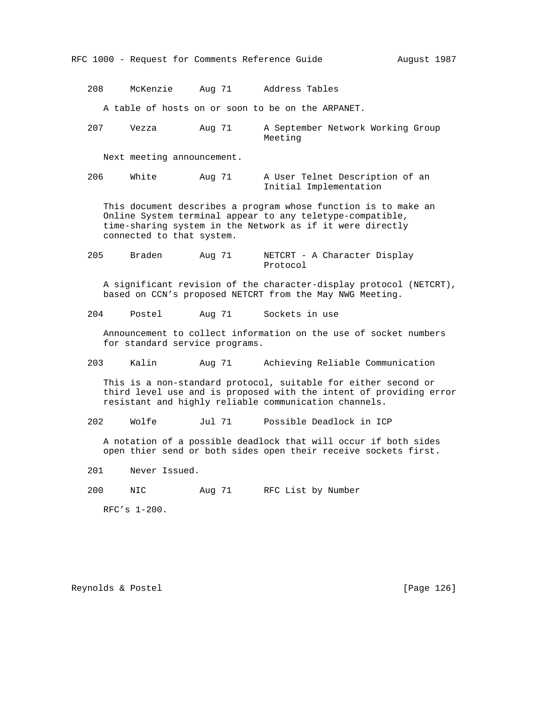208 McKenzie Aug 71 Address Tables

A table of hosts on or soon to be on the ARPANET.

 207 Vezza Aug 71 A September Network Working Group Meeting

Next meeting announcement.

 206 White Aug 71 A User Telnet Description of an Initial Implementation

 This document describes a program whose function is to make an Online System terminal appear to any teletype-compatible, time-sharing system in the Network as if it were directly connected to that system.

 205 Braden Aug 71 NETCRT - A Character Display Protocol

 A significant revision of the character-display protocol (NETCRT), based on CCN's proposed NETCRT from the May NWG Meeting.

204 Postel Aug 71 Sockets in use

 Announcement to collect information on the use of socket numbers for standard service programs.

203 Kalin Aug 71 Achieving Reliable Communication

 This is a non-standard protocol, suitable for either second or third level use and is proposed with the intent of providing error resistant and highly reliable communication channels.

202 Wolfe Jul 71 Possible Deadlock in ICP

 A notation of a possible deadlock that will occur if both sides open thier send or both sides open their receive sockets first.

201 Never Issued.

200 NIC Aug 71 RFC List by Number

RFC's 1-200.

Reynolds & Postel [Page 126]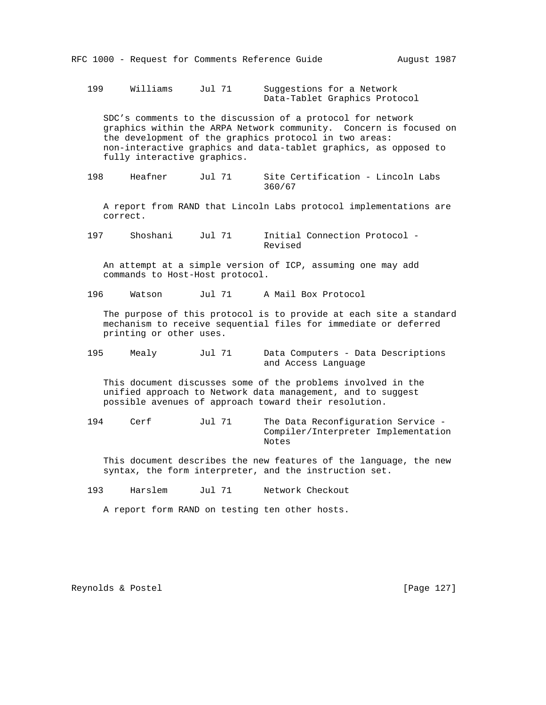199 Williams Jul 71 Suggestions for a Network Data-Tablet Graphics Protocol

 SDC's comments to the discussion of a protocol for network graphics within the ARPA Network community. Concern is focused on the development of the graphics protocol in two areas: non-interactive graphics and data-tablet graphics, as opposed to fully interactive graphics.

 198 Heafner Jul 71 Site Certification - Lincoln Labs 360/67

 A report from RAND that Lincoln Labs protocol implementations are correct.

 197 Shoshani Jul 71 Initial Connection Protocol - Revised

 An attempt at a simple version of ICP, assuming one may add commands to Host-Host protocol.

196 Watson Jul 71 A Mail Box Protocol

 The purpose of this protocol is to provide at each site a standard mechanism to receive sequential files for immediate or deferred printing or other uses.

 195 Mealy Jul 71 Data Computers - Data Descriptions and Access Language

 This document discusses some of the problems involved in the unified approach to Network data management, and to suggest possible avenues of approach toward their resolution.

 194 Cerf Jul 71 The Data Reconfiguration Service - Compiler/Interpreter Implementation Notes

 This document describes the new features of the language, the new syntax, the form interpreter, and the instruction set.

193 Harslem Jul 71 Network Checkout

A report form RAND on testing ten other hosts.

Reynolds & Postel [Page 127]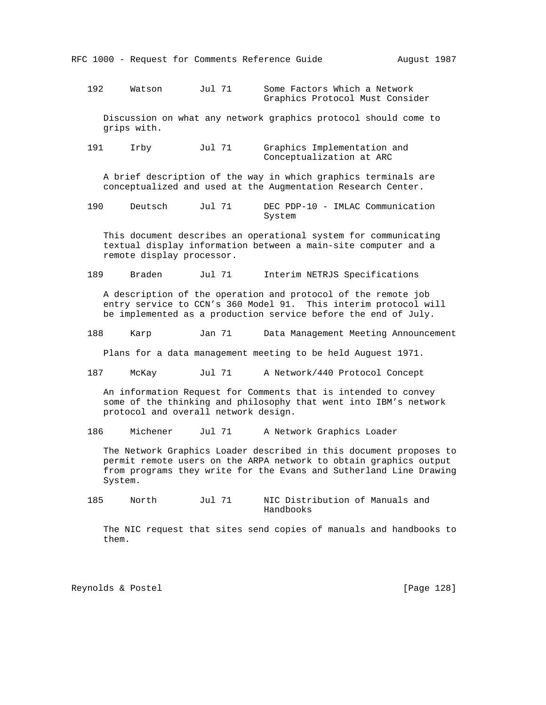| 192 | Watson | Jul 71 | Some Factors Which a Network    |
|-----|--------|--------|---------------------------------|
|     |        |        | Graphics Protocol Must Consider |

 Discussion on what any network graphics protocol should come to grips with.

 191 Irby Jul 71 Graphics Implementation and Conceptualization at ARC

 A brief description of the way in which graphics terminals are conceptualized and used at the Augmentation Research Center.

 190 Deutsch Jul 71 DEC PDP-10 - IMLAC Communication System

 This document describes an operational system for communicating textual display information between a main-site computer and a remote display processor.

189 Braden Jul 71 Interim NETRJS Specifications

 A description of the operation and protocol of the remote job entry service to CCN's 360 Model 91. This interim protocol will be implemented as a production service before the end of July.

188 Karp Jan 71 Data Management Meeting Announcement

Plans for a data management meeting to be held Auguest 1971.

187 McKay Jul 71 A Network/440 Protocol Concept

 An information Request for Comments that is intended to convey some of the thinking and philosophy that went into IBM's network protocol and overall network design.

186 Michener Jul 71 A Network Graphics Loader

 The Network Graphics Loader described in this document proposes to permit remote users on the ARPA network to obtain graphics output from programs they write for the Evans and Sutherland Line Drawing System.

 185 North Jul 71 NIC Distribution of Manuals and Handbooks

 The NIC request that sites send copies of manuals and handbooks to them.

Reynolds & Postel **Example 28** (Page 128)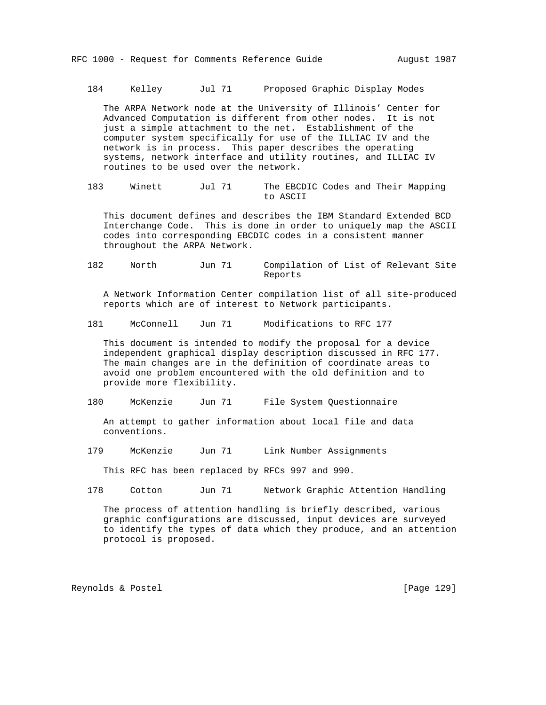184 Kelley Jul 71 Proposed Graphic Display Modes

 The ARPA Network node at the University of Illinois' Center for Advanced Computation is different from other nodes. It is not just a simple attachment to the net. Establishment of the computer system specifically for use of the ILLIAC IV and the network is in process. This paper describes the operating systems, network interface and utility routines, and ILLIAC IV routines to be used over the network.

 183 Winett Jul 71 The EBCDIC Codes and Their Mapping to ASCII

 This document defines and describes the IBM Standard Extended BCD Interchange Code. This is done in order to uniquely map the ASCII codes into corresponding EBCDIC codes in a consistent manner throughout the ARPA Network.

 182 North Jun 71 Compilation of List of Relevant Site Reports

 A Network Information Center compilation list of all site-produced reports which are of interest to Network participants.

181 McConnell Jun 71 Modifications to RFC 177

 This document is intended to modify the proposal for a device independent graphical display description discussed in RFC 177. The main changes are in the definition of coordinate areas to avoid one problem encountered with the old definition and to provide more flexibility.

180 McKenzie Jun 71 File System Questionnaire

 An attempt to gather information about local file and data conventions.

179 McKenzie Jun 71 Link Number Assignments

This RFC has been replaced by RFCs 997 and 990.

178 Cotton Jun 71 Network Graphic Attention Handling

 The process of attention handling is briefly described, various graphic configurations are discussed, input devices are surveyed to identify the types of data which they produce, and an attention protocol is proposed.

Reynolds & Postel [Page 129]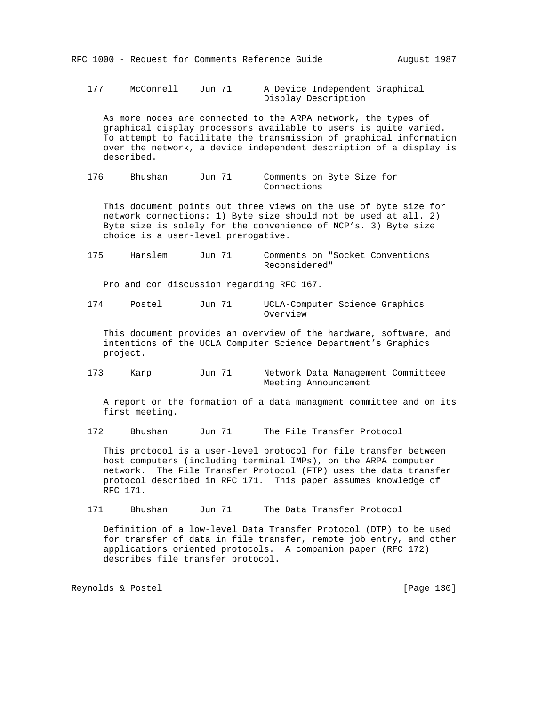177 McConnell Jun 71 A Device Independent Graphical Display Description

 As more nodes are connected to the ARPA network, the types of graphical display processors available to users is quite varied. To attempt to facilitate the transmission of graphical information over the network, a device independent description of a display is described.

 176 Bhushan Jun 71 Comments on Byte Size for Connections

 This document points out three views on the use of byte size for network connections: 1) Byte size should not be used at all. 2) Byte size is solely for the convenience of NCP's. 3) Byte size choice is a user-level prerogative.

 175 Harslem Jun 71 Comments on "Socket Conventions Reconsidered"

Pro and con discussion regarding RFC 167.

 174 Postel Jun 71 UCLA-Computer Science Graphics Overview

 This document provides an overview of the hardware, software, and intentions of the UCLA Computer Science Department's Graphics project.

 173 Karp Jun 71 Network Data Management Committeee Meeting Announcement

 A report on the formation of a data managment committee and on its first meeting.

172 Bhushan Jun 71 The File Transfer Protocol

 This protocol is a user-level protocol for file transfer between host computers (including terminal IMPs), on the ARPA computer network. The File Transfer Protocol (FTP) uses the data transfer protocol described in RFC 171. This paper assumes knowledge of RFC 171.

171 Bhushan Jun 71 The Data Transfer Protocol

 Definition of a low-level Data Transfer Protocol (DTP) to be used for transfer of data in file transfer, remote job entry, and other applications oriented protocols. A companion paper (RFC 172) describes file transfer protocol.

Reynolds & Postel [Page 130]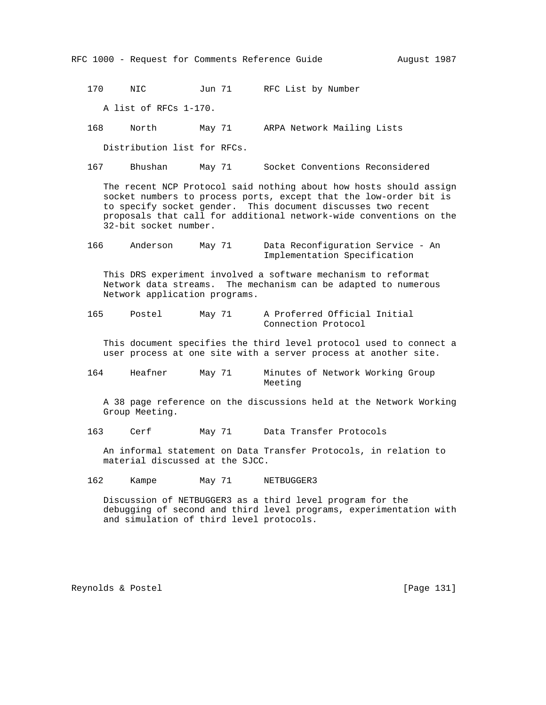170 NIC Jun 71 RFC List by Number

A list of RFCs 1-170.

168 North May 71 ARPA Network Mailing Lists

Distribution list for RFCs.

167 Bhushan May 71 Socket Conventions Reconsidered

 The recent NCP Protocol said nothing about how hosts should assign socket numbers to process ports, except that the low-order bit is to specify socket gender. This document discusses two recent proposals that call for additional network-wide conventions on the 32-bit socket number.

 166 Anderson May 71 Data Reconfiguration Service - An Implementation Specification

 This DRS experiment involved a software mechanism to reformat Network data streams. The mechanism can be adapted to numerous Network application programs.

 165 Postel May 71 A Proferred Official Initial Connection Protocol

 This document specifies the third level protocol used to connect a user process at one site with a server process at another site.

 164 Heafner May 71 Minutes of Network Working Group Meeting

 A 38 page reference on the discussions held at the Network Working Group Meeting.

163 Cerf May 71 Data Transfer Protocols

 An informal statement on Data Transfer Protocols, in relation to material discussed at the SJCC.

162 Kampe May 71 NETBUGGER3

 Discussion of NETBUGGER3 as a third level program for the debugging of second and third level programs, experimentation with and simulation of third level protocols.

Reynolds & Postel [Page 131]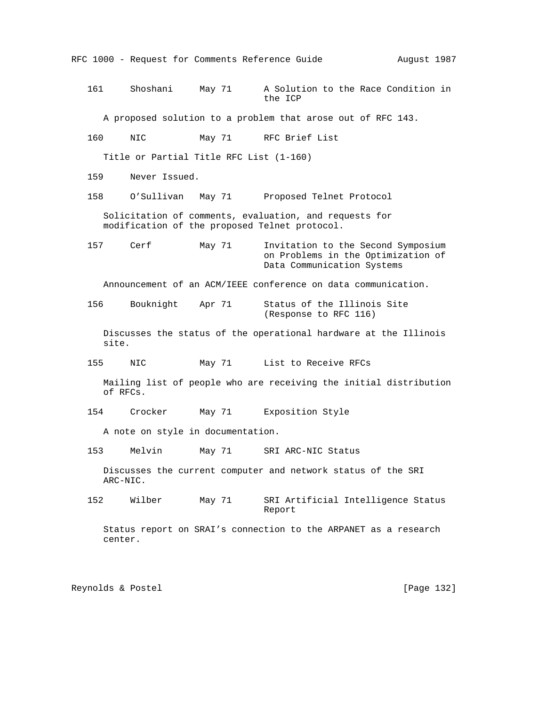RFC 1000 - Request for Comments Reference Guide August 1987 161 Shoshani May 71 A Solution to the Race Condition in the ICP A proposed solution to a problem that arose out of RFC 143. 160 NIC May 71 RFC Brief List Title or Partial Title RFC List (1-160) 159 Never Issued. 158 O'Sullivan May 71 Proposed Telnet Protocol Solicitation of comments, evaluation, and requests for modification of the proposed Telnet protocol. 157 Cerf May 71 Invitation to the Second Symposium on Problems in the Optimization of Data Communication Systems Announcement of an ACM/IEEE conference on data communication. 156 Bouknight Apr 71 Status of the Illinois Site (Response to RFC 116) Discusses the status of the operational hardware at the Illinois site. 155 NIC May 71 List to Receive RFCs Mailing list of people who are receiving the initial distribution of RFCs. 154 Crocker May 71 Exposition Style A note on style in documentation. 153 Melvin May 71 SRI ARC-NIC Status Discusses the current computer and network status of the SRI ARC-NIC. 152 Wilber May 71 SRI Artificial Intelligence Status Report Status report on SRAI's connection to the ARPANET as a research center.

Reynolds & Postel [Page 132]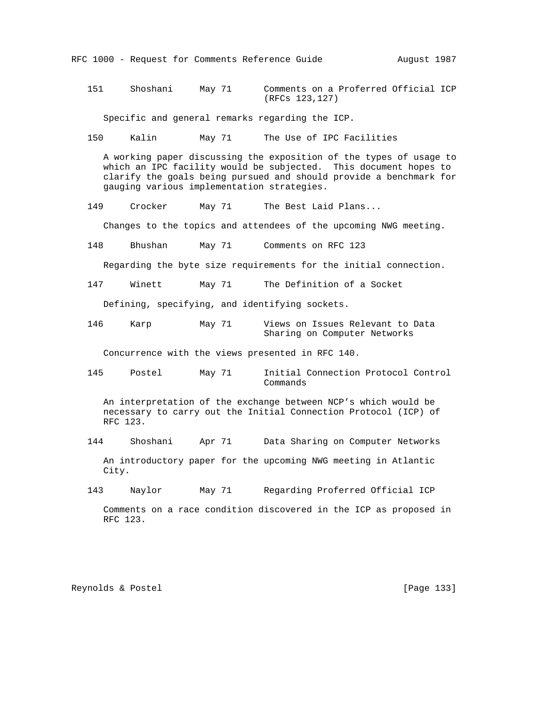151 Shoshani May 71 Comments on a Proferred Official ICP (RFCs 123,127)

Specific and general remarks regarding the ICP.

150 Kalin May 71 The Use of IPC Facilities

 A working paper discussing the exposition of the types of usage to which an IPC facility would be subjected. This document hopes to clarify the goals being pursued and should provide a benchmark for gauging various implementation strategies.

149 Crocker May 71 The Best Laid Plans...

Changes to the topics and attendees of the upcoming NWG meeting.

148 Bhushan May 71 Comments on RFC 123

Regarding the byte size requirements for the initial connection.

147 Winett May 71 The Definition of a Socket

Defining, specifying, and identifying sockets.

 146 Karp May 71 Views on Issues Relevant to Data Sharing on Computer Networks

Concurrence with the views presented in RFC 140.

 145 Postel May 71 Initial Connection Protocol Control Commands

 An interpretation of the exchange between NCP's which would be necessary to carry out the Initial Connection Protocol (ICP) of RFC 123.

144 Shoshani Apr 71 Data Sharing on Computer Networks

 An introductory paper for the upcoming NWG meeting in Atlantic City.

143 Naylor May 71 Regarding Proferred Official ICP

 Comments on a race condition discovered in the ICP as proposed in RFC 123.

Reynolds & Postel [Page 133]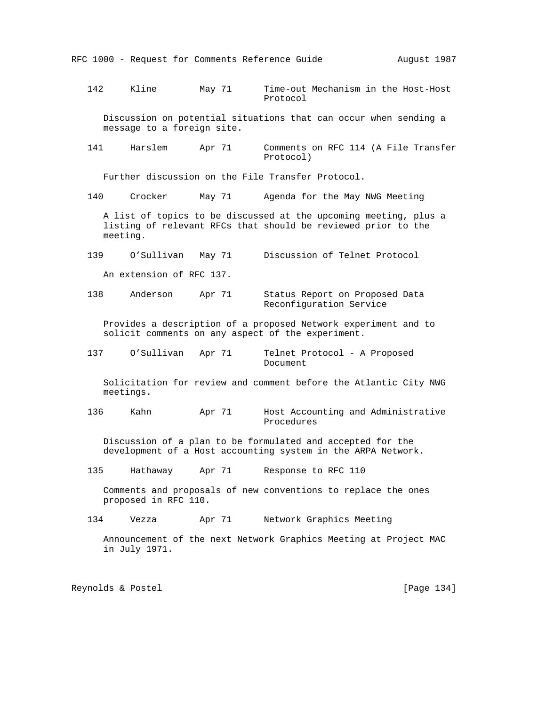142 Kline May 71 Time-out Mechanism in the Host-Host Protocol

 Discussion on potential situations that can occur when sending a message to a foreign site.

 141 Harslem Apr 71 Comments on RFC 114 (A File Transfer Protocol)

Further discussion on the File Transfer Protocol.

140 Crocker May 71 Agenda for the May NWG Meeting

 A list of topics to be discussed at the upcoming meeting, plus a listing of relevant RFCs that should be reviewed prior to the meeting.

139 O'Sullivan May 71 Discussion of Telnet Protocol

An extension of RFC 137.

 138 Anderson Apr 71 Status Report on Proposed Data Reconfiguration Service

 Provides a description of a proposed Network experiment and to solicit comments on any aspect of the experiment.

 137 O'Sullivan Apr 71 Telnet Protocol - A Proposed Document

 Solicitation for review and comment before the Atlantic City NWG meetings.

 136 Kahn Apr 71 Host Accounting and Administrative Procedures

 Discussion of a plan to be formulated and accepted for the development of a Host accounting system in the ARPA Network.

135 Hathaway Apr 71 Response to RFC 110

 Comments and proposals of new conventions to replace the ones proposed in RFC 110.

134 Vezza Apr 71 Network Graphics Meeting

 Announcement of the next Network Graphics Meeting at Project MAC in July 1971.

Reynolds & Postel **Example 2018** [Page 134]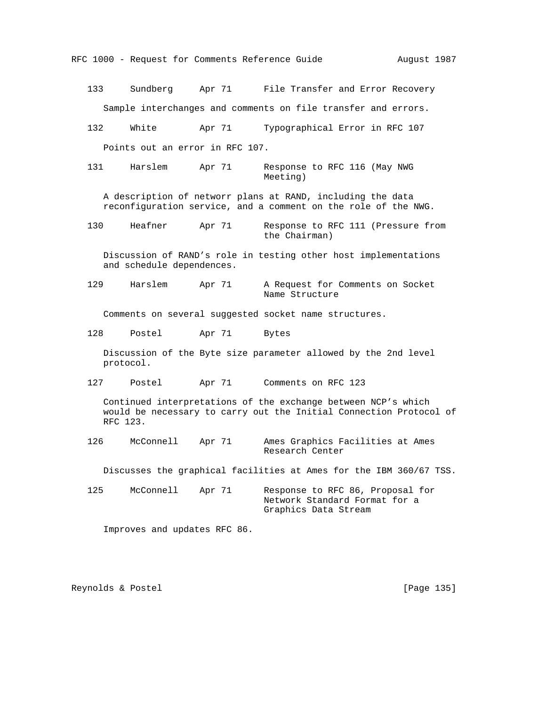133 Sundberg Apr 71 File Transfer and Error Recovery Sample interchanges and comments on file transfer and errors. 132 White Apr 71 Typographical Error in RFC 107 Points out an error in RFC 107. 131 Harslem Apr 71 Response to RFC 116 (May NWG Meeting) A description of networr plans at RAND, including the data reconfiguration service, and a comment on the role of the NWG. 130 Heafner Apr 71 Response to RFC 111 (Pressure from the Chairman) Discussion of RAND's role in testing other host implementations and schedule dependences. 129 Harslem Apr 71 A Request for Comments on Socket Name Structure Comments on several suggested socket name structures. 128 Postel Apr 71 Bytes Discussion of the Byte size parameter allowed by the 2nd level protocol. 127 Postel Apr 71 Comments on RFC 123 Continued interpretations of the exchange between NCP's which would be necessary to carry out the Initial Connection Protocol of

 126 McConnell Apr 71 Ames Graphics Facilities at Ames Research Center

Discusses the graphical facilities at Ames for the IBM 360/67 TSS.

 125 McConnell Apr 71 Response to RFC 86, Proposal for Network Standard Format for a Graphics Data Stream

Improves and updates RFC 86.

Reynolds & Postel [Page 135]

RFC 123.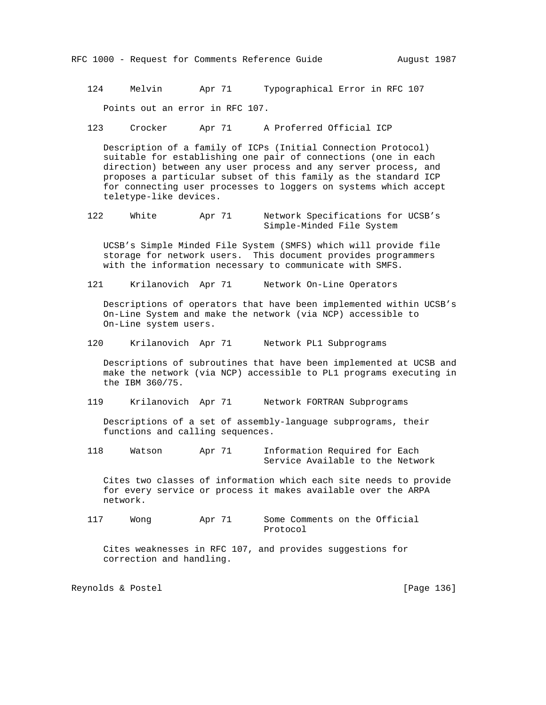124 Melvin Apr 71 Typographical Error in RFC 107

Points out an error in RFC 107.

123 Crocker Apr 71 A Proferred Official ICP

 Description of a family of ICPs (Initial Connection Protocol) suitable for establishing one pair of connections (one in each direction) between any user process and any server process, and proposes a particular subset of this family as the standard ICP for connecting user processes to loggers on systems which accept teletype-like devices.

 122 White Apr 71 Network Specifications for UCSB's Simple-Minded File System

 UCSB's Simple Minded File System (SMFS) which will provide file storage for network users. This document provides programmers with the information necessary to communicate with SMFS.

121 Krilanovich Apr 71 Network On-Line Operators

 Descriptions of operators that have been implemented within UCSB's On-Line System and make the network (via NCP) accessible to On-Line system users.

120 Krilanovich Apr 71 Network PL1 Subprograms

 Descriptions of subroutines that have been implemented at UCSB and make the network (via NCP) accessible to PL1 programs executing in the IBM 360/75.

119 Krilanovich Apr 71 Network FORTRAN Subprograms

 Descriptions of a set of assembly-language subprograms, their functions and calling sequences.

 118 Watson Apr 71 Information Required for Each Service Available to the Network

 Cites two classes of information which each site needs to provide for every service or process it makes available over the ARPA network.

 Cites weaknesses in RFC 107, and provides suggestions for correction and handling.

Reynolds & Postel **Example 20** (Page 136]

 <sup>117</sup> Wong Apr 71 Some Comments on the Official Protocol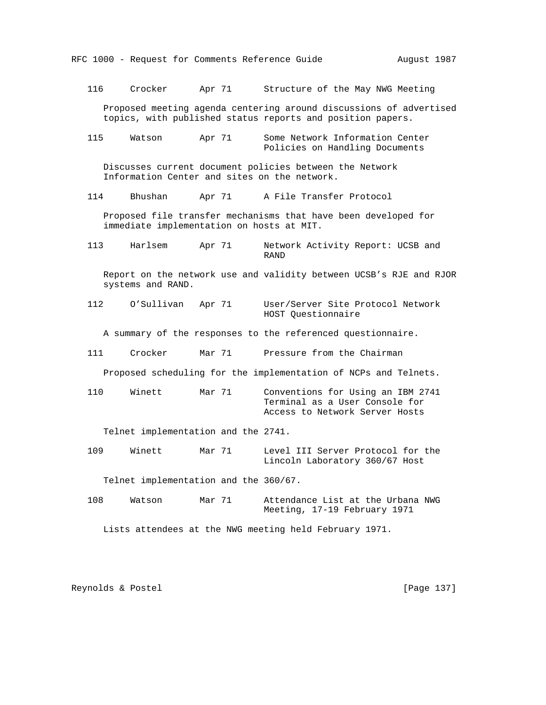| 116 | Crocker                                   | Apr 71 | Structure of the May NWG Meeting                                                                                                 |
|-----|-------------------------------------------|--------|----------------------------------------------------------------------------------------------------------------------------------|
|     |                                           |        | Proposed meeting agenda centering around discussions of advertised<br>topics, with published status reports and position papers. |
| 115 | Watson                                    | Apr 71 | Some Network Information Center<br>Policies on Handling Documents                                                                |
|     |                                           |        | Discusses current document policies between the Network<br>Information Center and sites on the network.                          |
| 114 | Bhushan                                   | Apr 71 | A File Transfer Protocol                                                                                                         |
|     | immediate implementation on hosts at MIT. |        | Proposed file transfer mechanisms that have been developed for                                                                   |
| 113 | Harlsem                                   | Apr 71 | Network Activity Report: UCSB and<br><b>RAND</b>                                                                                 |
|     | systems and RAND.                         |        | Report on the network use and validity between UCSB's RJE and RJOR                                                               |
| 112 | O'Sullivan                                | Apr 71 | User/Server Site Protocol Network<br>HOST Questionnaire                                                                          |
|     |                                           |        | A summary of the responses to the referenced questionnaire.                                                                      |
| 111 | Crocker                                   | Mar 71 | Pressure from the Chairman                                                                                                       |
|     |                                           |        | Proposed scheduling for the implementation of NCPs and Telnets.                                                                  |
| 110 | Winett                                    | Mar 71 | Conventions for Using an IBM 2741<br>Terminal as a User Console for<br>Access to Network Server Hosts                            |
|     | Telnet implementation and the 2741.       |        |                                                                                                                                  |
| 109 | Winett                                    | Mar 71 | Level III Server Protocol for the<br>Lincoln Laboratory 360/67 Host                                                              |
|     | Telnet implementation and the 360/67.     |        |                                                                                                                                  |
| 108 | Watson                                    | Mar 71 | Attendance List at the Urbana NWG<br>Meeting, 17-19 February 1971                                                                |
|     |                                           |        | Lists attendees at the NWG meeting held February 1971.                                                                           |

Reynolds & Postel and Contract Contract Contract Contract Contract Contract Contract Contract Contract Contract Contract Contract Contract Contract Contract Contract Contract Contract Contract Contract Contract Contract Co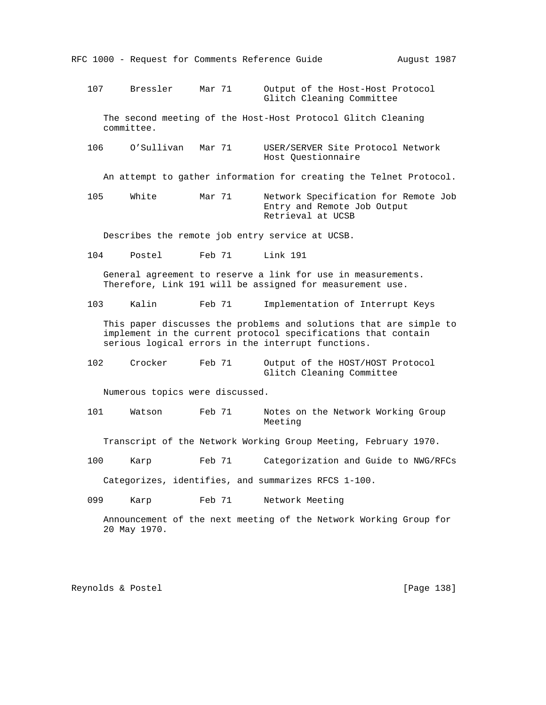107 Bressler Mar 71 Output of the Host-Host Protocol Glitch Cleaning Committee

 The second meeting of the Host-Host Protocol Glitch Cleaning committee.

 106 O'Sullivan Mar 71 USER/SERVER Site Protocol Network Host Questionnaire

An attempt to gather information for creating the Telnet Protocol.

 105 White Mar 71 Network Specification for Remote Job Entry and Remote Job Output Retrieval at UCSB

Describes the remote job entry service at UCSB.

104 Postel Feb 71 Link 191

 General agreement to reserve a link for use in measurements. Therefore, Link 191 will be assigned for measurement use.

103 Kalin Feb 71 Implementation of Interrupt Keys

 This paper discusses the problems and solutions that are simple to implement in the current protocol specifications that contain serious logical errors in the interrupt functions.

 102 Crocker Feb 71 Output of the HOST/HOST Protocol Glitch Cleaning Committee

Numerous topics were discussed.

 101 Watson Feb 71 Notes on the Network Working Group Meeting

Transcript of the Network Working Group Meeting, February 1970.

100 Karp Feb 71 Categorization and Guide to NWG/RFCs

Categorizes, identifies, and summarizes RFCS 1-100.

099 Karp Feb 71 Network Meeting

 Announcement of the next meeting of the Network Working Group for 20 May 1970.

Reynolds & Postel **Example 20** (Page 138]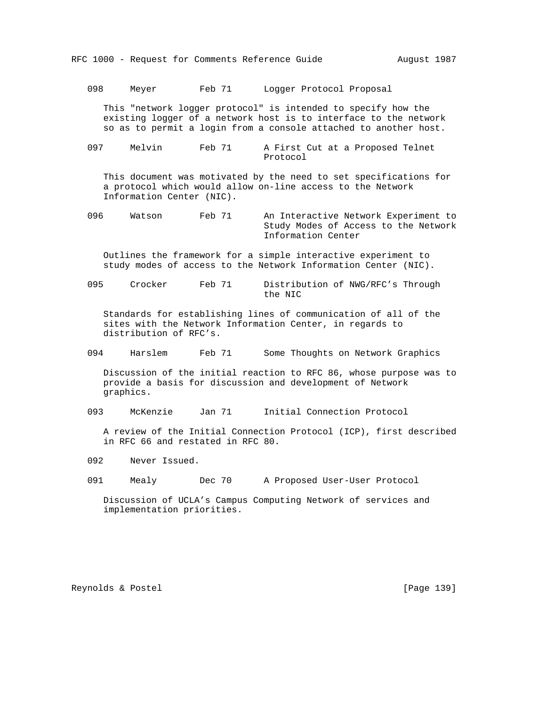098 Meyer Feb 71 Logger Protocol Proposal

 This "network logger protocol" is intended to specify how the existing logger of a network host is to interface to the network so as to permit a login from a console attached to another host.

 097 Melvin Feb 71 A First Cut at a Proposed Telnet Protocol

 This document was motivated by the need to set specifications for a protocol which would allow on-line access to the Network Information Center (NIC).

 096 Watson Feb 71 An Interactive Network Experiment to Study Modes of Access to the Network Information Center

 Outlines the framework for a simple interactive experiment to study modes of access to the Network Information Center (NIC).

 095 Crocker Feb 71 Distribution of NWG/RFC's Through the NIC

 Standards for establishing lines of communication of all of the sites with the Network Information Center, in regards to distribution of RFC's.

094 Harslem Feb 71 Some Thoughts on Network Graphics

 Discussion of the initial reaction to RFC 86, whose purpose was to provide a basis for discussion and development of Network graphics.

093 McKenzie Jan 71 Initial Connection Protocol

 A review of the Initial Connection Protocol (ICP), first described in RFC 66 and restated in RFC 80.

092 Never Issued.

091 Mealy Dec 70 A Proposed User-User Protocol

 Discussion of UCLA's Campus Computing Network of services and implementation priorities.

Reynolds & Postel [Page 139]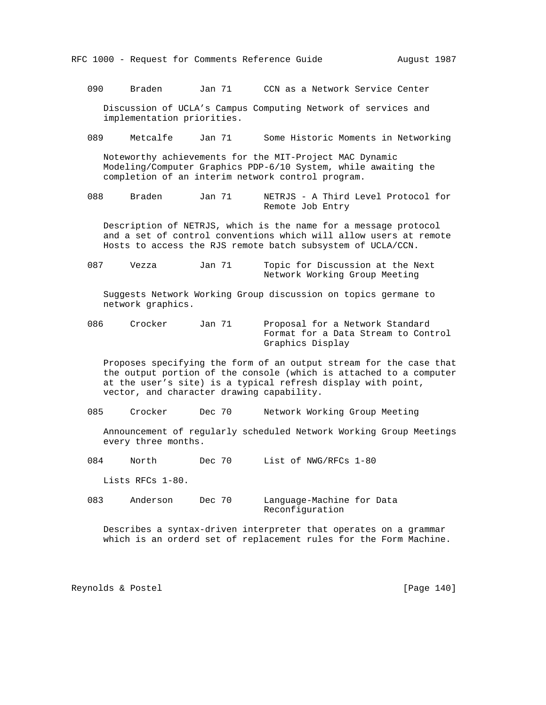090 Braden Jan 71 CCN as a Network Service Center

 Discussion of UCLA's Campus Computing Network of services and implementation priorities.

089 Metcalfe Jan 71 Some Historic Moments in Networking

 Noteworthy achievements for the MIT-Project MAC Dynamic Modeling/Computer Graphics PDP-6/10 System, while awaiting the completion of an interim network control program.

 088 Braden Jan 71 NETRJS - A Third Level Protocol for Remote Job Entry

 Description of NETRJS, which is the name for a message protocol and a set of control conventions which will allow users at remote Hosts to access the RJS remote batch subsystem of UCLA/CCN.

 087 Vezza Jan 71 Topic for Discussion at the Next Network Working Group Meeting

 Suggests Network Working Group discussion on topics germane to network graphics.

 086 Crocker Jan 71 Proposal for a Network Standard Format for a Data Stream to Control Graphics Display

 Proposes specifying the form of an output stream for the case that the output portion of the console (which is attached to a computer at the user's site) is a typical refresh display with point, vector, and character drawing capability.

085 Crocker Dec 70 Network Working Group Meeting

 Announcement of regularly scheduled Network Working Group Meetings every three months.

084 North Dec 70 List of NWG/RFCs 1-80

Lists RFCs 1-80.

 083 Anderson Dec 70 Language-Machine for Data Reconfiguration

 Describes a syntax-driven interpreter that operates on a grammar which is an orderd set of replacement rules for the Form Machine.

Reynolds & Postel **Example 2018** [Page 140]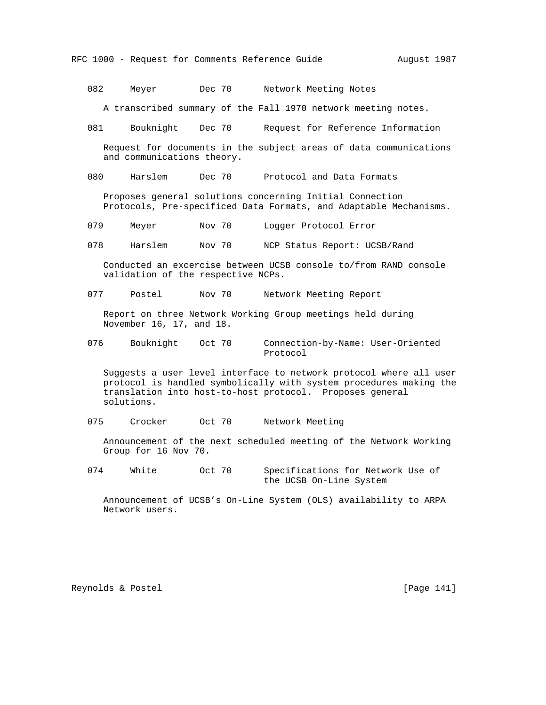082 Meyer Dec 70 Network Meeting Notes

A transcribed summary of the Fall 1970 network meeting notes.

081 Bouknight Dec 70 Request for Reference Information

 Request for documents in the subject areas of data communications and communications theory.

080 Harslem Dec 70 Protocol and Data Formats

 Proposes general solutions concerning Initial Connection Protocols, Pre-specificed Data Formats, and Adaptable Mechanisms.

- 079 Meyer Nov 70 Logger Protocol Error
- 078 Harslem Nov 70 NCP Status Report: UCSB/Rand

 Conducted an excercise between UCSB console to/from RAND console validation of the respective NCPs.

077 Postel Nov 70 Network Meeting Report

 Report on three Network Working Group meetings held during November 16, 17, and 18.

 076 Bouknight Oct 70 Connection-by-Name: User-Oriented Protocol

 Suggests a user level interface to network protocol where all user protocol is handled symbolically with system procedures making the translation into host-to-host protocol. Proposes general solutions.

075 Crocker Oct 70 Network Meeting

 Announcement of the next scheduled meeting of the Network Working Group for 16 Nov 70.

 074 White Oct 70 Specifications for Network Use of the UCSB On-Line System

 Announcement of UCSB's On-Line System (OLS) availability to ARPA Network users.

Reynolds & Postel [Page 141]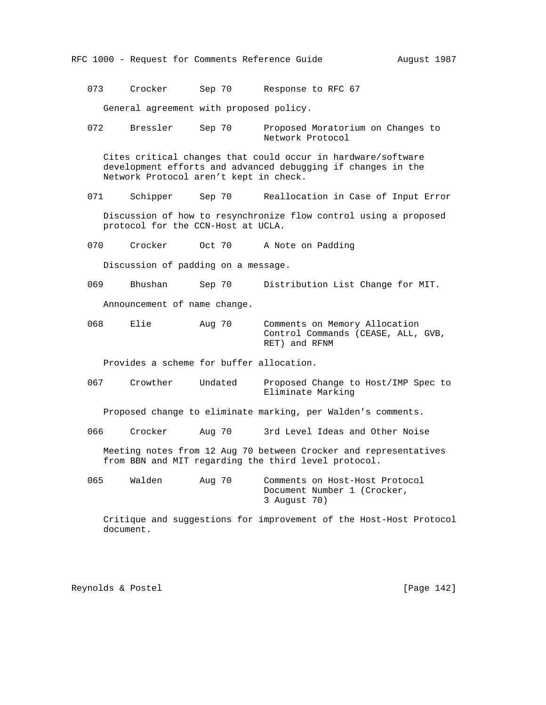073 Crocker Sep 70 Response to RFC 67

General agreement with proposed policy.

 072 Bressler Sep 70 Proposed Moratorium on Changes to Network Protocol

 Cites critical changes that could occur in hardware/software development efforts and advanced debugging if changes in the Network Protocol aren't kept in check.

071 Schipper Sep 70 Reallocation in Case of Input Error

 Discussion of how to resynchronize flow control using a proposed protocol for the CCN-Host at UCLA.

070 Crocker Oct 70 A Note on Padding

Discussion of padding on a message.

069 Bhushan Sep 70 Distribution List Change for MIT.

Announcement of name change.

 068 Elie Aug 70 Comments on Memory Allocation Control Commands (CEASE, ALL, GVB, RET) and RFNM

Provides a scheme for buffer allocation.

 067 Crowther Undated Proposed Change to Host/IMP Spec to Eliminate Marking

Proposed change to eliminate marking, per Walden's comments.

066 Crocker Aug 70 3rd Level Ideas and Other Noise

 Meeting notes from 12 Aug 70 between Crocker and representatives from BBN and MIT regarding the third level protocol.

 065 Walden Aug 70 Comments on Host-Host Protocol Document Number 1 (Crocker, 3 August 70)

 Critique and suggestions for improvement of the Host-Host Protocol document.

Reynolds & Postel **Example 20** (Page 142)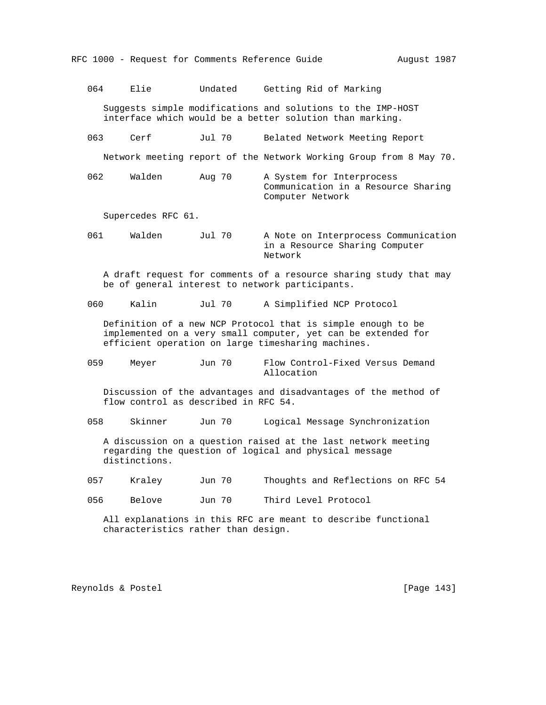064 Elie Undated Getting Rid of Marking Suggests simple modifications and solutions to the IMP-HOST interface which would be a better solution than marking. 063 Cerf Jul 70 Belated Network Meeting Report Network meeting report of the Network Working Group from 8 May 70. 062 Walden Aug 70 A System for Interprocess Communication in a Resource Sharing Computer Network Supercedes RFC 61. 061 Walden Jul 70 A Note on Interprocess Communication in a Resource Sharing Computer Network A draft request for comments of a resource sharing study that may be of general interest to network participants. 060 Kalin Jul 70 A Simplified NCP Protocol Definition of a new NCP Protocol that is simple enough to be implemented on a very small computer, yet can be extended for efficient operation on large timesharing machines. 059 Meyer Jun 70 Flow Control-Fixed Versus Demand Allocation Discussion of the advantages and disadvantages of the method of flow control as described in RFC 54. 058 Skinner Jun 70 Logical Message Synchronization A discussion on a question raised at the last network meeting regarding the question of logical and physical message distinctions.

057 Kraley Jun 70 Thoughts and Reflections on RFC 54

056 Belove Jun 70 Third Level Protocol

 All explanations in this RFC are meant to describe functional characteristics rather than design.

Reynolds & Postel **Example 20** (Page 143)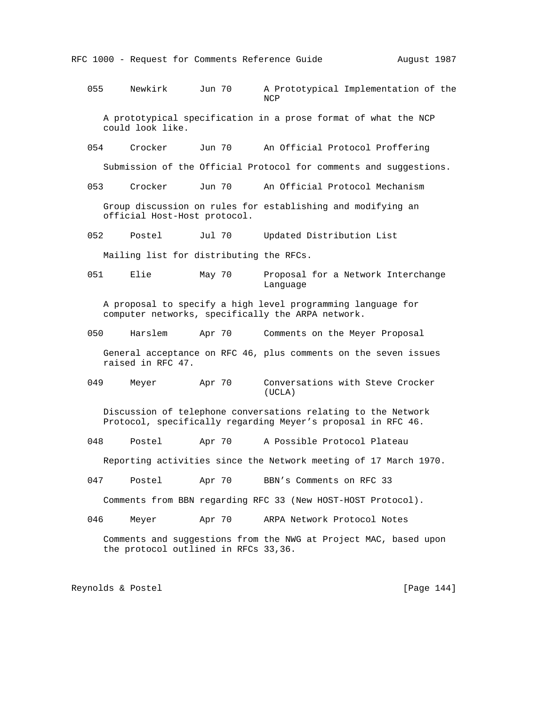055 Newkirk Jun 70 A Prototypical Implementation of the NCP<sub>N</sub>

 A prototypical specification in a prose format of what the NCP could look like.

054 Crocker Jun 70 An Official Protocol Proffering

Submission of the Official Protocol for comments and suggestions.

053 Crocker Jun 70 An Official Protocol Mechanism

 Group discussion on rules for establishing and modifying an official Host-Host protocol.

052 Postel Jul 70 Updated Distribution List

Mailing list for distributing the RFCs.

 051 Elie May 70 Proposal for a Network Interchange Language

 A proposal to specify a high level programming language for computer networks, specifically the ARPA network.

050 Harslem Apr 70 Comments on the Meyer Proposal

 General acceptance on RFC 46, plus comments on the seven issues raised in RFC 47.

 049 Meyer Apr 70 Conversations with Steve Crocker (UCLA)

 Discussion of telephone conversations relating to the Network Protocol, specifically regarding Meyer's proposal in RFC 46.

048 Postel Apr 70 A Possible Protocol Plateau

Reporting activities since the Network meeting of 17 March 1970.

047 Postel Apr 70 BBN's Comments on RFC 33

Comments from BBN regarding RFC 33 (New HOST-HOST Protocol).

046 Meyer Apr 70 ARPA Network Protocol Notes

 Comments and suggestions from the NWG at Project MAC, based upon the protocol outlined in RFCs 33,36.

Reynolds & Postel **Example 20** (Page 144)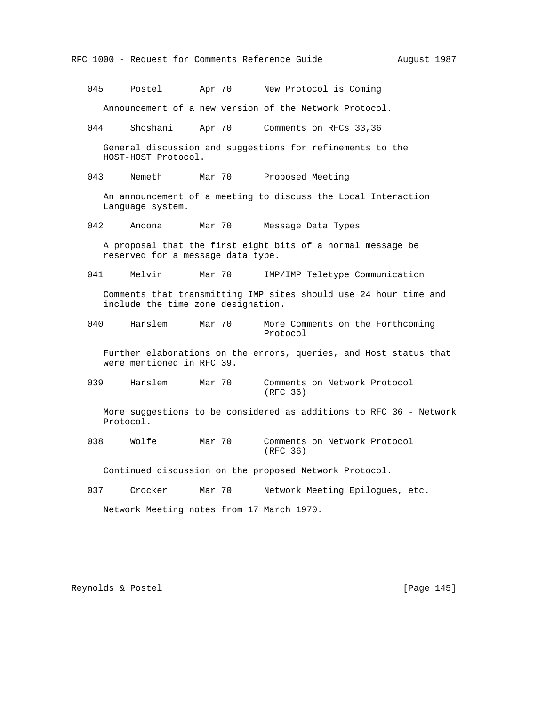045 Postel Apr 70 New Protocol is Coming

Announcement of a new version of the Network Protocol.

044 Shoshani Apr 70 Comments on RFCs 33,36

 General discussion and suggestions for refinements to the HOST-HOST Protocol.

043 Nemeth Mar 70 Proposed Meeting

 An announcement of a meeting to discuss the Local Interaction Language system.

042 Ancona Mar 70 Message Data Types

 A proposal that the first eight bits of a normal message be reserved for a message data type.

041 Melvin Mar 70 IMP/IMP Teletype Communication

 Comments that transmitting IMP sites should use 24 hour time and include the time zone designation.

 040 Harslem Mar 70 More Comments on the Forthcoming Protocol

 Further elaborations on the errors, queries, and Host status that were mentioned in RFC 39.

 039 Harslem Mar 70 Comments on Network Protocol (RFC 36)

 More suggestions to be considered as additions to RFC 36 - Network Protocol.

 038 Wolfe Mar 70 Comments on Network Protocol (RFC 36)

Continued discussion on the proposed Network Protocol.

037 Crocker Mar 70 Network Meeting Epilogues, etc.

Network Meeting notes from 17 March 1970.

Reynolds & Postel [Page 145]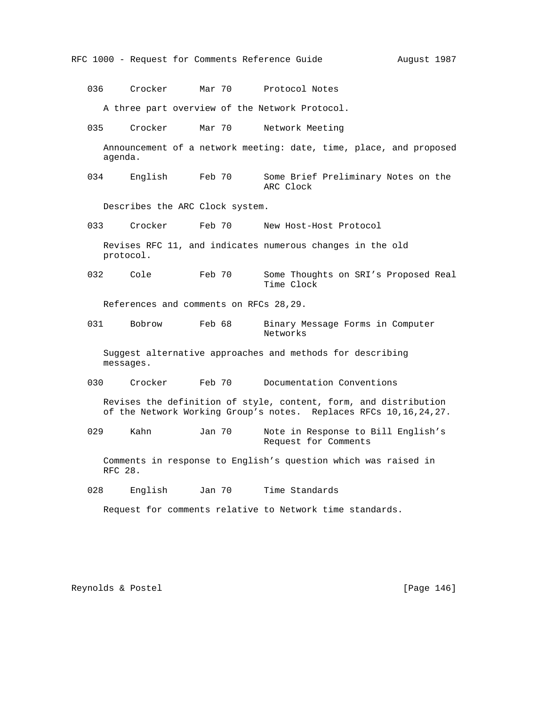036 Crocker Mar 70 Protocol Notes

A three part overview of the Network Protocol.

035 Crocker Mar 70 Network Meeting

 Announcement of a network meeting: date, time, place, and proposed agenda.

 034 English Feb 70 Some Brief Preliminary Notes on the ARC Clock

Describes the ARC Clock system.

033 Crocker Feb 70 New Host-Host Protocol

 Revises RFC 11, and indicates numerous changes in the old protocol.

 032 Cole Feb 70 Some Thoughts on SRI's Proposed Real Time Clock

References and comments on RFCs 28,29.

031 Bobrow Feb 68 Binary Message Forms in Computer Networks

 Suggest alternative approaches and methods for describing messages.

030 Crocker Feb 70 Documentation Conventions

 Revises the definition of style, content, form, and distribution of the Network Working Group's notes. Replaces RFCs 10,16,24,27.

 029 Kahn Jan 70 Note in Response to Bill English's Request for Comments

 Comments in response to English's question which was raised in RFC 28.

028 English Jan 70 Time Standards

Request for comments relative to Network time standards.

Reynolds & Postel [Page 146]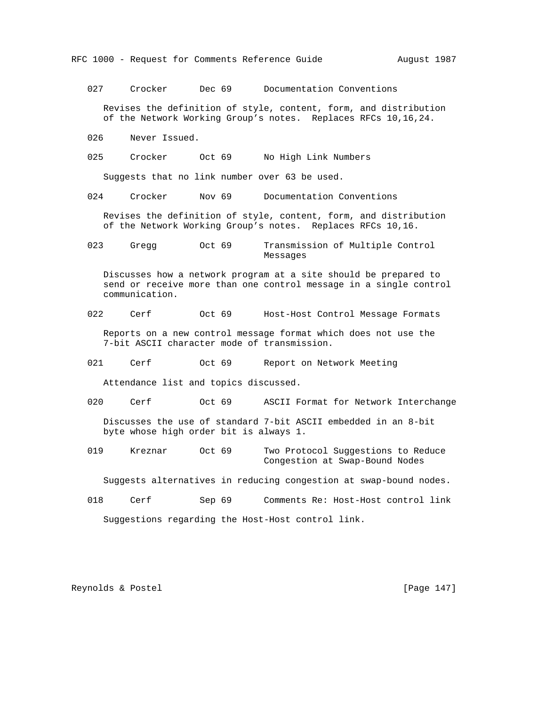027 Crocker Dec 69 Documentation Conventions

 Revises the definition of style, content, form, and distribution of the Network Working Group's notes. Replaces RFCs 10,16,24.

- 026 Never Issued.
- 025 Crocker Oct 69 No High Link Numbers

Suggests that no link number over 63 be used.

024 Crocker Nov 69 Documentation Conventions

 Revises the definition of style, content, form, and distribution of the Network Working Group's notes. Replaces RFCs 10,16.

023 Gregg 0ct 69 Transmission of Multiple Control Messages

 Discusses how a network program at a site should be prepared to send or receive more than one control message in a single control communication.

022 Cerf 0ct 69 Host-Host Control Message Formats

 Reports on a new control message format which does not use the 7-bit ASCII character mode of transmission.

021 Cerf 0ct 69 Report on Network Meeting

Attendance list and topics discussed.

020 Cerf 0ct 69 ASCII Format for Network Interchange

 Discusses the use of standard 7-bit ASCII embedded in an 8-bit byte whose high order bit is always 1.

 019 Kreznar Oct 69 Two Protocol Suggestions to Reduce Congestion at Swap-Bound Nodes

Suggests alternatives in reducing congestion at swap-bound nodes.

018 Cerf Sep 69 Comments Re: Host-Host control link Suggestions regarding the Host-Host control link.

Reynolds & Postel **Example 20** (Page 147)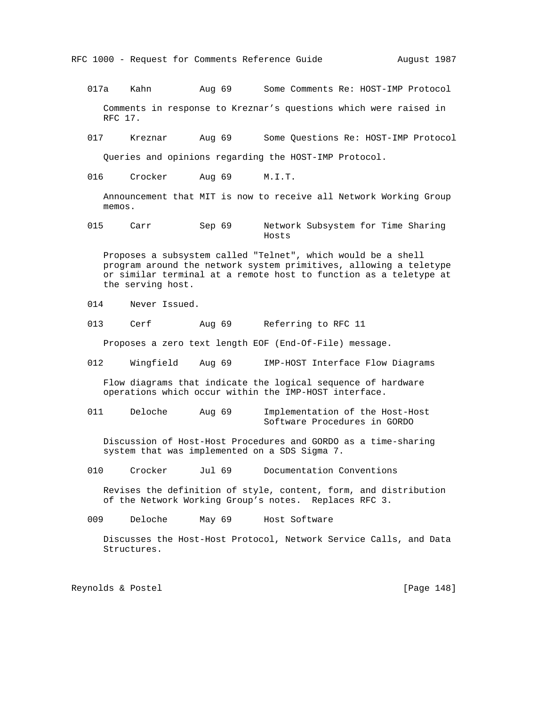017a Kahn Aug 69 Some Comments Re: HOST-IMP Protocol

 Comments in response to Kreznar's questions which were raised in RFC 17.

017 Kreznar Aug 69 Some Questions Re: HOST-IMP Protocol

Queries and opinions regarding the HOST-IMP Protocol.

016 Crocker Aug 69 M.I.T.

 Announcement that MIT is now to receive all Network Working Group memos.

015 Carr Sep 69 Network Subsystem for Time Sharing Hosts

 Proposes a subsystem called "Telnet", which would be a shell program around the network system primitives, allowing a teletype or similar terminal at a remote host to function as a teletype at the serving host.

- 014 Never Issued.
- 013 Cerf Aug 69 Referring to RFC 11

Proposes a zero text length EOF (End-Of-File) message.

012 Wingfield Aug 69 IMP-HOST Interface Flow Diagrams

 Flow diagrams that indicate the logical sequence of hardware operations which occur within the IMP-HOST interface.

 011 Deloche Aug 69 Implementation of the Host-Host Software Procedures in GORDO

 Discussion of Host-Host Procedures and GORDO as a time-sharing system that was implemented on a SDS Sigma 7.

010 Crocker Jul 69 Documentation Conventions

 Revises the definition of style, content, form, and distribution of the Network Working Group's notes. Replaces RFC 3.

009 Deloche May 69 Host Software

 Discusses the Host-Host Protocol, Network Service Calls, and Data Structures.

Reynolds & Postel **Example 20** (Page 148)